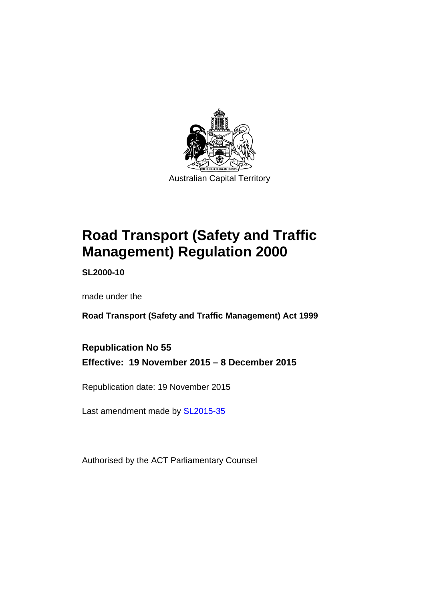

# **Road Transport (Safety and Traffic Management) Regulation 2000**

**SL2000-10** 

made under the

**Road Transport (Safety and Traffic Management) Act 1999** 

**Republication No 55 Effective: 19 November 2015 – 8 December 2015** 

Republication date: 19 November 2015

Last amendment made by [SL2015-35](http://www.legislation.act.gov.au/sl/2015-35)

Authorised by the ACT Parliamentary Counsel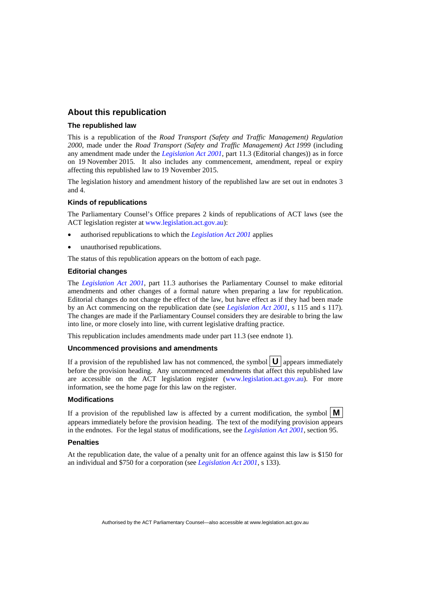#### **About this republication**

#### **The republished law**

This is a republication of the *Road Transport (Safety and Traffic Management) Regulation 2000*, made under the *Road Transport (Safety and Traffic Management) Act 1999* (including any amendment made under the *[Legislation Act 2001](http://www.legislation.act.gov.au/a/2001-14)*, part 11.3 (Editorial changes)) as in force on 19 November 2015*.* It also includes any commencement, amendment, repeal or expiry affecting this republished law to 19 November 2015.

The legislation history and amendment history of the republished law are set out in endnotes 3 and 4.

#### **Kinds of republications**

The Parliamentary Counsel's Office prepares 2 kinds of republications of ACT laws (see the ACT legislation register at [www.legislation.act.gov.au](http://www.legislation.act.gov.au/)):

- authorised republications to which the *[Legislation Act 2001](http://www.legislation.act.gov.au/a/2001-14)* applies
- unauthorised republications.

The status of this republication appears on the bottom of each page.

#### **Editorial changes**

The *[Legislation Act 2001](http://www.legislation.act.gov.au/a/2001-14)*, part 11.3 authorises the Parliamentary Counsel to make editorial amendments and other changes of a formal nature when preparing a law for republication. Editorial changes do not change the effect of the law, but have effect as if they had been made by an Act commencing on the republication date (see *[Legislation Act 2001](http://www.legislation.act.gov.au/a/2001-14)*, s 115 and s 117). The changes are made if the Parliamentary Counsel considers they are desirable to bring the law into line, or more closely into line, with current legislative drafting practice.

This republication includes amendments made under part 11.3 (see endnote 1).

#### **Uncommenced provisions and amendments**

If a provision of the republished law has not commenced, the symbol  $\mathbf{U}$  appears immediately before the provision heading. Any uncommenced amendments that affect this republished law are accessible on the ACT legislation register [\(www.legislation.act.gov.au](http://www.legislation.act.gov.au/)). For more information, see the home page for this law on the register.

#### **Modifications**

If a provision of the republished law is affected by a current modification, the symbol  $\mathbf{M}$ appears immediately before the provision heading. The text of the modifying provision appears in the endnotes. For the legal status of modifications, see the *[Legislation Act 2001](http://www.legislation.act.gov.au/a/2001-14)*, section 95.

#### **Penalties**

At the republication date, the value of a penalty unit for an offence against this law is \$150 for an individual and \$750 for a corporation (see *[Legislation Act 2001](http://www.legislation.act.gov.au/a/2001-14)*, s 133).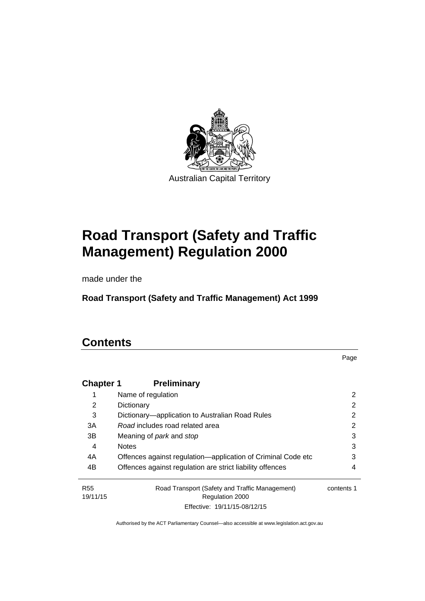

# **Road Transport (Safety and Traffic Management) Regulation 2000**

made under the

**Road Transport (Safety and Traffic Management) Act 1999** 

# **Contents**

Page

| <b>Chapter 1</b> | <b>Preliminary</b>                                           |            |
|------------------|--------------------------------------------------------------|------------|
|                  | Name of regulation                                           | 2          |
| 2                | Dictionary                                                   | 2          |
| 3                | Dictionary—application to Australian Road Rules              | 2          |
| 3A               | Road includes road related area                              | 2          |
| 3B               | Meaning of <i>park</i> and <i>stop</i>                       | 3          |
| 4                | <b>Notes</b>                                                 | 3          |
| 4A               | Offences against regulation-application of Criminal Code etc | 3          |
| 4B               | Offences against regulation are strict liability offences    | 4          |
| <b>R55</b>       | Road Transport (Safety and Traffic Management)               | contents 1 |
| 19/11/15         | Regulation 2000                                              |            |
|                  | Effective: 19/11/15-08/12/15                                 |            |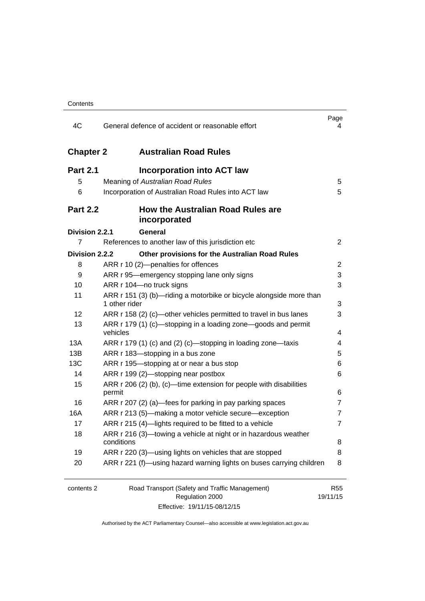| 4C               | General defence of accident or reasonable effort                                     | Page<br>4      |
|------------------|--------------------------------------------------------------------------------------|----------------|
| <b>Chapter 2</b> | <b>Australian Road Rules</b>                                                         |                |
| <b>Part 2.1</b>  | <b>Incorporation into ACT law</b>                                                    |                |
| 5                | Meaning of Australian Road Rules                                                     | 5              |
| 6                | Incorporation of Australian Road Rules into ACT law                                  | 5              |
| <b>Part 2.2</b>  | <b>How the Australian Road Rules are</b><br>incorporated                             |                |
| Division 2.2.1   | General                                                                              |                |
| 7                | References to another law of this jurisdiction etc                                   | $\overline{2}$ |
| Division 2.2.2   | Other provisions for the Australian Road Rules                                       |                |
| 8                | ARR r 10 (2)-penalties for offences                                                  | 2              |
| 9                | ARR r 95—emergency stopping lane only signs                                          | 3              |
| 10               | ARR r 104-no truck signs                                                             | 3              |
| 11               | ARR r 151 (3) (b)—riding a motorbike or bicycle alongside more than<br>1 other rider | 3              |
| 12               | ARR r 158 (2) (c)—other vehicles permitted to travel in bus lanes                    | 3              |
| 13               | ARR r 179 (1) (c)—stopping in a loading zone—goods and permit<br>vehicles            | 4              |
| 13A              | ARR r 179 (1) (c) and (2) (c)-stopping in loading zone-taxis                         | 4              |
| 13B              | ARR r 183-stopping in a bus zone                                                     | 5              |
| 13C              | ARR r 195-stopping at or near a bus stop                                             | 6              |
| 14               | ARR r 199 (2)-stopping near postbox                                                  | 6              |
| 15               | ARR r 206 (2) (b), (c)—time extension for people with disabilities                   |                |
|                  | permit                                                                               | 6              |
| 16               | ARR r 207 (2) (a)—fees for parking in pay parking spaces                             | 7              |
| 16A              | ARR r 213 (5)—making a motor vehicle secure—exception                                | 7              |
| 17               | ARR r 215 (4)-lights required to be fitted to a vehicle                              | $\overline{7}$ |
| 18               | ARR r 216 (3)—towing a vehicle at night or in hazardous weather                      | 8              |
| 19               | conditions<br>ARR r 220 (3)—using lights on vehicles that are stopped                | 8              |
| 20               | ARR r 221 (f)—using hazard warning lights on buses carrying children                 | 8              |
|                  |                                                                                      |                |
| contents 2       | Road Transport (Safety and Traffic Management)                                       | <b>R55</b>     |
|                  | Regulation 2000                                                                      | 19/11/15       |

Effective: 19/11/15-08/12/15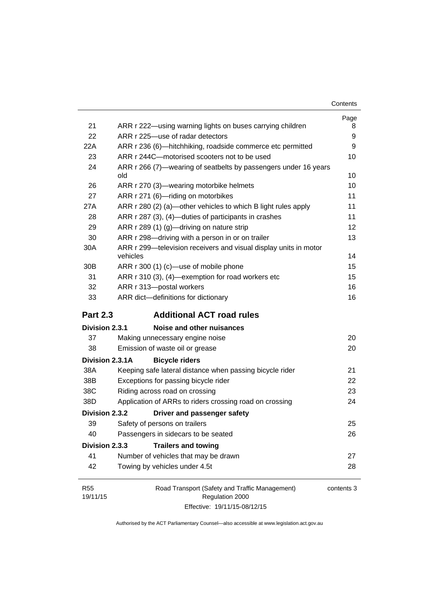| Contents |
|----------|
|----------|

|                 |                                                                                                            | Page   |
|-----------------|------------------------------------------------------------------------------------------------------------|--------|
| 21<br>22        | ARR r 222—using warning lights on buses carrying children<br>ARR r 225-use of radar detectors              | 8<br>9 |
| 22A             |                                                                                                            | 9      |
|                 | ARR r 236 (6)-hitchhiking, roadside commerce etc permitted<br>ARR r 244C-motorised scooters not to be used |        |
| 23              |                                                                                                            | 10     |
| 24              | ARR r 266 (7)—wearing of seatbelts by passengers under 16 years<br>old                                     | 10     |
| 26              | ARR r 270 (3)—wearing motorbike helmets                                                                    | 10     |
| 27              | ARR r 271 (6)-riding on motorbikes                                                                         | 11     |
| 27A             | ARR r 280 (2) (a)—other vehicles to which B light rules apply                                              | 11     |
| 28              | ARR r 287 (3), (4)—duties of participants in crashes                                                       | 11     |
| 29              | ARR r 289 (1) (g)-driving on nature strip                                                                  | 12     |
| 30              | ARR r 298-driving with a person in or on trailer                                                           | 13     |
| 30A             | ARR r 299-television receivers and visual display units in motor                                           |        |
|                 | vehicles                                                                                                   | 14     |
| 30 <sub>B</sub> | ARR r 300 (1) (c)—use of mobile phone                                                                      | 15     |
| 31              | ARR r 310 (3), (4)-exemption for road workers etc                                                          | 15     |
| 32              | ARR r 313-postal workers                                                                                   | 16     |
| 33              | ARR dict-definitions for dictionary                                                                        | 16     |
| <b>Part 2.3</b> | <b>Additional ACT road rules</b>                                                                           |        |
| Division 2.3.1  | Noise and other nuisances                                                                                  |        |
|                 |                                                                                                            |        |
| 37              | Making unnecessary engine noise                                                                            | 20     |
| 38              | Emission of waste oil or grease                                                                            | 20     |
| Division 2.3.1A | <b>Bicycle riders</b>                                                                                      |        |
| 38A             | Keeping safe lateral distance when passing bicycle rider                                                   | 21     |
| 38B             |                                                                                                            | 22     |
| 38C             | Exceptions for passing bicycle rider<br>Riding across road on crossing                                     | 23     |
| 38D             |                                                                                                            | 24     |
| Division 2.3.2  | Application of ARRs to riders crossing road on crossing<br>Driver and passenger safety                     |        |
| 39              | Safety of persons on trailers                                                                              | 25     |
| 40              | Passengers in sidecars to be seated                                                                        | 26     |
| Division 2.3.3  | <b>Trailers and towing</b>                                                                                 |        |
| 41              | Number of vehicles that may be drawn                                                                       | 27     |
| 42              | Towing by vehicles under 4.5t                                                                              | 28     |

Effective: 19/11/15-08/12/15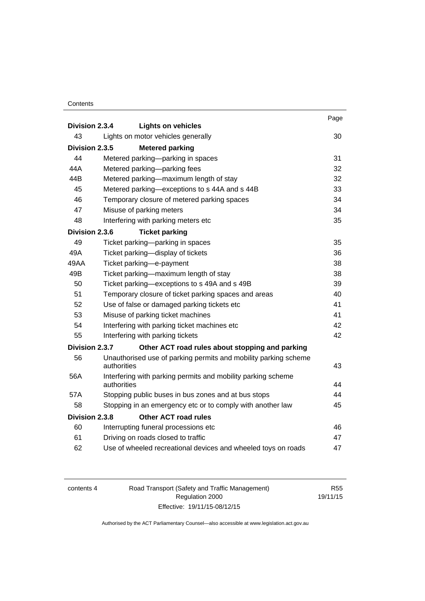#### **Contents**

| Division 2.3.4 |                                                                                | Page |
|----------------|--------------------------------------------------------------------------------|------|
| 43             | <b>Lights on vehicles</b><br>Lights on motor vehicles generally                | 30   |
|                |                                                                                |      |
| Division 2.3.5 | <b>Metered parking</b>                                                         |      |
| 44             | Metered parking-parking in spaces                                              | 31   |
| 44A            | Metered parking-parking fees                                                   | 32   |
| 44B            | Metered parking-maximum length of stay                                         | 32   |
| 45             | Metered parking-exceptions to s 44A and s 44B                                  | 33   |
| 46             | Temporary closure of metered parking spaces                                    | 34   |
| 47             | Misuse of parking meters                                                       | 34   |
| 48             | Interfering with parking meters etc                                            | 35   |
| Division 2.3.6 | <b>Ticket parking</b>                                                          |      |
| 49             | Ticket parking-parking in spaces                                               | 35   |
| 49A            | Ticket parking-display of tickets                                              | 36   |
| 49AA           | Ticket parking-e-payment                                                       | 38   |
| 49B            | Ticket parking—maximum length of stay                                          | 38   |
| 50             | Ticket parking-exceptions to s 49A and s 49B                                   | 39   |
| 51             | Temporary closure of ticket parking spaces and areas                           | 40   |
| 52             | Use of false or damaged parking tickets etc                                    | 41   |
| 53             | Misuse of parking ticket machines                                              | 41   |
| 54             | Interfering with parking ticket machines etc                                   | 42   |
| 55             | Interfering with parking tickets                                               | 42   |
| Division 2.3.7 | Other ACT road rules about stopping and parking                                |      |
| 56             | Unauthorised use of parking permits and mobility parking scheme<br>authorities | 43   |
| 56A            | Interfering with parking permits and mobility parking scheme                   |      |
|                | authorities                                                                    | 44   |
| 57A            | Stopping public buses in bus zones and at bus stops                            | 44   |
| 58             | Stopping in an emergency etc or to comply with another law                     | 45   |
| Division 2.3.8 | <b>Other ACT road rules</b>                                                    |      |
| 60             | Interrupting funeral processions etc                                           | 46   |
| 61             | Driving on roads closed to traffic                                             | 47   |
| 62             | Use of wheeled recreational devices and wheeled toys on roads                  | 47   |

| contents 4 | Road Transport (Safety and Traffic Management) | R <sub>55</sub> |
|------------|------------------------------------------------|-----------------|
|            | Regulation 2000                                | 19/11/15        |
|            | Effective: 19/11/15-08/12/15                   |                 |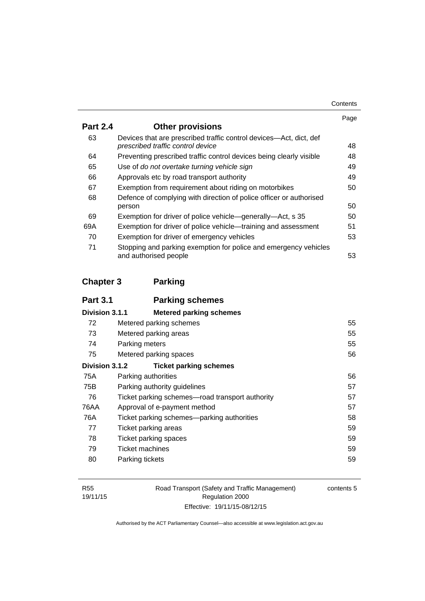| Contents |
|----------|
|----------|

|                                                                                                         | Page |
|---------------------------------------------------------------------------------------------------------|------|
| <b>Other provisions</b>                                                                                 |      |
| Devices that are prescribed traffic control devices—Act, dict, def<br>prescribed traffic control device | 48   |
| Preventing prescribed traffic control devices being clearly visible                                     | 48   |
| Use of do not overtake turning vehicle sign                                                             | 49   |
| Approvals etc by road transport authority                                                               | 49   |
| Exemption from requirement about riding on motorbikes                                                   | 50   |
| Defence of complying with direction of police officer or authorised                                     |      |
| person                                                                                                  | 50   |
| Exemption for driver of police vehicle-generally-Act, s 35                                              | 50   |
| Exemption for driver of police vehicle—training and assessment                                          | 51   |
| Exemption for driver of emergency vehicles                                                              | 53   |
| Stopping and parking exemption for police and emergency vehicles<br>and authorised people               | 53   |
|                                                                                                         |      |

# **[Chapter 3](#page-71-0) Parking**

| <b>Part 3.1</b> | <b>Parking schemes</b>                          |    |
|-----------------|-------------------------------------------------|----|
| Division 3.1.1  | <b>Metered parking schemes</b>                  |    |
| 72              | Metered parking schemes                         | 55 |
| 73              | Metered parking areas                           | 55 |
| 74              | Parking meters                                  | 55 |
| 75              | Metered parking spaces                          | 56 |
| Division 3.1.2  | <b>Ticket parking schemes</b>                   |    |
| 75A             | Parking authorities                             | 56 |
| 75B             | Parking authority guidelines                    | 57 |
| 76              | Ticket parking schemes—road transport authority | 57 |
| 76AA            | Approval of e-payment method                    | 57 |
| 76A             | Ticket parking schemes—parking authorities      | 58 |
| 77              | Ticket parking areas                            | 59 |
| 78              | Ticket parking spaces                           | 59 |
| 79              | Ticket machines                                 | 59 |
| 80              | Parking tickets                                 | 59 |
|                 |                                                 |    |

Road Transport (Safety and Traffic Management) Regulation 2000 Effective: 19/11/15-08/12/15

contents 5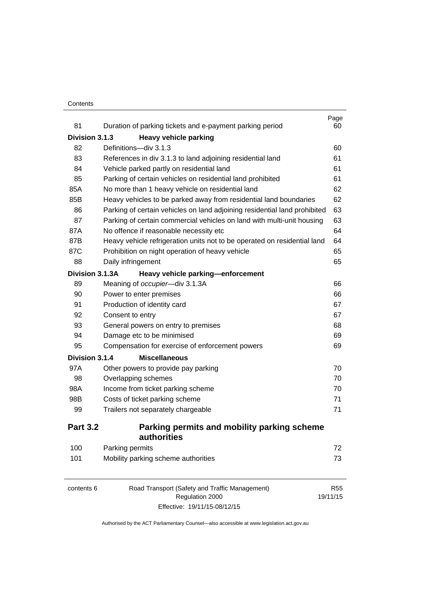#### **Contents**

| 81              | Duration of parking tickets and e-payment parking period                  | Page<br>60 |
|-----------------|---------------------------------------------------------------------------|------------|
| Division 3.1.3  | <b>Heavy vehicle parking</b>                                              |            |
| 82              | Definitions-div 3.1.3                                                     | 60         |
| 83              | References in div 3.1.3 to land adjoining residential land                | 61         |
| 84              | Vehicle parked partly on residential land                                 | 61         |
| 85              | Parking of certain vehicles on residential land prohibited                | 61         |
| 85A             | No more than 1 heavy vehicle on residential land                          | 62         |
| 85B             | Heavy vehicles to be parked away from residential land boundaries         | 62         |
| 86              | Parking of certain vehicles on land adjoining residential land prohibited | 63         |
| 87              | Parking of certain commercial vehicles on land with multi-unit housing    | 63         |
| 87A             | No offence if reasonable necessity etc                                    | 64         |
| 87B             | Heavy vehicle refrigeration units not to be operated on residential land  | 64         |
| 87C             | Prohibition on night operation of heavy vehicle                           | 65         |
| 88              | Daily infringement                                                        | 65         |
| Division 3.1.3A | Heavy vehicle parking-enforcement                                         |            |
| 89              | Meaning of occupier-div 3.1.3A                                            | 66         |
| 90              | Power to enter premises                                                   | 66         |
| 91              | Production of identity card                                               | 67         |
| 92              | Consent to entry                                                          | 67         |
| 93              | General powers on entry to premises                                       | 68         |
| 94              | Damage etc to be minimised                                                | 69         |
| 95              | Compensation for exercise of enforcement powers                           | 69         |
| Division 3.1.4  | <b>Miscellaneous</b>                                                      |            |
| 97A             | Other powers to provide pay parking                                       | 70         |
| 98              | Overlapping schemes                                                       | 70         |
| 98A             | Income from ticket parking scheme                                         | 70         |
| 98B             | Costs of ticket parking scheme                                            | 71         |
| 99              | Trailers not separately chargeable                                        | 71         |
| <b>Part 3.2</b> | Parking permits and mobility parking scheme<br>authorities                |            |
| 100             | Parking permits                                                           | 72         |
| 101             | Mobility parking scheme authorities                                       | 73         |

| contents 6 | Road Transport (Safety and Traffic Management) | R55      |
|------------|------------------------------------------------|----------|
|            | Regulation 2000                                | 19/11/15 |
|            | Effective: 19/11/15-08/12/15                   |          |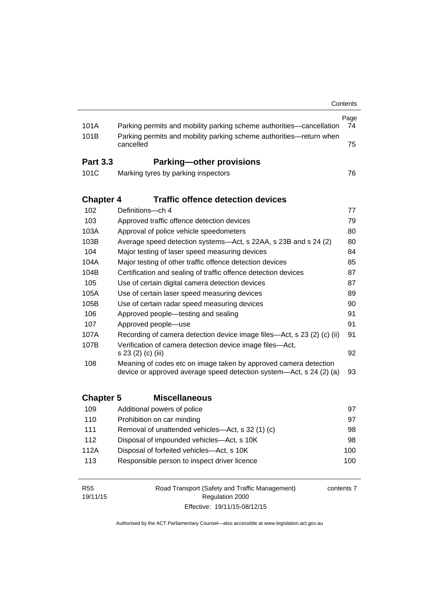|                        |                                                                                                                                         | Contents   |
|------------------------|-----------------------------------------------------------------------------------------------------------------------------------------|------------|
| 101A                   | Parking permits and mobility parking scheme authorities—cancellation                                                                    | Page<br>74 |
| 101B                   | Parking permits and mobility parking scheme authorities-return when<br>cancelled                                                        | 75         |
| <b>Part 3.3</b>        | <b>Parking-other provisions</b>                                                                                                         |            |
| 101C                   | Marking tyres by parking inspectors                                                                                                     | 76         |
| <b>Chapter 4</b>       | <b>Traffic offence detection devices</b>                                                                                                |            |
| 102                    | Definitions-ch 4                                                                                                                        | 77         |
| 103                    | Approved traffic offence detection devices                                                                                              | 79         |
| 103A                   | Approval of police vehicle speedometers                                                                                                 | 80         |
| 103B                   | Average speed detection systems-Act, s 22AA, s 23B and s 24 (2)                                                                         | 80         |
| 104                    | Major testing of laser speed measuring devices                                                                                          | 84         |
| 104A                   | Major testing of other traffic offence detection devices                                                                                | 85         |
| 104B                   | Certification and sealing of traffic offence detection devices                                                                          | 87         |
| 105                    | Use of certain digital camera detection devices                                                                                         | 87         |
| 105A                   | Use of certain laser speed measuring devices                                                                                            | 89         |
| 105B                   | Use of certain radar speed measuring devices                                                                                            | 90         |
| 106                    | Approved people-testing and sealing                                                                                                     | 91         |
| 107                    | Approved people-use                                                                                                                     | 91         |
| 107A                   | Recording of camera detection device image files—Act, s 23 (2) (c) (ii)                                                                 | 91         |
| 107B                   | Verification of camera detection device image files-Act,<br>s 23 (2) (c) (iii)                                                          | 92         |
| 108                    | Meaning of codes etc on image taken by approved camera detection<br>device or approved average speed detection system—Act, s 24 (2) (a) | 93         |
| <b>Chapter 5</b>       | <b>Miscellaneous</b>                                                                                                                    |            |
| 109                    | Additional powers of police                                                                                                             | 97         |
| 110                    | Prohibition on car minding                                                                                                              | 97         |
| 111                    | Removal of unattended vehicles-Act, s 32 (1) (c)                                                                                        | 98         |
| 112                    | Disposal of impounded vehicles-Act, s 10K                                                                                               | 98         |
| 112A                   | Disposal of forfeited vehicles-Act, s 10K                                                                                               | 100        |
| 113                    | Responsible person to inspect driver licence                                                                                            | 100        |
| <b>R55</b><br>19/11/15 | Road Transport (Safety and Traffic Management)<br>Regulation 2000                                                                       | contents 7 |

Authorised by the ACT Parliamentary Counsel—also accessible at www.legislation.act.gov.au

Effective: 19/11/15-08/12/15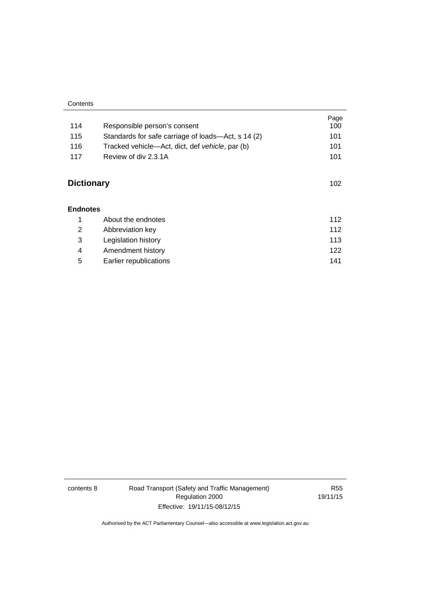| Contents |  |
|----------|--|
|          |  |

| 114               | Responsible person's consent                       | Page<br>100 |
|-------------------|----------------------------------------------------|-------------|
| 115               | Standards for safe carriage of loads—Act, s 14 (2) | 101         |
| 116               | Tracked vehicle—Act, dict, def vehicle, par (b)    | 101         |
| 117               | Review of div 2.3.1A                               | 101         |
| <b>Dictionary</b> |                                                    | 102         |
| <b>Endnotes</b>   |                                                    |             |
| 1                 | About the endnotes                                 | 112         |
| 2                 | Abbreviation key                                   | 112         |
| 3                 | Legislation history                                | 113         |
| 4                 | Amendment history                                  | 122         |
| 5                 | Earlier republications                             | 141         |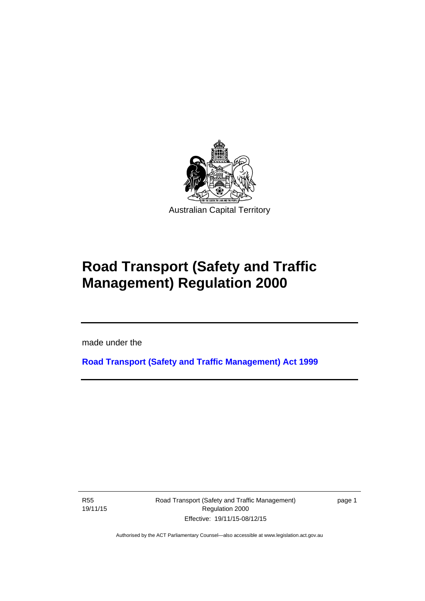

# **Road Transport (Safety and Traffic Management) Regulation 2000**

made under the

**[Road Transport \(Safety and Traffic Management\) Act 1999](http://www.legislation.act.gov.au/a/1999-80)**

R55 19/11/15

l

Road Transport (Safety and Traffic Management) Regulation 2000 Effective: 19/11/15-08/12/15

page 1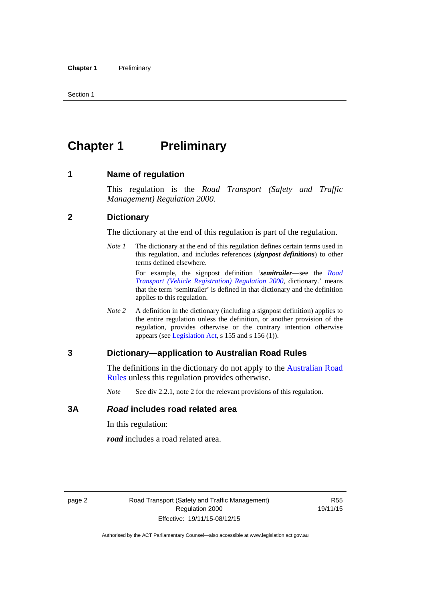# <span id="page-11-0"></span>**Chapter 1** Preliminary

#### <span id="page-11-1"></span>**1 Name of regulation**

This regulation is the *Road Transport (Safety and Traffic Management) Regulation 2000*.

#### <span id="page-11-2"></span>**2 Dictionary**

The dictionary at the end of this regulation is part of the regulation.

*Note 1* The dictionary at the end of this regulation defines certain terms used in this regulation, and includes references (*signpost definitions*) to other terms defined elsewhere.

> For example, the signpost definition '*semitrailer*—see the *[Road](http://www.legislation.act.gov.au/sl/2000-12)  [Transport \(Vehicle Registration\) Regulation 2000](http://www.legislation.act.gov.au/sl/2000-12)*, dictionary.' means that the term 'semitrailer' is defined in that dictionary and the definition applies to this regulation.

*Note 2* A definition in the dictionary (including a signpost definition) applies to the entire regulation unless the definition, or another provision of the regulation, provides otherwise or the contrary intention otherwise appears (see [Legislation Act,](http://www.legislation.act.gov.au/a/2001-14) s 155 and s 156 (1)).

#### <span id="page-11-3"></span>**3 Dictionary—application to Australian Road Rules**

The definitions in the dictionary do not apply to the Australian Road [Rules](http://www.legislation.act.gov.au//ni/db_37271/default.asp) unless this regulation provides otherwise.

*Note* See div 2.2.1, note 2 for the relevant provisions of this regulation.

#### <span id="page-11-4"></span>**3A** *Road* **includes road related area**

In this regulation:

*road* includes a road related area.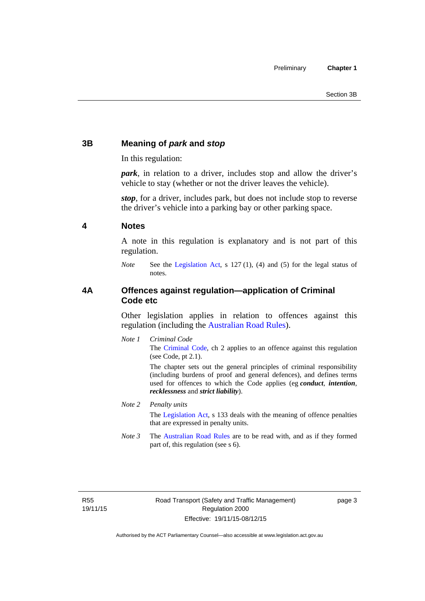# <span id="page-12-0"></span>**3B Meaning of** *park* **and** *stop*

In this regulation:

*park*, in relation to a driver, includes stop and allow the driver's vehicle to stay (whether or not the driver leaves the vehicle).

*stop*, for a driver, includes park, but does not include stop to reverse the driver's vehicle into a parking bay or other parking space.

#### <span id="page-12-1"></span>**4 Notes**

A note in this regulation is explanatory and is not part of this regulation.

*Note* See the [Legislation Act,](http://www.legislation.act.gov.au/a/2001-14) s 127 (1), (4) and (5) for the legal status of notes.

### <span id="page-12-2"></span>**4A Offences against regulation—application of Criminal Code etc**

Other legislation applies in relation to offences against this regulation (including the [Australian Road Rules](http://www.legislation.act.gov.au//ni/db_37271/default.asp)).

*Note 1 Criminal Code* The [Criminal Code,](http://www.legislation.act.gov.au/a/2002-51) ch 2 applies to an offence against this regulation (see Code, pt 2.1).

> The chapter sets out the general principles of criminal responsibility (including burdens of proof and general defences), and defines terms used for offences to which the Code applies (eg *conduct*, *intention*, *recklessness* and *strict liability*).

#### *Note 2 Penalty units*

The [Legislation Act](http://www.legislation.act.gov.au/a/2001-14), s 133 deals with the meaning of offence penalties that are expressed in penalty units.

*Note 3* The [Australian Road Rules](http://www.legislation.act.gov.au//ni/db_37271/default.asp) are to be read with, and as if they formed part of, this regulation (see s 6).

R55 19/11/15 page 3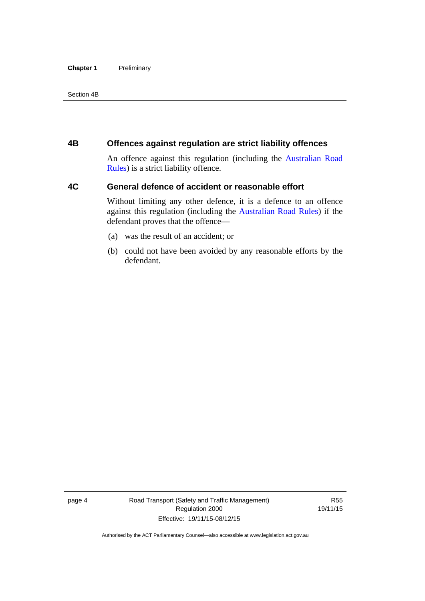#### **Chapter 1** Preliminary

Section 4B

### <span id="page-13-0"></span>**4B Offences against regulation are strict liability offences**

An offence against this regulation (including the [Australian Road](http://www.legislation.act.gov.au//ni/db_37271/default.asp)  [Rules](http://www.legislation.act.gov.au//ni/db_37271/default.asp)) is a strict liability offence.

# <span id="page-13-1"></span>**4C General defence of accident or reasonable effort**

Without limiting any other defence, it is a defence to an offence against this regulation (including the [Australian Road Rules\)](http://www.legislation.act.gov.au//ni/db_37271/default.asp) if the defendant proves that the offence—

- (a) was the result of an accident; or
- (b) could not have been avoided by any reasonable efforts by the defendant.

page 4 Road Transport (Safety and Traffic Management) Regulation 2000 Effective: 19/11/15-08/12/15

R55 19/11/15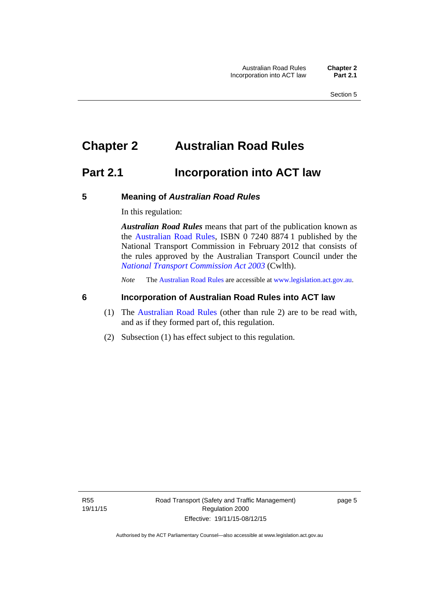# <span id="page-14-0"></span>**Chapter 2 Australian Road Rules**

# <span id="page-14-1"></span>**Part 2.1 Incorporation into ACT law**

#### <span id="page-14-2"></span>**5 Meaning of** *Australian Road Rules*

In this regulation:

*Australian Road Rules* means that part of the publication known as the [Australian Road Rules](http://www.legislation.act.gov.au//ni/db_37271/default.asp), ISBN 0 7240 8874 1 published by the National Transport Commission in February 2012 that consists of the rules approved by the Australian Transport Council under the *[National Transport Commission Act 2003](http://www.comlaw.gov.au/Series/C2004A01166)* (Cwlth).

*Note* The [Australian Road Rules](http://www.legislation.act.gov.au//ni/db_37271/default.asp) are accessible at [www.legislation.act.gov.au](http://www.legislation.act.gov.au/).

### <span id="page-14-3"></span>**6 Incorporation of Australian Road Rules into ACT law**

- (1) The [Australian Road Rules](http://www.legislation.act.gov.au//ni/db_37271/default.asp) (other than rule 2) are to be read with, and as if they formed part of, this regulation.
- (2) Subsection (1) has effect subject to this regulation.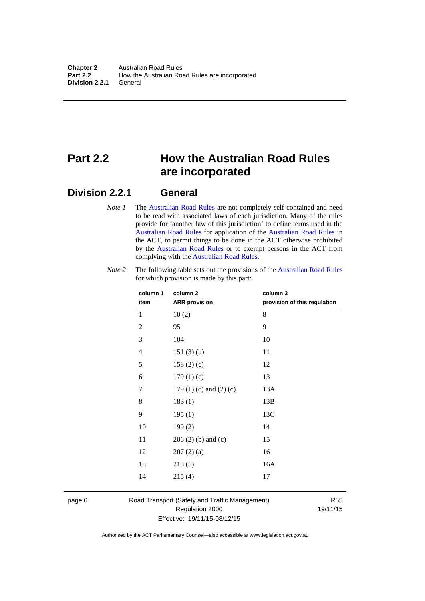# <span id="page-15-0"></span>**Part 2.2 How the Australian Road Rules are incorporated**

# <span id="page-15-1"></span>**Division 2.2.1 General**

*Note 1* The [Australian Road Rules](http://www.legislation.act.gov.au//ni/db_37271/default.asp) are not completely self-contained and need to be read with associated laws of each jurisdiction. Many of the rules provide for 'another law of this jurisdiction' to define terms used in the [Australian Road Rules](http://www.legislation.act.gov.au//ni/db_37271/default.asp) for application of the [Australian Road Rules](http://www.legislation.act.gov.au//ni/db_37271/default.asp) in the ACT, to permit things to be done in the ACT otherwise prohibited by the [Australian Road Rules](http://www.legislation.act.gov.au//ni/db_37271/default.asp) or to exempt persons in the ACT from complying with the [Australian Road Rules.](http://www.legislation.act.gov.au//ni/db_37271/default.asp)

| column 1<br>item | column <sub>2</sub><br><b>ARR</b> provision | column 3<br>provision of this regulation |
|------------------|---------------------------------------------|------------------------------------------|
| 1                | 10(2)                                       | 8                                        |
| $\overline{2}$   | 95                                          | 9                                        |
| 3                | 104                                         | 10                                       |
| $\overline{4}$   | 151(3)(b)                                   | 11                                       |
| 5                | 158 $(2)(c)$                                | 12                                       |
| 6                | 179(1)(c)                                   | 13                                       |
| 7                | 179 $(1)$ $(c)$ and $(2)$ $(c)$             | 13A                                      |
| 8                | 183(1)                                      | 13B                                      |
| 9                | 195(1)                                      | 13C                                      |
| 10               | 199(2)                                      | 14                                       |
| 11               | $206(2)$ (b) and (c)                        | 15                                       |
| 12               | 207(2)(a)                                   | 16                                       |
| 13               | 213(5)                                      | 16A                                      |
| 14               | 215(4)                                      | 17                                       |

*Note 2* The following table sets out the provisions of the [Australian Road Rules](http://www.legislation.act.gov.au//ni/db_37271/default.asp) for which provision is made by this part:

page 6 Road Transport (Safety and Traffic Management) Regulation 2000 Effective: 19/11/15-08/12/15

R55 19/11/15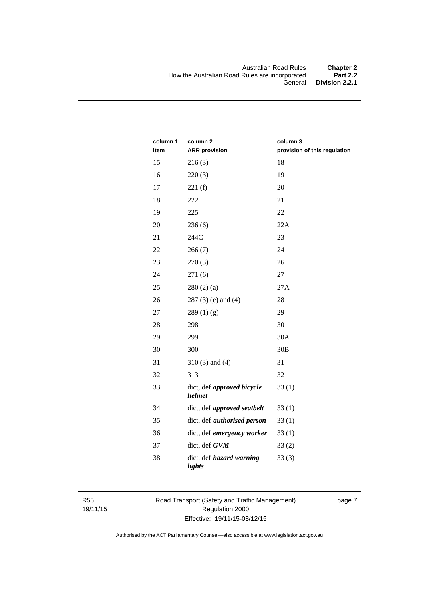| column 1<br>item | column <sub>2</sub><br><b>ARR</b> provision | column 3<br>provision of this regulation |
|------------------|---------------------------------------------|------------------------------------------|
| 15               | 216(3)                                      | 18                                       |
| 16               | 220(3)                                      | 19                                       |
| 17               | 221(f)                                      | 20                                       |
| 18               | 222                                         | 21                                       |
| 19               | 225                                         | 22                                       |
| 20               | 236(6)                                      | 22A                                      |
| 21               | 244C                                        | 23                                       |
| 22               | 266(7)                                      | 24                                       |
| 23               | 270(3)                                      | 26                                       |
| 24               | 271(6)                                      | 27                                       |
| 25               | 280(2)(a)                                   | 27A                                      |
| 26               | $287(3)$ (e) and (4)                        | 28                                       |
| 27               | 289(1)(g)                                   | 29                                       |
| 28               | 298                                         | 30                                       |
| 29               | 299                                         | 30A                                      |
| 30               | 300                                         | 30B                                      |
| 31               | $310(3)$ and $(4)$                          | 31                                       |
| 32               | 313                                         | 32                                       |
| 33               | dict, def approved bicycle<br>helmet        | 33(1)                                    |
| 34               | dict, def approved seatbelt                 | 33(1)                                    |
| 35               | dict, def <i>authorised</i> person          | 33(1)                                    |
| 36               | dict, def emergency worker                  | 33(1)                                    |
| 37               | dict, def GVM                               | 33(2)                                    |
| 38               | dict, def hazard warning<br>lights          | 33(3)                                    |

R55 19/11/15 Road Transport (Safety and Traffic Management) Regulation 2000 Effective: 19/11/15-08/12/15

page 7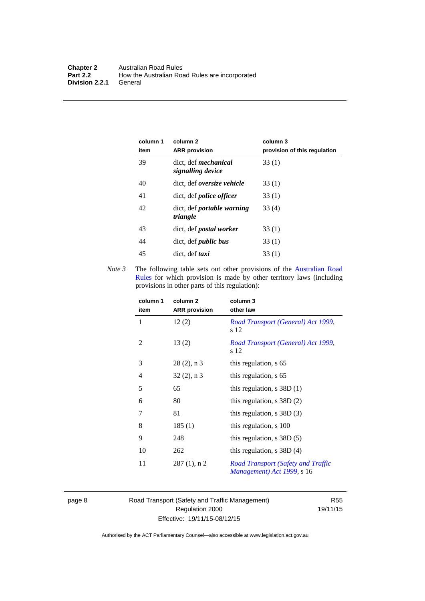| column 1<br>item | column 2<br><b>ARR</b> provision                 | column 3<br>provision of this regulation |
|------------------|--------------------------------------------------|------------------------------------------|
| 39               | dict. def <i>mechanical</i><br>signalling device | 33(1)                                    |
| 40               | dict, def oversize vehicle                       | 33(1)                                    |
| 41               | dict, def <i>police</i> officer                  | 33(1)                                    |
| 42               | dict, def <i>portable</i> warning<br>triangle    | 33(4)                                    |
| 43               | dict, def <i>postal</i> worker                   | 33(1)                                    |
| 44               | dict, def <i>public</i> bus                      | 33(1)                                    |
| 45               | dict, def taxi                                   | 33(1)                                    |

*Note 3* The following table sets out other provisions of the Australian Road [Rules](http://www.legislation.act.gov.au//ni/db_37271/default.asp) for which provision is made by other territory laws (including provisions in other parts of this regulation):

| column 1<br>item | column 2<br><b>ARR</b> provision | column 3<br>other law                                                   |
|------------------|----------------------------------|-------------------------------------------------------------------------|
| 1                | 12(2)                            | Road Transport (General) Act 1999,<br>s 12                              |
| 2                | 13(2)                            | Road Transport (General) Act 1999,<br>s 12                              |
| 3                | $28(2)$ , n 3                    | this regulation, s 65                                                   |
| 4                | $32(2)$ , n 3                    | this regulation, s 65                                                   |
| 5                | 65                               | this regulation, $s$ 38D (1)                                            |
| 6                | 80                               | this regulation, $s$ 38D $(2)$                                          |
| 7                | 81                               | this regulation, $s$ 38D $(3)$                                          |
| 8                | 185(1)                           | this regulation, s 100                                                  |
| 9                | 248                              | this regulation, $s$ 38D $(5)$                                          |
| 10               | 262                              | this regulation, $s$ 38D $(4)$                                          |
| 11               | $287(1)$ , n 2                   | <b>Road Transport (Safety and Traffic</b><br>Management) Act 1999, s 16 |

page 8 Road Transport (Safety and Traffic Management) Regulation 2000 Effective: 19/11/15-08/12/15

R55 19/11/15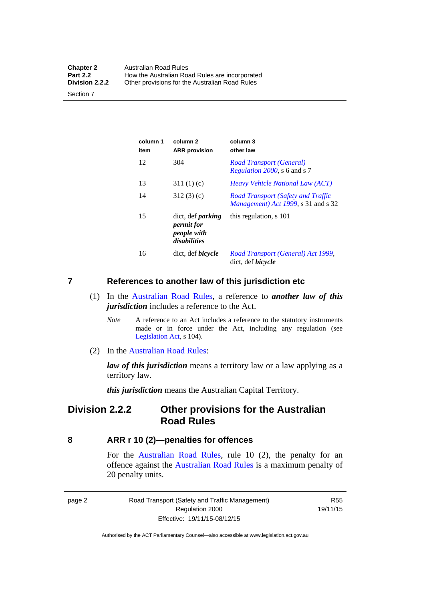| <b>Chapter 2</b> | Australian Road Rules                          |
|------------------|------------------------------------------------|
| <b>Part 2.2</b>  | How the Australian Road Rules are incorporated |
| Division 2.2.2   | Other provisions for the Australian Road Rules |

Section 7

| column 1<br>item | column <sub>2</sub><br><b>ARR</b> provision                           | column 3<br>other law                                                                    |
|------------------|-----------------------------------------------------------------------|------------------------------------------------------------------------------------------|
| 12               | 304                                                                   | Road Transport (General)<br>Regulation 2000, s 6 and s 7                                 |
| 13               | 311(1)(c)                                                             | <i>Heavy Vehicle National Law (ACT)</i>                                                  |
| 14               | 312(3)(c)                                                             | <b>Road Transport (Safety and Traffic</b><br><i>Management</i> ) Act 1999, s 31 and s 32 |
| 15               | dict, def <i>parking</i><br>permit for<br>people with<br>disabilities | this regulation, s 101                                                                   |
| 16               | dict, def <i>bicycle</i>                                              | Road Transport (General) Act 1999,<br>dict, def <i>bicycle</i>                           |

#### <span id="page-18-0"></span>**7 References to another law of this jurisdiction etc**

- (1) In the [Australian Road Rules,](http://www.legislation.act.gov.au//ni/db_37271/default.asp) a reference to *another law of this jurisdiction* includes a reference to the Act.
	- *Note* A reference to an Act includes a reference to the statutory instruments made or in force under the Act, including any regulation (see [Legislation Act,](http://www.legislation.act.gov.au/a/2001-14) s 104).
- (2) In the [Australian Road Rules](http://www.legislation.act.gov.au//ni/db_37271/default.asp):

*law of this jurisdiction* means a territory law or a law applying as a territory law.

*this jurisdiction* means the Australian Capital Territory.

# <span id="page-18-1"></span>**Division 2.2.2 Other provisions for the Australian Road Rules**

#### <span id="page-18-2"></span>**8 ARR r 10 (2)—penalties for offences**

For the [Australian Road Rules,](http://www.legislation.act.gov.au//ni/db_37271/default.asp) rule 10 (2), the penalty for an offence against the [Australian Road Rules](http://www.legislation.act.gov.au//ni/db_37271/default.asp) is a maximum penalty of 20 penalty units.

|--|--|

Road Transport (Safety and Traffic Management) Regulation 2000 Effective: 19/11/15-08/12/15

R55 19/11/15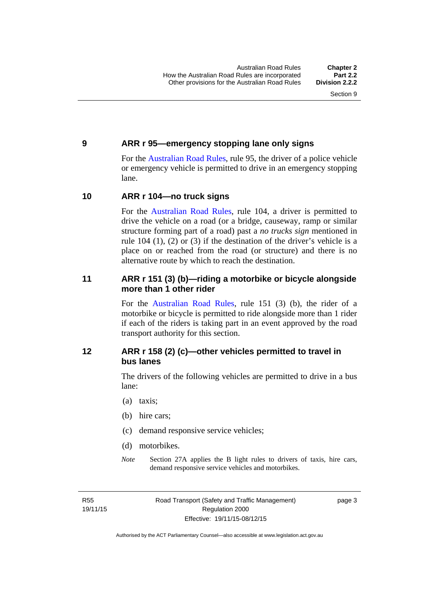#### <span id="page-19-0"></span>**9 ARR r 95—emergency stopping lane only signs**

For the [Australian Road Rules,](http://www.legislation.act.gov.au//ni/db_37271/default.asp) rule 95, the driver of a police vehicle or emergency vehicle is permitted to drive in an emergency stopping lane.

#### <span id="page-19-1"></span>**10 ARR r 104—no truck signs**

For the [Australian Road Rules,](http://www.legislation.act.gov.au//ni/db_37271/default.asp) rule 104, a driver is permitted to drive the vehicle on a road (or a bridge, causeway, ramp or similar structure forming part of a road) past a *no trucks sign* mentioned in rule 104 (1), (2) or (3) if the destination of the driver's vehicle is a place on or reached from the road (or structure) and there is no alternative route by which to reach the destination.

### <span id="page-19-2"></span>**11 ARR r 151 (3) (b)—riding a motorbike or bicycle alongside more than 1 other rider**

For the [Australian Road Rules](http://www.legislation.act.gov.au//ni/db_37271/default.asp), rule 151 (3) (b), the rider of a motorbike or bicycle is permitted to ride alongside more than 1 rider if each of the riders is taking part in an event approved by the road transport authority for this section.

# <span id="page-19-3"></span>**12 ARR r 158 (2) (c)—other vehicles permitted to travel in bus lanes**

The drivers of the following vehicles are permitted to drive in a bus lane:

- (a) taxis;
- (b) hire cars;
- (c) demand responsive service vehicles;
- (d) motorbikes.
- *Note* Section 27A applies the B light rules to drivers of taxis, hire cars, demand responsive service vehicles and motorbikes.

R55 19/11/15 page 3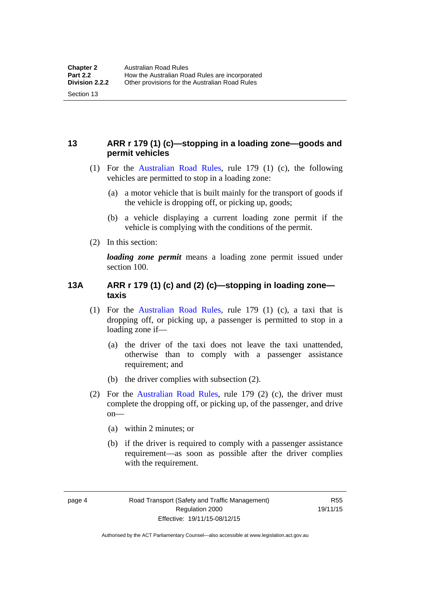# <span id="page-20-0"></span>**13 ARR r 179 (1) (c)—stopping in a loading zone—goods and permit vehicles**

- (1) For the [Australian Road Rules,](http://www.legislation.act.gov.au//ni/db_37271/default.asp) rule 179 (1) (c), the following vehicles are permitted to stop in a loading zone:
	- (a) a motor vehicle that is built mainly for the transport of goods if the vehicle is dropping off, or picking up, goods;
	- (b) a vehicle displaying a current loading zone permit if the vehicle is complying with the conditions of the permit.
- (2) In this section:

Section 13

*loading zone permit* means a loading zone permit issued under section 100.

### <span id="page-20-1"></span>**13A ARR r 179 (1) (c) and (2) (c)—stopping in loading zone taxis**

- (1) For the [Australian Road Rules,](http://www.legislation.act.gov.au//ni/db_37271/default.asp) rule 179 (1) (c), a taxi that is dropping off, or picking up, a passenger is permitted to stop in a loading zone if—
	- (a) the driver of the taxi does not leave the taxi unattended, otherwise than to comply with a passenger assistance requirement; and
	- (b) the driver complies with subsection (2).
- (2) For the [Australian Road Rules,](http://www.legislation.act.gov.au//ni/db_37271/default.asp) rule 179 (2) (c), the driver must complete the dropping off, or picking up, of the passenger, and drive on—
	- (a) within 2 minutes; or
	- (b) if the driver is required to comply with a passenger assistance requirement—as soon as possible after the driver complies with the requirement.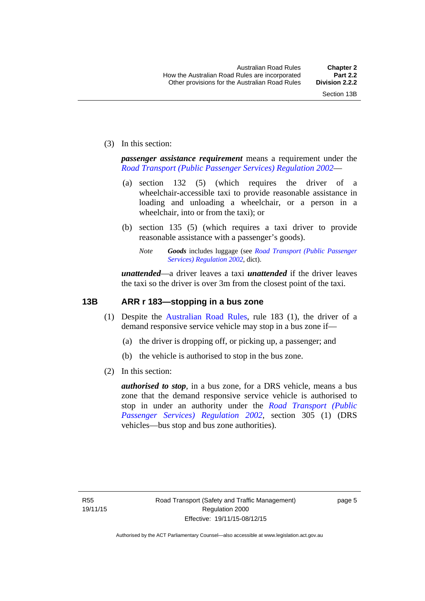(3) In this section:

*passenger assistance requirement* means a requirement under the *[Road Transport \(Public Passenger Services\) Regulation 2002](http://www.legislation.act.gov.au/sl/2002-3)*—

- (a) section 132 (5) (which requires the driver of a wheelchair-accessible taxi to provide reasonable assistance in loading and unloading a wheelchair, or a person in a wheelchair, into or from the taxi); or
- (b) section 135 (5) (which requires a taxi driver to provide reasonable assistance with a passenger's goods).
	- *Note Goods* includes luggage (see *[Road Transport \(Public Passenger](http://www.legislation.act.gov.au/sl/2002-3)  [Services\) Regulation 2002](http://www.legislation.act.gov.au/sl/2002-3)*, dict).

*unattended*—a driver leaves a taxi *unattended* if the driver leaves the taxi so the driver is over 3m from the closest point of the taxi.

### <span id="page-21-0"></span>**13B ARR r 183—stopping in a bus zone**

- (1) Despite the [Australian Road Rules](http://www.legislation.act.gov.au//ni/db_37271/default.asp), rule 183 (1), the driver of a demand responsive service vehicle may stop in a bus zone if—
	- (a) the driver is dropping off, or picking up, a passenger; and
	- (b) the vehicle is authorised to stop in the bus zone.
- (2) In this section:

*authorised to stop*, in a bus zone, for a DRS vehicle, means a bus zone that the demand responsive service vehicle is authorised to stop in under an authority under the *[Road Transport \(Public](http://www.legislation.act.gov.au/sl/2002-3)  [Passenger Services\) Regulation 2002](http://www.legislation.act.gov.au/sl/2002-3)*, section 305 (1) (DRS vehicles—bus stop and bus zone authorities).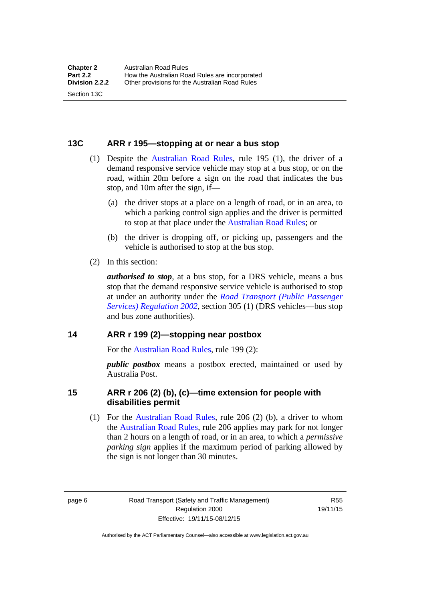#### <span id="page-22-0"></span>**13C ARR r 195—stopping at or near a bus stop**

- (1) Despite the [Australian Road Rules](http://www.legislation.act.gov.au//ni/db_37271/default.asp), rule 195 (1), the driver of a demand responsive service vehicle may stop at a bus stop, or on the road, within 20m before a sign on the road that indicates the bus stop, and 10m after the sign, if—
	- (a) the driver stops at a place on a length of road, or in an area, to which a parking control sign applies and the driver is permitted to stop at that place under the [Australian Road Rules;](http://www.legislation.act.gov.au//ni/db_37271/default.asp) or
	- (b) the driver is dropping off, or picking up, passengers and the vehicle is authorised to stop at the bus stop.
- (2) In this section:

Section 13C

*authorised to stop*, at a bus stop, for a DRS vehicle, means a bus stop that the demand responsive service vehicle is authorised to stop at under an authority under the *[Road Transport \(Public Passenger](http://www.legislation.act.gov.au/sl/2002-3)  [Services\) Regulation 2002](http://www.legislation.act.gov.au/sl/2002-3)*, section 305 (1) (DRS vehicles—bus stop and bus zone authorities).

#### <span id="page-22-1"></span>**14 ARR r 199 (2)—stopping near postbox**

For the [Australian Road Rules,](http://www.legislation.act.gov.au//ni/db_37271/default.asp) rule 199 (2):

*public postbox* means a postbox erected, maintained or used by Australia Post.

#### <span id="page-22-2"></span>**15 ARR r 206 (2) (b), (c)—time extension for people with disabilities permit**

 (1) For the [Australian Road Rules](http://www.legislation.act.gov.au//ni/db_37271/default.asp), rule 206 (2) (b), a driver to whom the [Australian Road Rules](http://www.legislation.act.gov.au//ni/db_37271/default.asp), rule 206 applies may park for not longer than 2 hours on a length of road, or in an area, to which a *permissive parking sign* applies if the maximum period of parking allowed by the sign is not longer than 30 minutes.

page 6 Road Transport (Safety and Traffic Management) Regulation 2000 Effective: 19/11/15-08/12/15

R55 19/11/15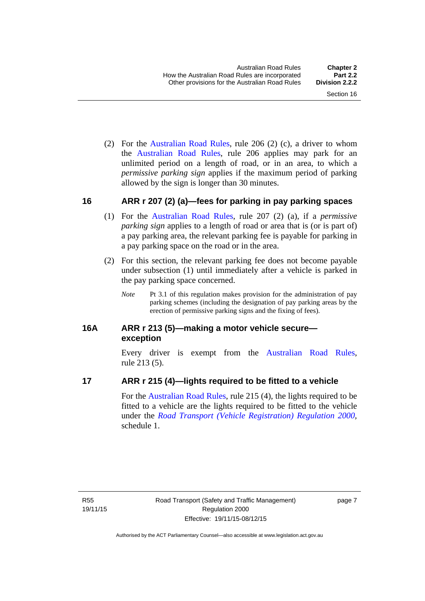(2) For the [Australian Road Rules,](http://www.legislation.act.gov.au//ni/db_37271/default.asp) rule 206 (2) (c), a driver to whom the [Australian Road Rules](http://www.legislation.act.gov.au//ni/db_37271/default.asp), rule 206 applies may park for an unlimited period on a length of road, or in an area, to which a *permissive parking sign* applies if the maximum period of parking allowed by the sign is longer than 30 minutes.

#### <span id="page-23-0"></span>**16 ARR r 207 (2) (a)—fees for parking in pay parking spaces**

- (1) For the [Australian Road Rules,](http://www.legislation.act.gov.au//ni/db_37271/default.asp) rule 207 (2) (a), if a *permissive parking sign* applies to a length of road or area that is (or is part of) a pay parking area, the relevant parking fee is payable for parking in a pay parking space on the road or in the area.
- (2) For this section, the relevant parking fee does not become payable under subsection (1) until immediately after a vehicle is parked in the pay parking space concerned.
	- *Note* Pt 3.1 of this regulation makes provision for the administration of pay parking schemes (including the designation of pay parking areas by the erection of permissive parking signs and the fixing of fees).

### <span id="page-23-1"></span>**16A ARR r 213 (5)—making a motor vehicle secure exception**

Every driver is exempt from the [Australian Road Rules](http://www.legislation.act.gov.au//ni/db_37271/default.asp), rule 213 (5).

#### <span id="page-23-2"></span>**17 ARR r 215 (4)—lights required to be fitted to a vehicle**

For the [Australian Road Rules,](http://www.legislation.act.gov.au//ni/db_37271/default.asp) rule 215 (4), the lights required to be fitted to a vehicle are the lights required to be fitted to the vehicle under the *[Road Transport \(Vehicle Registration\) Regulation 2000](http://www.legislation.act.gov.au/sl/2000-12),*  schedule 1.

page 7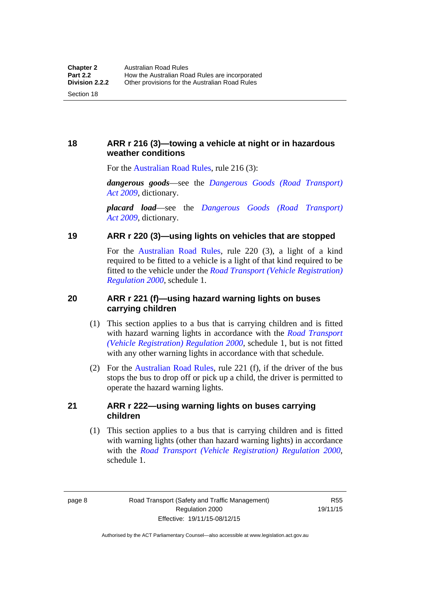<span id="page-24-0"></span>**18 ARR r 216 (3)—towing a vehicle at night or in hazardous weather conditions** 

For the [Australian Road Rules,](http://www.legislation.act.gov.au//ni/db_37271/default.asp) rule 216 (3):

*dangerous goods*—see the *[Dangerous Goods \(Road Transport\)](http://www.legislation.act.gov.au/a/2009-34)  [Act 2009](http://www.legislation.act.gov.au/a/2009-34)*, dictionary.

*placard load*—see the *[Dangerous Goods \(Road Transport\)](http://www.legislation.act.gov.au/a/2009-34)  [Act 2009](http://www.legislation.act.gov.au/a/2009-34)*, dictionary.

#### <span id="page-24-1"></span>**19 ARR r 220 (3)—using lights on vehicles that are stopped**

For the [Australian Road Rules](http://www.legislation.act.gov.au//ni/db_37271/default.asp), rule 220 (3), a light of a kind required to be fitted to a vehicle is a light of that kind required to be fitted to the vehicle under the *[Road Transport \(Vehicle Registration\)](http://www.legislation.act.gov.au/sl/2000-12)  [Regulation 2000](http://www.legislation.act.gov.au/sl/2000-12)*, schedule 1.

### <span id="page-24-2"></span>**20 ARR r 221 (f)—using hazard warning lights on buses carrying children**

- (1) This section applies to a bus that is carrying children and is fitted with hazard warning lights in accordance with the *[Road Transport](http://www.legislation.act.gov.au/sl/2000-12)  [\(Vehicle Registration\) Regulation 2000](http://www.legislation.act.gov.au/sl/2000-12)*, schedule 1, but is not fitted with any other warning lights in accordance with that schedule.
- (2) For the [Australian Road Rules](http://www.legislation.act.gov.au//ni/db_37271/default.asp), rule 221 (f), if the driver of the bus stops the bus to drop off or pick up a child, the driver is permitted to operate the hazard warning lights.

#### <span id="page-24-3"></span>**21 ARR r 222—using warning lights on buses carrying children**

(1) This section applies to a bus that is carrying children and is fitted with warning lights (other than hazard warning lights) in accordance with the *[Road Transport \(Vehicle Registration\) Regulation 2000](http://www.legislation.act.gov.au/sl/2000-12)*, schedule 1.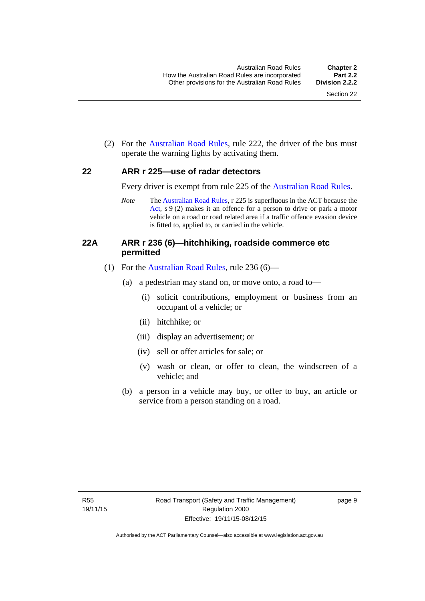(2) For the [Australian Road Rules](http://www.legislation.act.gov.au//ni/db_37271/default.asp), rule 222, the driver of the bus must operate the warning lights by activating them.

#### <span id="page-25-0"></span>**22 ARR r 225—use of radar detectors**

Every driver is exempt from rule 225 of the [Australian Road Rules.](http://www.legislation.act.gov.au//ni/db_37271/default.asp)

*Note* The [Australian Road Rules](http://www.legislation.act.gov.au//ni/db_37271/default.asp), r 225 is superfluous in the ACT because the [Act,](http://www.legislation.act.gov.au/a/1999-80/default.asp) s 9 (2) makes it an offence for a person to drive or park a motor vehicle on a road or road related area if a traffic offence evasion device is fitted to, applied to, or carried in the vehicle.

#### <span id="page-25-1"></span>**22A ARR r 236 (6)—hitchhiking, roadside commerce etc permitted**

- (1) For the [Australian Road Rules](http://www.legislation.act.gov.au//ni/db_37271/default.asp), rule 236 (6)—
	- (a) a pedestrian may stand on, or move onto, a road to—
		- (i) solicit contributions, employment or business from an occupant of a vehicle; or
		- (ii) hitchhike; or
		- (iii) display an advertisement; or
		- (iv) sell or offer articles for sale; or
		- (v) wash or clean, or offer to clean, the windscreen of a vehicle; and
	- (b) a person in a vehicle may buy, or offer to buy, an article or service from a person standing on a road.

page 9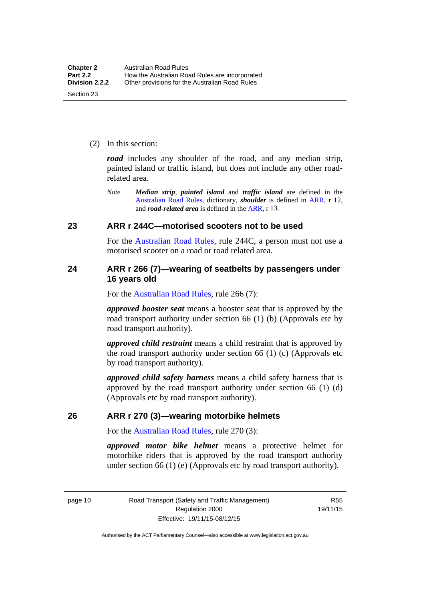(2) In this section:

*road* includes any shoulder of the road, and any median strip, painted island or traffic island, but does not include any other roadrelated area.

*Note Median strip*, *painted island* and *traffic island* are defined in the [Australian Road Rules](http://www.legislation.act.gov.au//ni/db_37271/default.asp), dictionary, *shoulder* is defined in [ARR,](http://www.legislation.act.gov.au//ni/db_37271/default.asp) r 12, and *road-related area* is defined in the [ARR,](http://www.legislation.act.gov.au//ni/db_37271/default.asp) r 13.

#### <span id="page-26-0"></span>**23 ARR r 244C—motorised scooters not to be used**

For the [Australian Road Rules](http://www.legislation.act.gov.au//ni/db_37271/default.asp), rule 244C, a person must not use a motorised scooter on a road or road related area.

#### <span id="page-26-1"></span>**24 ARR r 266 (7)—wearing of seatbelts by passengers under 16 years old**

For the [Australian Road Rules,](http://www.legislation.act.gov.au//ni/db_37271/default.asp) rule 266 (7):

*approved booster seat* means a booster seat that is approved by the road transport authority under section 66 (1) (b) (Approvals etc by road transport authority).

*approved child restraint* means a child restraint that is approved by the road transport authority under section 66 (1) (c) (Approvals etc by road transport authority).

*approved child safety harness* means a child safety harness that is approved by the road transport authority under section 66 (1) (d) (Approvals etc by road transport authority).

#### <span id="page-26-2"></span>**26 ARR r 270 (3)—wearing motorbike helmets**

For the [Australian Road Rules,](http://www.legislation.act.gov.au//ni/db_37271/default.asp) rule 270 (3):

*approved motor bike helmet* means a protective helmet for motorbike riders that is approved by the road transport authority under section 66 (1) (e) (Approvals etc by road transport authority).

page 10 Road Transport (Safety and Traffic Management) Regulation 2000 Effective: 19/11/15-08/12/15

R55 19/11/15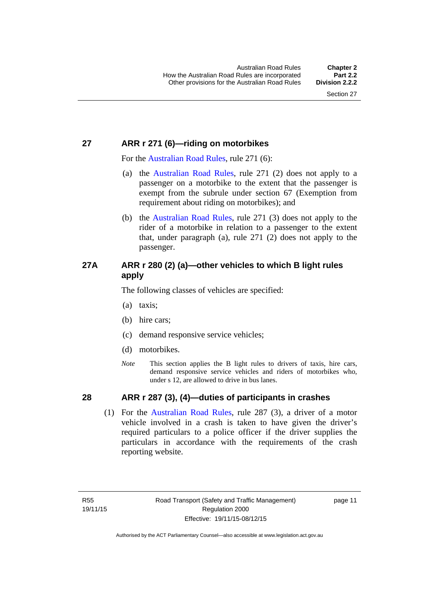# <span id="page-27-0"></span>**27 ARR r 271 (6)—riding on motorbikes**

For the [Australian Road Rules](http://www.legislation.act.gov.au//ni/db_37271/default.asp), rule 271 (6):

- (a) the [Australian Road Rules,](http://www.legislation.act.gov.au//ni/db_37271/default.asp) rule 271 (2) does not apply to a passenger on a motorbike to the extent that the passenger is exempt from the subrule under section 67 (Exemption from requirement about riding on motorbikes); and
- (b) the [Australian Road Rules](http://www.legislation.act.gov.au//ni/db_37271/default.asp), rule 271 (3) does not apply to the rider of a motorbike in relation to a passenger to the extent that, under paragraph (a), rule 271 (2) does not apply to the passenger.

# <span id="page-27-1"></span>**27A ARR r 280 (2) (a)—other vehicles to which B light rules apply**

The following classes of vehicles are specified:

- (a) taxis;
- (b) hire cars;
- (c) demand responsive service vehicles;
- (d) motorbikes.
- *Note* This section applies the B light rules to drivers of taxis, hire cars, demand responsive service vehicles and riders of motorbikes who, under s 12, are allowed to drive in bus lanes.

# <span id="page-27-2"></span>**28 ARR r 287 (3), (4)—duties of participants in crashes**

 (1) For the [Australian Road Rules,](http://www.legislation.act.gov.au//ni/db_37271/default.asp) rule 287 (3), a driver of a motor vehicle involved in a crash is taken to have given the driver's required particulars to a police officer if the driver supplies the particulars in accordance with the requirements of the crash reporting website.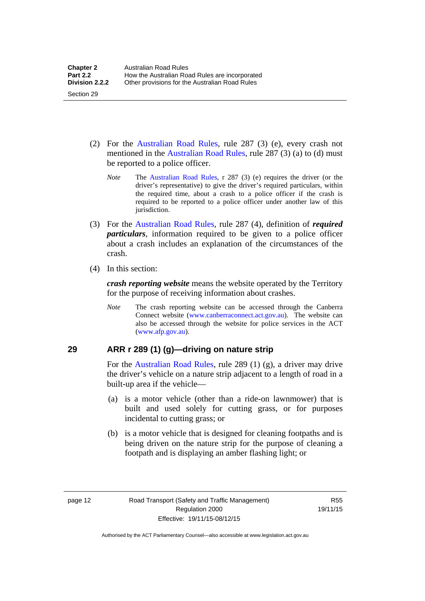- (2) For the [Australian Road Rules](http://www.legislation.act.gov.au//ni/db_37271/default.asp), rule 287 (3) (e), every crash not mentioned in the [Australian Road Rules,](http://www.legislation.act.gov.au//ni/db_37271/default.asp) rule 287 (3) (a) to (d) must be reported to a police officer.
	- *Note* The [Australian Road Rules](http://www.legislation.act.gov.au//ni/db_37271/default.asp), r 287 (3) (e) requires the driver (or the driver's representative) to give the driver's required particulars, within the required time, about a crash to a police officer if the crash is required to be reported to a police officer under another law of this jurisdiction.
- (3) For the [Australian Road Rules](http://www.legislation.act.gov.au//ni/db_37271/default.asp), rule 287 (4), definition of *required particulars*, information required to be given to a police officer about a crash includes an explanation of the circumstances of the crash.
- (4) In this section:

Section 29

*crash reporting website* means the website operated by the Territory for the purpose of receiving information about crashes.

*Note* The crash reporting website can be accessed through the Canberra Connect website [\(www.canberraconnect.act.gov.au](http://www.canberraconnect.act.gov.au/)). The website can also be accessed through the website for police services in the ACT [\(www.afp.gov.au\)](http://www.afp.gov.au/).

# <span id="page-28-0"></span>**29 ARR r 289 (1) (g)—driving on nature strip**

For the [Australian Road Rules](http://www.legislation.act.gov.au//ni/db_37271/default.asp), rule 289 (1) (g), a driver may drive the driver's vehicle on a nature strip adjacent to a length of road in a built-up area if the vehicle—

- (a) is a motor vehicle (other than a ride-on lawnmower) that is built and used solely for cutting grass, or for purposes incidental to cutting grass; or
- (b) is a motor vehicle that is designed for cleaning footpaths and is being driven on the nature strip for the purpose of cleaning a footpath and is displaying an amber flashing light; or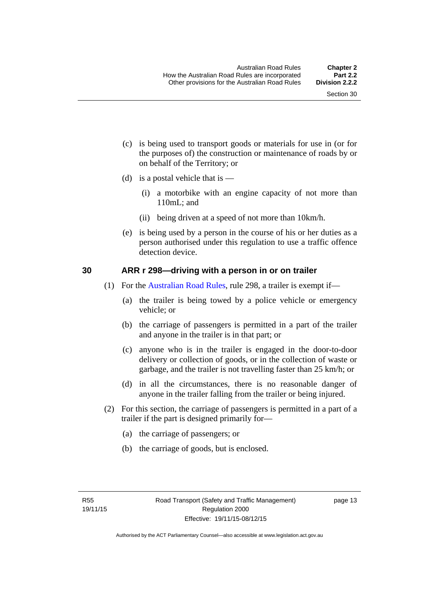- (c) is being used to transport goods or materials for use in (or for the purposes of) the construction or maintenance of roads by or on behalf of the Territory; or
- (d) is a postal vehicle that is  $-$ 
	- (i) a motorbike with an engine capacity of not more than 110mL; and
	- (ii) being driven at a speed of not more than 10km/h.
- (e) is being used by a person in the course of his or her duties as a person authorised under this regulation to use a traffic offence detection device.

#### <span id="page-29-0"></span>**30 ARR r 298—driving with a person in or on trailer**

- (1) For the [Australian Road Rules](http://www.legislation.act.gov.au//ni/db_37271/default.asp), rule 298, a trailer is exempt if—
	- (a) the trailer is being towed by a police vehicle or emergency vehicle; or
	- (b) the carriage of passengers is permitted in a part of the trailer and anyone in the trailer is in that part; or
	- (c) anyone who is in the trailer is engaged in the door-to-door delivery or collection of goods, or in the collection of waste or garbage, and the trailer is not travelling faster than 25 km/h; or
	- (d) in all the circumstances, there is no reasonable danger of anyone in the trailer falling from the trailer or being injured.
- (2) For this section, the carriage of passengers is permitted in a part of a trailer if the part is designed primarily for—
	- (a) the carriage of passengers; or
	- (b) the carriage of goods, but is enclosed.

page 13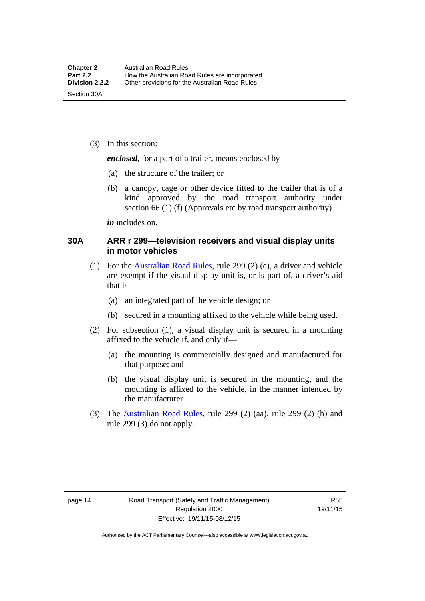(3) In this section:

*enclosed*, for a part of a trailer, means enclosed by—

- (a) the structure of the trailer; or
- (b) a canopy, cage or other device fitted to the trailer that is of a kind approved by the road transport authority under section 66 (1) (f) (Approvals etc by road transport authority).

*in* includes on.

#### <span id="page-30-0"></span>**30A ARR r 299—television receivers and visual display units in motor vehicles**

- (1) For the [Australian Road Rules](http://www.legislation.act.gov.au//ni/db_37271/default.asp), rule 299 (2) (c), a driver and vehicle are exempt if the visual display unit is, or is part of, a driver's aid that is—
	- (a) an integrated part of the vehicle design; or
	- (b) secured in a mounting affixed to the vehicle while being used.
- (2) For subsection (1), a visual display unit is secured in a mounting affixed to the vehicle if, and only if—
	- (a) the mounting is commercially designed and manufactured for that purpose; and
	- (b) the visual display unit is secured in the mounting, and the mounting is affixed to the vehicle, in the manner intended by the manufacturer.
- (3) The [Australian Road Rules](http://www.legislation.act.gov.au//ni/db_37271/default.asp), rule 299 (2) (aa), rule 299 (2) (b) and rule 299 (3) do not apply.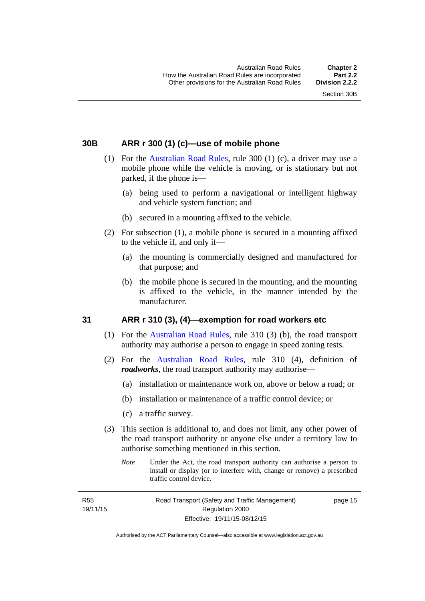### <span id="page-31-0"></span>**30B ARR r 300 (1) (c)—use of mobile phone**

- (1) For the [Australian Road Rules,](http://www.legislation.act.gov.au//ni/db_37271/default.asp) rule 300 (1) (c), a driver may use a mobile phone while the vehicle is moving, or is stationary but not parked, if the phone is—
	- (a) being used to perform a navigational or intelligent highway and vehicle system function; and
	- (b) secured in a mounting affixed to the vehicle.
- (2) For subsection (1), a mobile phone is secured in a mounting affixed to the vehicle if, and only if—
	- (a) the mounting is commercially designed and manufactured for that purpose; and
	- (b) the mobile phone is secured in the mounting, and the mounting is affixed to the vehicle, in the manner intended by the manufacturer.

#### <span id="page-31-1"></span>**31 ARR r 310 (3), (4)—exemption for road workers etc**

- (1) For the [Australian Road Rules](http://www.legislation.act.gov.au//ni/db_37271/default.asp), rule 310 (3) (b), the road transport authority may authorise a person to engage in speed zoning tests.
- (2) For the [Australian Road Rules](http://www.legislation.act.gov.au//ni/db_37271/default.asp), rule 310 (4), definition of *roadworks*, the road transport authority may authorise—
	- (a) installation or maintenance work on, above or below a road; or
	- (b) installation or maintenance of a traffic control device; or
	- (c) a traffic survey.
- (3) This section is additional to, and does not limit, any other power of the road transport authority or anyone else under a territory law to authorise something mentioned in this section.
	- *Note* Under the Act, the road transport authority can authorise a person to install or display (or to interfere with, change or remove) a prescribed traffic control device.

R55 19/11/15 page 15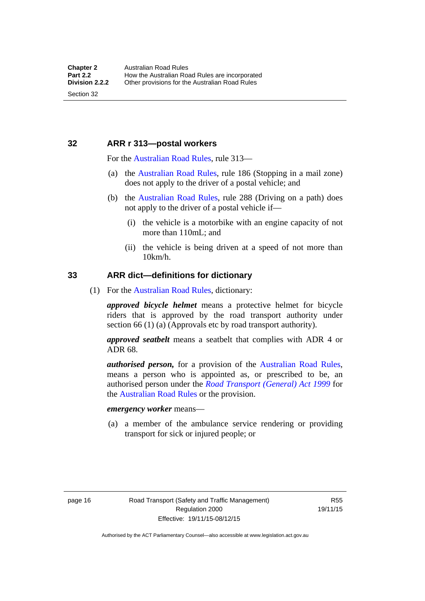### <span id="page-32-0"></span>**32 ARR r 313—postal workers**

For the [Australian Road Rules,](http://www.legislation.act.gov.au//ni/db_37271/default.asp) rule 313—

- (a) the [Australian Road Rules,](http://www.legislation.act.gov.au//ni/db_37271/default.asp) rule 186 (Stopping in a mail zone) does not apply to the driver of a postal vehicle; and
- (b) the [Australian Road Rules](http://www.legislation.act.gov.au//ni/db_37271/default.asp), rule 288 (Driving on a path) does not apply to the driver of a postal vehicle if—
	- (i) the vehicle is a motorbike with an engine capacity of not more than 110mL; and
	- (ii) the vehicle is being driven at a speed of not more than 10km/h.

#### <span id="page-32-1"></span>**33 ARR dict—definitions for dictionary**

(1) For the [Australian Road Rules,](http://www.legislation.act.gov.au//ni/db_37271/default.asp) dictionary:

*approved bicycle helmet* means a protective helmet for bicycle riders that is approved by the road transport authority under section 66 (1) (a) (Approvals etc by road transport authority).

*approved seatbelt* means a seatbelt that complies with ADR 4 or ADR 68.

*authorised person,* for a provision of the [Australian Road Rules](http://www.legislation.act.gov.au//ni/db_37271/default.asp), means a person who is appointed as, or prescribed to be, an authorised person under the *[Road Transport \(General\) Act 1999](http://www.legislation.act.gov.au/a/1999-77)* for the [Australian Road Rules](http://www.legislation.act.gov.au//ni/db_37271/default.asp) or the provision.

#### *emergency worker* means—

 (a) a member of the ambulance service rendering or providing transport for sick or injured people; or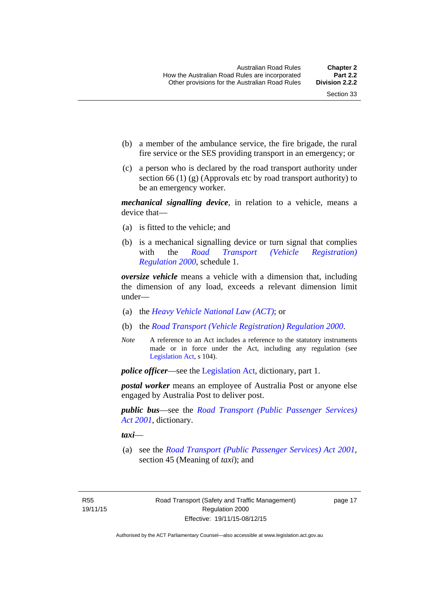- (b) a member of the ambulance service, the fire brigade, the rural fire service or the SES providing transport in an emergency; or
- (c) a person who is declared by the road transport authority under section 66 (1) (g) (Approvals etc by road transport authority) to be an emergency worker.

*mechanical signalling device*, in relation to a vehicle, means a device that—

- (a) is fitted to the vehicle; and
- (b) is a mechanical signalling device or turn signal that complies with the *[Road Transport \(Vehicle Registration\)](http://www.legislation.act.gov.au/sl/2000-12)  [Regulation 2000](http://www.legislation.act.gov.au/sl/2000-12)*, schedule 1.

*oversize vehicle* means a vehicle with a dimension that, including the dimension of any load, exceeds a relevant dimension limit under—

- (a) the *[Heavy Vehicle National Law \(ACT\)](http://www.legislation.act.gov.au/a/db_49155/default.asp)*; or
- (b) the *[Road Transport \(Vehicle Registration\) Regulation 2000](http://www.legislation.act.gov.au/sl/2000-12)*.
- *Note* A reference to an Act includes a reference to the statutory instruments made or in force under the Act, including any regulation (see [Legislation Act,](http://www.legislation.act.gov.au/a/2001-14) s 104).

*police officer*—see the [Legislation Act](http://www.legislation.act.gov.au/a/2001-14), dictionary, part 1.

*postal worker* means an employee of Australia Post or anyone else engaged by Australia Post to deliver post.

*public bus*—see the *[Road Transport \(Public Passenger Services\)](http://www.legislation.act.gov.au/a/2001-62)  [Act 2001](http://www.legislation.act.gov.au/a/2001-62)*, dictionary.

*taxi*—

 (a) see the *[Road Transport \(Public Passenger Services\) Act 2001](http://www.legislation.act.gov.au/a/2001-62)*, section 45 (Meaning of *taxi*); and

R55 19/11/15 page 17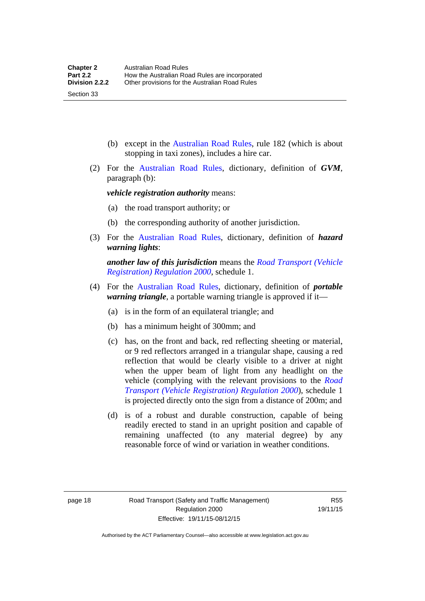(b) except in the [Australian Road Rules,](http://www.legislation.act.gov.au//ni/db_37271/default.asp) rule 182 (which is about stopping in taxi zones), includes a hire car.

 (2) For the [Australian Road Rules](http://www.legislation.act.gov.au//ni/db_37271/default.asp), dictionary, definition of *GVM*, paragraph (b):

*vehicle registration authority* means:

- (a) the road transport authority; or
- (b) the corresponding authority of another jurisdiction.
- (3) For the [Australian Road Rules](http://www.legislation.act.gov.au//ni/db_37271/default.asp), dictionary, definition of *hazard warning lights*:

*another law of this jurisdiction* means the *[Road Transport \(Vehicle](http://www.legislation.act.gov.au/sl/2000-12)  [Registration\) Regulation 2000](http://www.legislation.act.gov.au/sl/2000-12)*, schedule 1.

- (4) For the [Australian Road Rules](http://www.legislation.act.gov.au//ni/db_37271/default.asp), dictionary, definition of *portable warning triangle*, a portable warning triangle is approved if it—
	- (a) is in the form of an equilateral triangle; and
	- (b) has a minimum height of 300mm; and
	- (c) has, on the front and back, red reflecting sheeting or material, or 9 red reflectors arranged in a triangular shape, causing a red reflection that would be clearly visible to a driver at night when the upper beam of light from any headlight on the vehicle (complying with the relevant provisions to the *[Road](http://www.legislation.act.gov.au/sl/2000-12)  [Transport \(Vehicle Registration\) Regulation 2000](http://www.legislation.act.gov.au/sl/2000-12)*), schedule 1 is projected directly onto the sign from a distance of 200m; and
	- (d) is of a robust and durable construction, capable of being readily erected to stand in an upright position and capable of remaining unaffected (to any material degree) by any reasonable force of wind or variation in weather conditions.

Section 33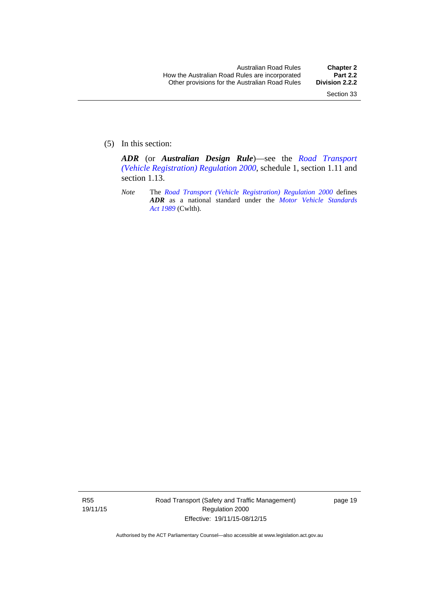(5) In this section:

*ADR* (or *Australian Design Rule*)—see the *[Road Transport](http://www.legislation.act.gov.au/sl/2000-12)  [\(Vehicle Registration\) Regulation 2000](http://www.legislation.act.gov.au/sl/2000-12)*, schedule 1, section 1.11 and section 1.13.

*Note* The *[Road Transport \(Vehicle Registration\) Regulation 2000](http://www.legislation.act.gov.au/sl/2000-12)* defines *ADR* as a national standard under the *[Motor Vehicle Standards](http://www.comlaw.gov.au/Series/C2004A03813)  [Act 1989](http://www.comlaw.gov.au/Series/C2004A03813)* (Cwlth).

R55 19/11/15 Road Transport (Safety and Traffic Management) Regulation 2000 Effective: 19/11/15-08/12/15

page 19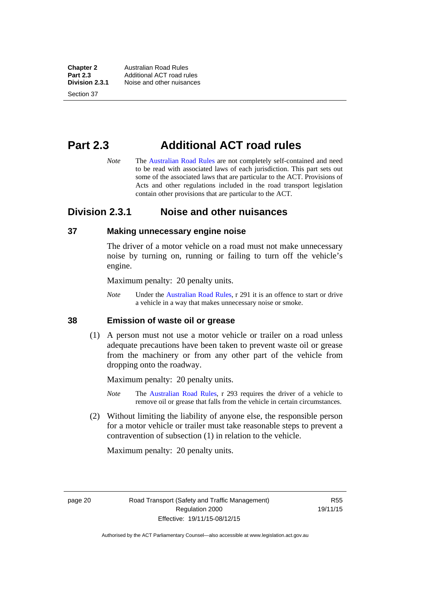**Chapter 2 Australian Road Rules**<br>**Part 2.3 Additional ACT road rules Part 2.3** Additional ACT road rules<br>**Division 2.3.1** Noise and other nuisances **Division 2.3.1** Noise and other nuisances

Section 37

# **Part 2.3 Additional ACT road rules**

*Note* The [Australian Road Rules](http://www.legislation.act.gov.au//ni/db_37271/default.asp) are not completely self-contained and need to be read with associated laws of each jurisdiction. This part sets out some of the associated laws that are particular to the ACT. Provisions of Acts and other regulations included in the road transport legislation contain other provisions that are particular to the ACT.

### **Division 2.3.1 Noise and other nuisances**

#### **37 Making unnecessary engine noise**

The driver of a motor vehicle on a road must not make unnecessary noise by turning on, running or failing to turn off the vehicle's engine.

Maximum penalty: 20 penalty units.

*Note* Under the [Australian Road Rules,](http://www.legislation.act.gov.au//ni/db_37271/default.asp) r 291 it is an offence to start or drive a vehicle in a way that makes unnecessary noise or smoke.

#### **38 Emission of waste oil or grease**

 (1) A person must not use a motor vehicle or trailer on a road unless adequate precautions have been taken to prevent waste oil or grease from the machinery or from any other part of the vehicle from dropping onto the roadway.

Maximum penalty: 20 penalty units.

- *Note* The [Australian Road Rules,](http://www.legislation.act.gov.au//ni/db_37271/default.asp) r 293 requires the driver of a vehicle to remove oil or grease that falls from the vehicle in certain circumstances.
- (2) Without limiting the liability of anyone else, the responsible person for a motor vehicle or trailer must take reasonable steps to prevent a contravention of subsection (1) in relation to the vehicle.

Maximum penalty: 20 penalty units.

page 20 Road Transport (Safety and Traffic Management) Regulation 2000 Effective: 19/11/15-08/12/15

R55 19/11/15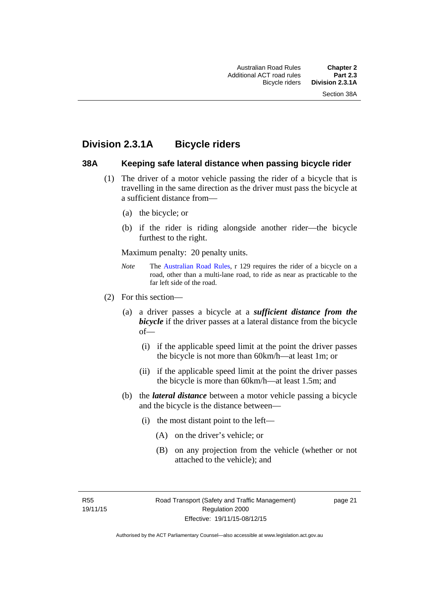### **Division 2.3.1A Bicycle riders**

#### **38A Keeping safe lateral distance when passing bicycle rider**

- (1) The driver of a motor vehicle passing the rider of a bicycle that is travelling in the same direction as the driver must pass the bicycle at a sufficient distance from—
	- (a) the bicycle; or
	- (b) if the rider is riding alongside another rider—the bicycle furthest to the right.

Maximum penalty: 20 penalty units.

- *Note* **The [Australian Road Rules](http://www.legislation.act.gov.au//ni/db_37271/default.asp), r 129 requires the rider of a bicycle on a** road, other than a multi-lane road, to ride as near as practicable to the far left side of the road.
- (2) For this section—
	- (a) a driver passes a bicycle at a *sufficient distance from the bicycle* if the driver passes at a lateral distance from the bicycle of—
		- (i) if the applicable speed limit at the point the driver passes the bicycle is not more than 60km/h—at least 1m; or
		- (ii) if the applicable speed limit at the point the driver passes the bicycle is more than 60km/h—at least 1.5m; and
	- (b) the *lateral distance* between a motor vehicle passing a bicycle and the bicycle is the distance between—
		- (i) the most distant point to the left—
			- (A) on the driver's vehicle; or
			- (B) on any projection from the vehicle (whether or not attached to the vehicle); and

R55 19/11/15 page 21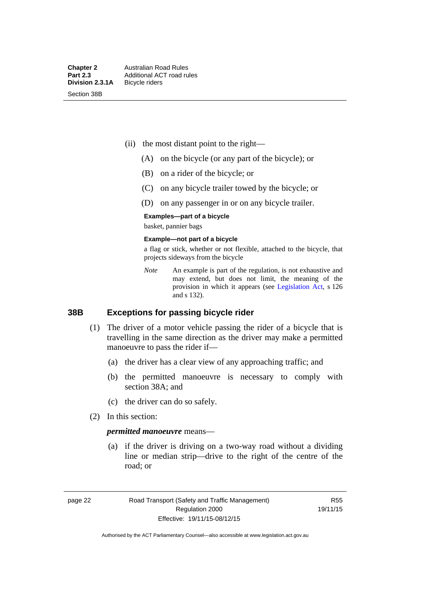Section 38B

- (ii) the most distant point to the right—
	- (A) on the bicycle (or any part of the bicycle); or
	- (B) on a rider of the bicycle; or
	- (C) on any bicycle trailer towed by the bicycle; or
	- (D) on any passenger in or on any bicycle trailer.

#### **Examples—part of a bicycle**

basket, pannier bags

#### **Example—not part of a bicycle**

a flag or stick, whether or not flexible, attached to the bicycle, that projects sideways from the bicycle

*Note* An example is part of the regulation, is not exhaustive and may extend, but does not limit, the meaning of the provision in which it appears (see [Legislation Act](http://www.legislation.act.gov.au/a/2001-14), s 126 and s 132).

#### **38B Exceptions for passing bicycle rider**

- (1) The driver of a motor vehicle passing the rider of a bicycle that is travelling in the same direction as the driver may make a permitted manoeuvre to pass the rider if—
	- (a) the driver has a clear view of any approaching traffic; and
	- (b) the permitted manoeuvre is necessary to comply with section 38A; and
	- (c) the driver can do so safely.
- (2) In this section:

#### *permitted manoeuvre* means—

 (a) if the driver is driving on a two-way road without a dividing line or median strip—drive to the right of the centre of the road; or

page 22 Road Transport (Safety and Traffic Management) Regulation 2000 Effective: 19/11/15-08/12/15

R55 19/11/15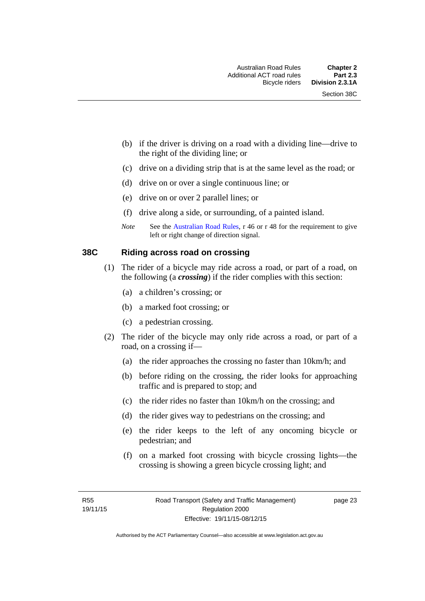- (b) if the driver is driving on a road with a dividing line—drive to the right of the dividing line; or
- (c) drive on a dividing strip that is at the same level as the road; or
- (d) drive on or over a single continuous line; or
- (e) drive on or over 2 parallel lines; or
- (f) drive along a side, or surrounding, of a painted island.
- *Note* See the [Australian Road Rules,](http://www.legislation.act.gov.au//ni/db_37271/default.asp) r 46 or r 48 for the requirement to give left or right change of direction signal.

#### **38C Riding across road on crossing**

- (1) The rider of a bicycle may ride across a road, or part of a road, on the following (a *crossing*) if the rider complies with this section:
	- (a) a children's crossing; or
	- (b) a marked foot crossing; or
	- (c) a pedestrian crossing.
- (2) The rider of the bicycle may only ride across a road, or part of a road, on a crossing if—
	- (a) the rider approaches the crossing no faster than 10km/h; and
	- (b) before riding on the crossing, the rider looks for approaching traffic and is prepared to stop; and
	- (c) the rider rides no faster than 10km/h on the crossing; and
	- (d) the rider gives way to pedestrians on the crossing; and
	- (e) the rider keeps to the left of any oncoming bicycle or pedestrian; and
	- (f) on a marked foot crossing with bicycle crossing lights—the crossing is showing a green bicycle crossing light; and

page 23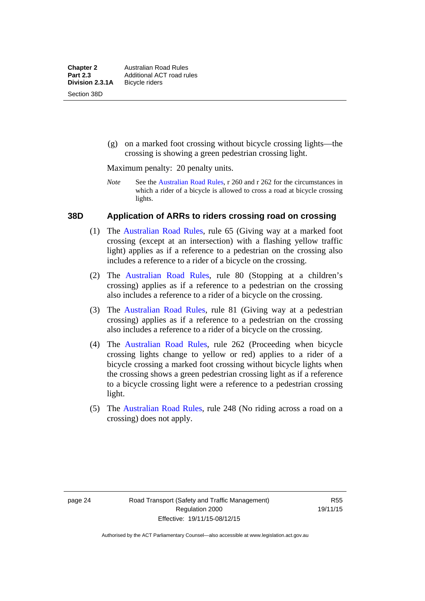(g) on a marked foot crossing without bicycle crossing lights—the crossing is showing a green pedestrian crossing light.

Maximum penalty: 20 penalty units.

*Note* See the [Australian Road Rules](http://www.legislation.act.gov.au//ni/db_37271/default.asp), r 260 and r 262 for the circumstances in which a rider of a bicycle is allowed to cross a road at bicycle crossing lights.

#### **38D Application of ARRs to riders crossing road on crossing**

- (1) The [Australian Road Rules,](http://www.legislation.act.gov.au//ni/db_37271/default.asp) rule 65 (Giving way at a marked foot crossing (except at an intersection) with a flashing yellow traffic light) applies as if a reference to a pedestrian on the crossing also includes a reference to a rider of a bicycle on the crossing.
- (2) The [Australian Road Rules](http://www.legislation.act.gov.au//ni/db_37271/default.asp), rule 80 (Stopping at a children's crossing) applies as if a reference to a pedestrian on the crossing also includes a reference to a rider of a bicycle on the crossing.
- (3) The [Australian Road Rules,](http://www.legislation.act.gov.au//ni/db_37271/default.asp) rule 81 (Giving way at a pedestrian crossing) applies as if a reference to a pedestrian on the crossing also includes a reference to a rider of a bicycle on the crossing.
- (4) The [Australian Road Rules](http://www.legislation.act.gov.au//ni/db_37271/default.asp), rule 262 (Proceeding when bicycle crossing lights change to yellow or red) applies to a rider of a bicycle crossing a marked foot crossing without bicycle lights when the crossing shows a green pedestrian crossing light as if a reference to a bicycle crossing light were a reference to a pedestrian crossing light.
- (5) The [Australian Road Rules](http://www.legislation.act.gov.au//ni/db_37271/default.asp), rule 248 (No riding across a road on a crossing) does not apply.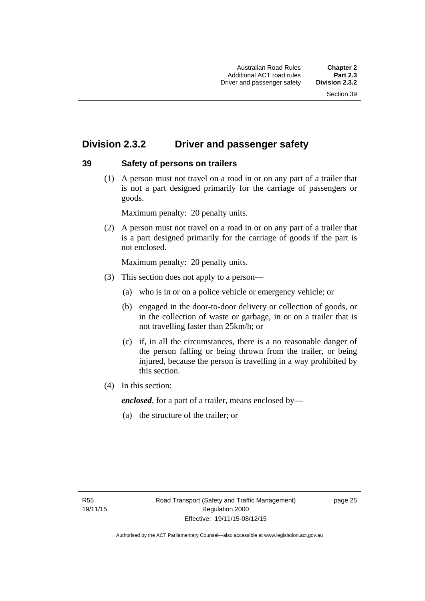# **Division 2.3.2 Driver and passenger safety**

### **39 Safety of persons on trailers**

 (1) A person must not travel on a road in or on any part of a trailer that is not a part designed primarily for the carriage of passengers or goods.

Maximum penalty: 20 penalty units.

 (2) A person must not travel on a road in or on any part of a trailer that is a part designed primarily for the carriage of goods if the part is not enclosed.

Maximum penalty: 20 penalty units.

- (3) This section does not apply to a person—
	- (a) who is in or on a police vehicle or emergency vehicle; or
	- (b) engaged in the door-to-door delivery or collection of goods, or in the collection of waste or garbage, in or on a trailer that is not travelling faster than 25km/h; or
	- (c) if, in all the circumstances, there is a no reasonable danger of the person falling or being thrown from the trailer, or being injured, because the person is travelling in a way prohibited by this section.
- (4) In this section:

*enclosed*, for a part of a trailer, means enclosed by—

(a) the structure of the trailer; or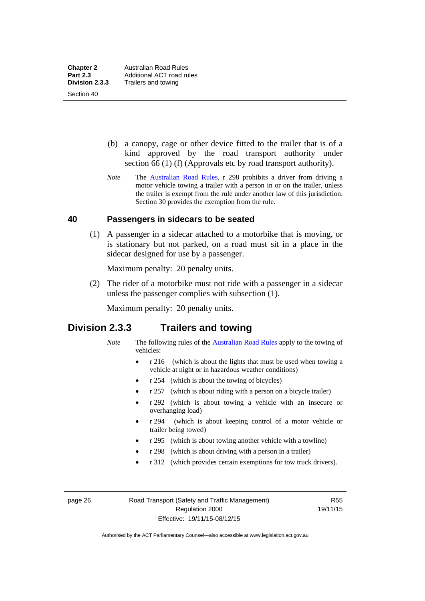Section 40

 (b) a canopy, cage or other device fitted to the trailer that is of a kind approved by the road transport authority under section 66 (1) (f) (Approvals etc by road transport authority).

*Note* The [Australian Road Rules](http://www.legislation.act.gov.au//ni/db_37271/default.asp), r 298 prohibits a driver from driving a motor vehicle towing a trailer with a person in or on the trailer, unless the trailer is exempt from the rule under another law of this jurisdiction. Section 30 provides the exemption from the rule.

#### **40 Passengers in sidecars to be seated**

 (1) A passenger in a sidecar attached to a motorbike that is moving, or is stationary but not parked, on a road must sit in a place in the sidecar designed for use by a passenger.

Maximum penalty: 20 penalty units.

 (2) The rider of a motorbike must not ride with a passenger in a sidecar unless the passenger complies with subsection (1).

Maximum penalty: 20 penalty units.

### **Division 2.3.3 Trailers and towing**

- *Note* The following rules of the [Australian Road Rules](http://www.legislation.act.gov.au//ni/db_37271/default.asp) apply to the towing of vehicles:
	- r 216 (which is about the lights that must be used when towing a vehicle at night or in hazardous weather conditions)
	- r 254 (which is about the towing of bicycles)
	- r 257 (which is about riding with a person on a bicycle trailer)
	- r 292 (which is about towing a vehicle with an insecure or overhanging load)
	- r 294 (which is about keeping control of a motor vehicle or trailer being towed)
	- r 295 (which is about towing another vehicle with a towline)
	- r 298 (which is about driving with a person in a trailer)
	- r 312 (which provides certain exemptions for tow truck drivers).

page 26 Road Transport (Safety and Traffic Management) Regulation 2000 Effective: 19/11/15-08/12/15

R55 19/11/15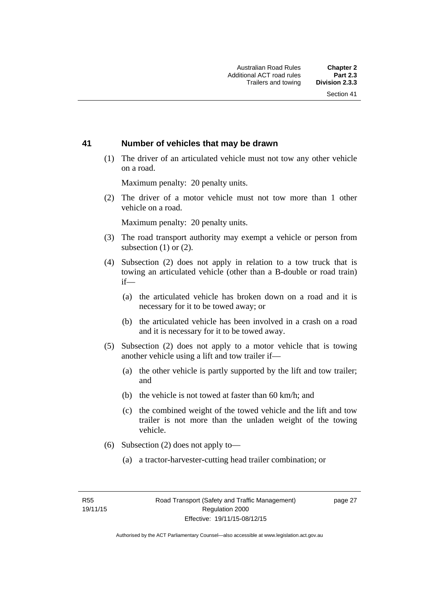#### **41 Number of vehicles that may be drawn**

 (1) The driver of an articulated vehicle must not tow any other vehicle on a road.

Maximum penalty: 20 penalty units.

 (2) The driver of a motor vehicle must not tow more than 1 other vehicle on a road.

Maximum penalty: 20 penalty units.

- (3) The road transport authority may exempt a vehicle or person from subsection (1) or (2).
- (4) Subsection (2) does not apply in relation to a tow truck that is towing an articulated vehicle (other than a B-double or road train) if—
	- (a) the articulated vehicle has broken down on a road and it is necessary for it to be towed away; or
	- (b) the articulated vehicle has been involved in a crash on a road and it is necessary for it to be towed away.
- (5) Subsection (2) does not apply to a motor vehicle that is towing another vehicle using a lift and tow trailer if—
	- (a) the other vehicle is partly supported by the lift and tow trailer; and
	- (b) the vehicle is not towed at faster than 60 km/h; and
	- (c) the combined weight of the towed vehicle and the lift and tow trailer is not more than the unladen weight of the towing vehicle.
- (6) Subsection (2) does not apply to—
	- (a) a tractor-harvester-cutting head trailer combination; or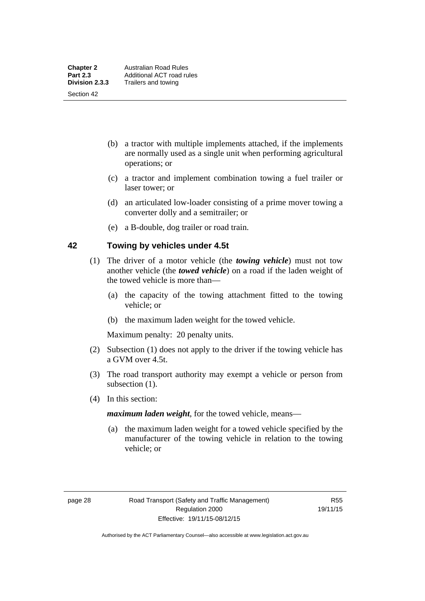Section 42

- (b) a tractor with multiple implements attached, if the implements are normally used as a single unit when performing agricultural operations; or
- (c) a tractor and implement combination towing a fuel trailer or laser tower; or
- (d) an articulated low-loader consisting of a prime mover towing a converter dolly and a semitrailer; or
- (e) a B-double, dog trailer or road train.

#### **42 Towing by vehicles under 4.5t**

- (1) The driver of a motor vehicle (the *towing vehicle*) must not tow another vehicle (the *towed vehicle*) on a road if the laden weight of the towed vehicle is more than—
	- (a) the capacity of the towing attachment fitted to the towing vehicle; or
	- (b) the maximum laden weight for the towed vehicle.

Maximum penalty: 20 penalty units.

- (2) Subsection (1) does not apply to the driver if the towing vehicle has a GVM over 4.5t.
- (3) The road transport authority may exempt a vehicle or person from subsection  $(1)$ .
- (4) In this section:

*maximum laden weight*, for the towed vehicle, means—

 (a) the maximum laden weight for a towed vehicle specified by the manufacturer of the towing vehicle in relation to the towing vehicle; or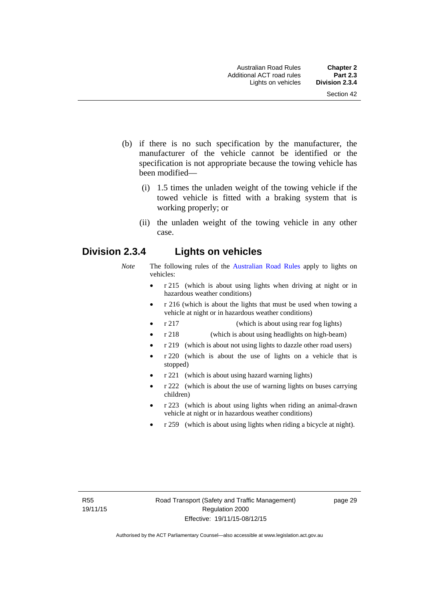- (b) if there is no such specification by the manufacturer, the manufacturer of the vehicle cannot be identified or the specification is not appropriate because the towing vehicle has been modified—
	- (i) 1.5 times the unladen weight of the towing vehicle if the towed vehicle is fitted with a braking system that is working properly; or
	- (ii) the unladen weight of the towing vehicle in any other case.

### **Division 2.3.4 Lights on vehicles**

- *Note* The following rules of the [Australian Road Rules](http://www.legislation.act.gov.au//ni/db_37271/default.asp) apply to lights on vehicles:
	- r 215 (which is about using lights when driving at night or in hazardous weather conditions)
	- r 216 (which is about the lights that must be used when towing a vehicle at night or in hazardous weather conditions)
	- r 217 (which is about using rear fog lights)
	- r 218 (which is about using headlights on high-beam)
	- r 219 (which is about not using lights to dazzle other road users)
	- r 220 (which is about the use of lights on a vehicle that is stopped)
	- r 221 (which is about using hazard warning lights)
	- r 222 (which is about the use of warning lights on buses carrying children)
	- r 223 (which is about using lights when riding an animal-drawn vehicle at night or in hazardous weather conditions)
	- r 259 (which is about using lights when riding a bicycle at night).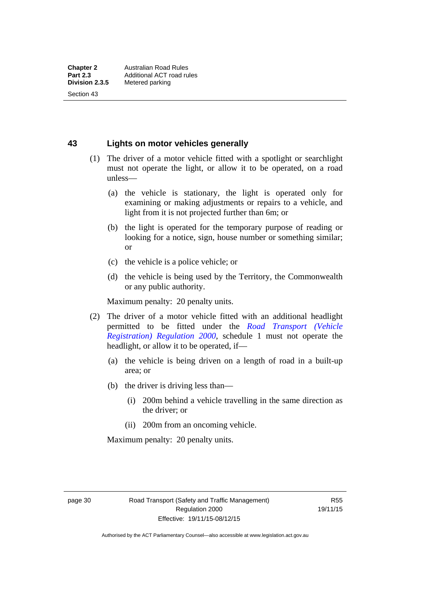Section 43

**43 Lights on motor vehicles generally**

- (1) The driver of a motor vehicle fitted with a spotlight or searchlight must not operate the light, or allow it to be operated, on a road unless—
	- (a) the vehicle is stationary, the light is operated only for examining or making adjustments or repairs to a vehicle, and light from it is not projected further than 6m; or
	- (b) the light is operated for the temporary purpose of reading or looking for a notice, sign, house number or something similar; or
	- (c) the vehicle is a police vehicle; or
	- (d) the vehicle is being used by the Territory, the Commonwealth or any public authority.

Maximum penalty: 20 penalty units.

- (2) The driver of a motor vehicle fitted with an additional headlight permitted to be fitted under the *[Road Transport \(Vehicle](http://www.legislation.act.gov.au/sl/2000-12)  [Registration\) Regulation 2000](http://www.legislation.act.gov.au/sl/2000-12)*, schedule 1 must not operate the headlight, or allow it to be operated, if—
	- (a) the vehicle is being driven on a length of road in a built-up area; or
	- (b) the driver is driving less than—
		- (i) 200m behind a vehicle travelling in the same direction as the driver; or
		- (ii) 200m from an oncoming vehicle.

Maximum penalty: 20 penalty units.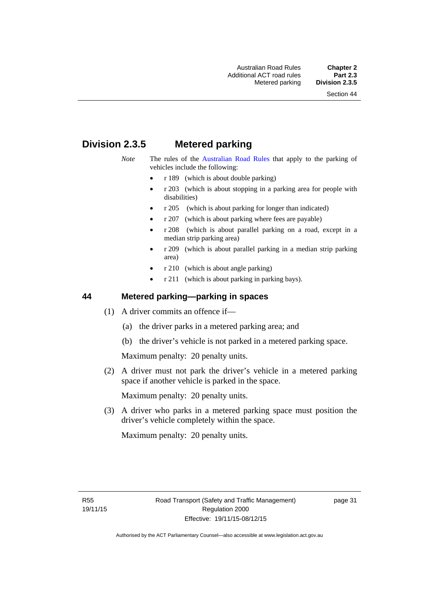# **Division 2.3.5 Metered parking**

- *Note* The rules of the [Australian Road Rules](http://www.legislation.act.gov.au//ni/db_37271/default.asp) that apply to the parking of vehicles include the following:
	- r 189 (which is about double parking)
	- r 203 (which is about stopping in a parking area for people with disabilities)
	- r 205 (which is about parking for longer than indicated)
	- r 207 (which is about parking where fees are payable)
	- r 208 (which is about parallel parking on a road, except in a median strip parking area)
	- r 209 (which is about parallel parking in a median strip parking area)
	- r 210 (which is about angle parking)
	- r 211 (which is about parking in parking bays).

#### **44 Metered parking—parking in spaces**

- (1) A driver commits an offence if—
	- (a) the driver parks in a metered parking area; and
	- (b) the driver's vehicle is not parked in a metered parking space.

Maximum penalty: 20 penalty units.

 (2) A driver must not park the driver's vehicle in a metered parking space if another vehicle is parked in the space.

Maximum penalty: 20 penalty units.

 (3) A driver who parks in a metered parking space must position the driver's vehicle completely within the space.

Maximum penalty: 20 penalty units.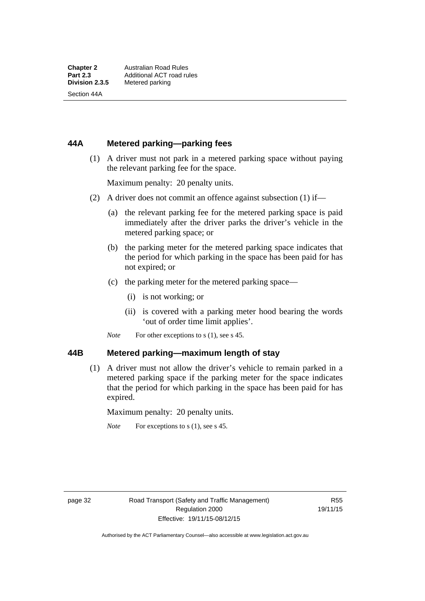Section 44A

### **44A Metered parking—parking fees**

 (1) A driver must not park in a metered parking space without paying the relevant parking fee for the space.

Maximum penalty: 20 penalty units.

- (2) A driver does not commit an offence against subsection (1) if—
	- (a) the relevant parking fee for the metered parking space is paid immediately after the driver parks the driver's vehicle in the metered parking space; or
	- (b) the parking meter for the metered parking space indicates that the period for which parking in the space has been paid for has not expired; or
	- (c) the parking meter for the metered parking space—
		- (i) is not working; or
		- (ii) is covered with a parking meter hood bearing the words 'out of order time limit applies'.
	- *Note* For other exceptions to s (1), see s 45.

#### **44B Metered parking—maximum length of stay**

 (1) A driver must not allow the driver's vehicle to remain parked in a metered parking space if the parking meter for the space indicates that the period for which parking in the space has been paid for has expired.

Maximum penalty: 20 penalty units.

*Note* For exceptions to s (1), see s 45.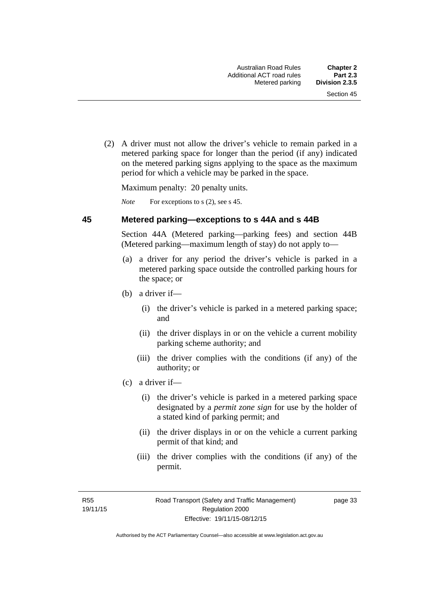(2) A driver must not allow the driver's vehicle to remain parked in a metered parking space for longer than the period (if any) indicated on the metered parking signs applying to the space as the maximum period for which a vehicle may be parked in the space.

Maximum penalty: 20 penalty units.

*Note* For exceptions to s (2), see s 45.

#### **45 Metered parking—exceptions to s 44A and s 44B**

Section 44A (Metered parking—parking fees) and section 44B (Metered parking—maximum length of stay) do not apply to—

- (a) a driver for any period the driver's vehicle is parked in a metered parking space outside the controlled parking hours for the space; or
- (b) a driver if—
	- (i) the driver's vehicle is parked in a metered parking space; and
	- (ii) the driver displays in or on the vehicle a current mobility parking scheme authority; and
	- (iii) the driver complies with the conditions (if any) of the authority; or
- (c) a driver if—
	- (i) the driver's vehicle is parked in a metered parking space designated by a *permit zone sign* for use by the holder of a stated kind of parking permit; and
	- (ii) the driver displays in or on the vehicle a current parking permit of that kind; and
	- (iii) the driver complies with the conditions (if any) of the permit.

R55 19/11/15 page 33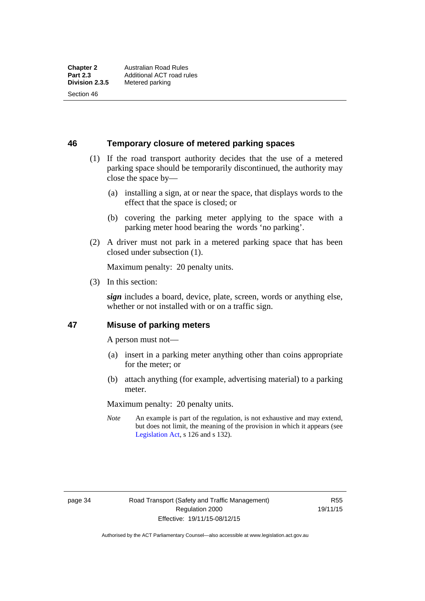Section 46

**46 Temporary closure of metered parking spaces**

- (1) If the road transport authority decides that the use of a metered parking space should be temporarily discontinued, the authority may close the space by—
	- (a) installing a sign, at or near the space, that displays words to the effect that the space is closed; or
	- (b) covering the parking meter applying to the space with a parking meter hood bearing the words 'no parking'.
- (2) A driver must not park in a metered parking space that has been closed under subsection (1).

Maximum penalty: 20 penalty units.

(3) In this section:

*sign* includes a board, device, plate, screen, words or anything else, whether or not installed with or on a traffic sign.

#### **47 Misuse of parking meters**

A person must not—

- (a) insert in a parking meter anything other than coins appropriate for the meter; or
- (b) attach anything (for example, advertising material) to a parking meter.

Maximum penalty: 20 penalty units.

*Note* An example is part of the regulation, is not exhaustive and may extend, but does not limit, the meaning of the provision in which it appears (see [Legislation Act,](http://www.legislation.act.gov.au/a/2001-14) s 126 and s 132).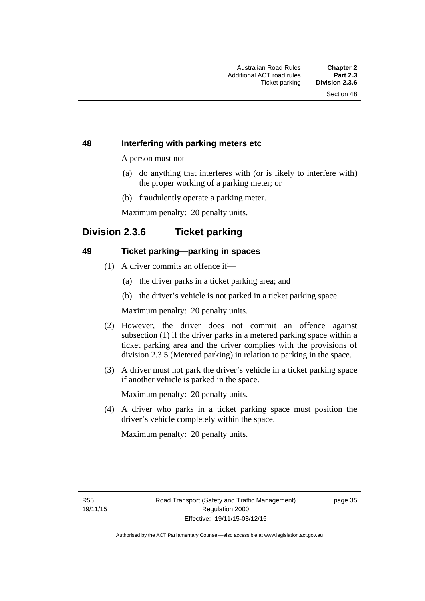#### **48 Interfering with parking meters etc**

A person must not—

- (a) do anything that interferes with (or is likely to interfere with) the proper working of a parking meter; or
- (b) fraudulently operate a parking meter.

Maximum penalty: 20 penalty units.

### **Division 2.3.6 Ticket parking**

#### **49 Ticket parking—parking in spaces**

- (1) A driver commits an offence if—
	- (a) the driver parks in a ticket parking area; and
	- (b) the driver's vehicle is not parked in a ticket parking space.

Maximum penalty: 20 penalty units.

- (2) However, the driver does not commit an offence against subsection (1) if the driver parks in a metered parking space within a ticket parking area and the driver complies with the provisions of division 2.3.5 (Metered parking) in relation to parking in the space.
- (3) A driver must not park the driver's vehicle in a ticket parking space if another vehicle is parked in the space.

Maximum penalty: 20 penalty units.

 (4) A driver who parks in a ticket parking space must position the driver's vehicle completely within the space.

Maximum penalty: 20 penalty units.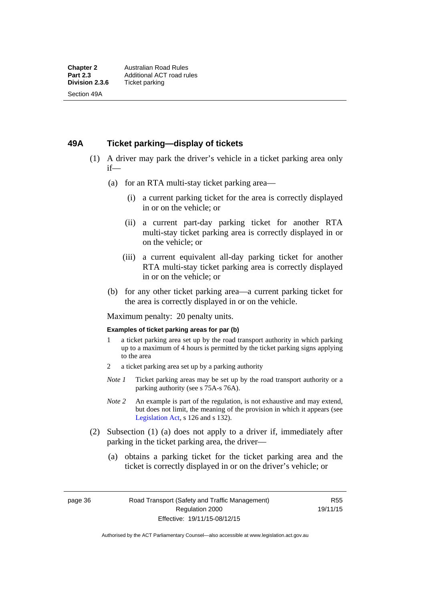#### **49A Ticket parking—display of tickets**

- (1) A driver may park the driver's vehicle in a ticket parking area only if—
	- (a) for an RTA multi-stay ticket parking area—
		- (i) a current parking ticket for the area is correctly displayed in or on the vehicle; or
		- (ii) a current part-day parking ticket for another RTA multi-stay ticket parking area is correctly displayed in or on the vehicle; or
		- (iii) a current equivalent all-day parking ticket for another RTA multi-stay ticket parking area is correctly displayed in or on the vehicle; or
	- (b) for any other ticket parking area—a current parking ticket for the area is correctly displayed in or on the vehicle.

Maximum penalty: 20 penalty units.

#### **Examples of ticket parking areas for par (b)**

- 1 a ticket parking area set up by the road transport authority in which parking up to a maximum of 4 hours is permitted by the ticket parking signs applying to the area
- 2 a ticket parking area set up by a parking authority
- *Note 1* Ticket parking areas may be set up by the road transport authority or a parking authority (see s 75A-s 76A).
- *Note 2* An example is part of the regulation, is not exhaustive and may extend, but does not limit, the meaning of the provision in which it appears (see [Legislation Act,](http://www.legislation.act.gov.au/a/2001-14) s 126 and s 132).
- (2) Subsection (1) (a) does not apply to a driver if, immediately after parking in the ticket parking area, the driver—
	- (a) obtains a parking ticket for the ticket parking area and the ticket is correctly displayed in or on the driver's vehicle; or

page 36 Road Transport (Safety and Traffic Management) Regulation 2000 Effective: 19/11/15-08/12/15

R55 19/11/15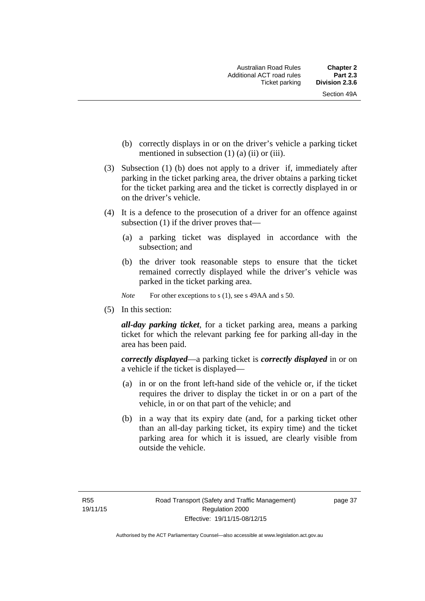- (b) correctly displays in or on the driver's vehicle a parking ticket mentioned in subsection  $(1)$   $(a)$   $(ii)$  or  $(iii)$ .
- (3) Subsection (1) (b) does not apply to a driver if, immediately after parking in the ticket parking area, the driver obtains a parking ticket for the ticket parking area and the ticket is correctly displayed in or on the driver's vehicle.
- (4) It is a defence to the prosecution of a driver for an offence against subsection (1) if the driver proves that—
	- (a) a parking ticket was displayed in accordance with the subsection; and
	- (b) the driver took reasonable steps to ensure that the ticket remained correctly displayed while the driver's vehicle was parked in the ticket parking area.
	- *Note* For other exceptions to s (1), see s 49AA and s 50.
- (5) In this section:

*all-day parking ticket*, for a ticket parking area, means a parking ticket for which the relevant parking fee for parking all-day in the area has been paid.

*correctly displayed*—a parking ticket is *correctly displayed* in or on a vehicle if the ticket is displayed—

- (a) in or on the front left-hand side of the vehicle or, if the ticket requires the driver to display the ticket in or on a part of the vehicle, in or on that part of the vehicle; and
- (b) in a way that its expiry date (and, for a parking ticket other than an all-day parking ticket, its expiry time) and the ticket parking area for which it is issued, are clearly visible from outside the vehicle.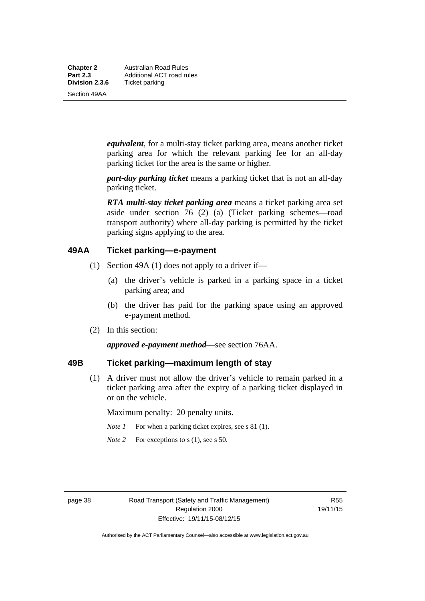**Chapter 2** Australian Road Rules<br>**Part 2.3** Additional ACT road ru **Part 2.3 Additional ACT road rules**<br>**Division 2.3.6** Ticket parking **Ticket parking** 

Section 49AA

*equivalent*, for a multi-stay ticket parking area, means another ticket parking area for which the relevant parking fee for an all-day parking ticket for the area is the same or higher.

*part-day parking ticket* means a parking ticket that is not an all-day parking ticket.

*RTA multi-stay ticket parking area* means a ticket parking area set aside under section 76 (2) (a) (Ticket parking schemes—road transport authority) where all-day parking is permitted by the ticket parking signs applying to the area.

#### **49AA Ticket parking—e-payment**

- (1) Section 49A (1) does not apply to a driver if—
	- (a) the driver's vehicle is parked in a parking space in a ticket parking area; and
	- (b) the driver has paid for the parking space using an approved e-payment method.
- (2) In this section:

*approved e-payment method*—see section 76AA.

### **49B Ticket parking—maximum length of stay**

(1) A driver must not allow the driver's vehicle to remain parked in a ticket parking area after the expiry of a parking ticket displayed in or on the vehicle.

Maximum penalty: 20 penalty units.

- *Note 1* For when a parking ticket expires, see s 81 (1).
- *Note* 2 For exceptions to s (1), see s 50.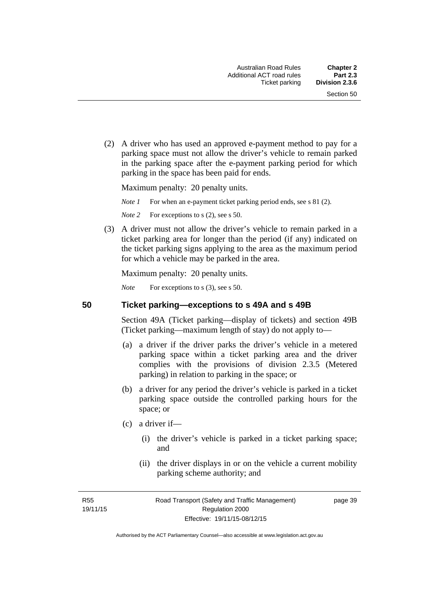(2) A driver who has used an approved e-payment method to pay for a parking space must not allow the driver's vehicle to remain parked in the parking space after the e-payment parking period for which parking in the space has been paid for ends.

Maximum penalty: 20 penalty units.

*Note 1* For when an e-payment ticket parking period ends, see s 81 (2).

*Note* 2 For exceptions to s (2), see s 50.

 (3) A driver must not allow the driver's vehicle to remain parked in a ticket parking area for longer than the period (if any) indicated on the ticket parking signs applying to the area as the maximum period for which a vehicle may be parked in the area.

Maximum penalty: 20 penalty units.

*Note* For exceptions to s (3), see s 50.

**50 Ticket parking—exceptions to s 49A and s 49B** 

Section 49A (Ticket parking—display of tickets) and section 49B (Ticket parking—maximum length of stay) do not apply to—

- (a) a driver if the driver parks the driver's vehicle in a metered parking space within a ticket parking area and the driver complies with the provisions of division 2.3.5 (Metered parking) in relation to parking in the space; or
- (b) a driver for any period the driver's vehicle is parked in a ticket parking space outside the controlled parking hours for the space; or
- (c) a driver if—
	- (i) the driver's vehicle is parked in a ticket parking space; and
	- (ii) the driver displays in or on the vehicle a current mobility parking scheme authority; and

R55 19/11/15 page 39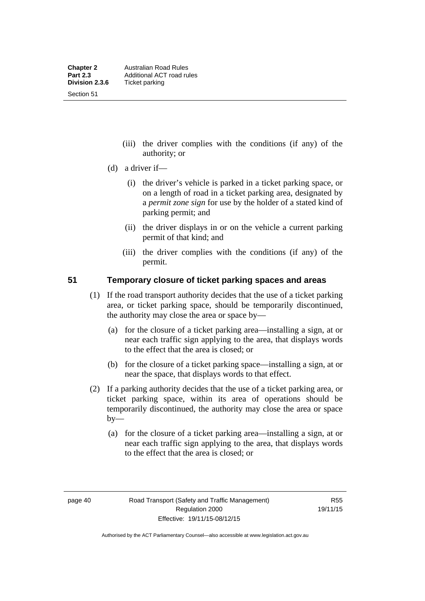Section 51

- (iii) the driver complies with the conditions (if any) of the authority; or
- (d) a driver if—
	- (i) the driver's vehicle is parked in a ticket parking space, or on a length of road in a ticket parking area, designated by a *permit zone sign* for use by the holder of a stated kind of parking permit; and
	- (ii) the driver displays in or on the vehicle a current parking permit of that kind; and
	- (iii) the driver complies with the conditions (if any) of the permit.

#### **51 Temporary closure of ticket parking spaces and areas**

- (1) If the road transport authority decides that the use of a ticket parking area, or ticket parking space, should be temporarily discontinued, the authority may close the area or space by—
	- (a) for the closure of a ticket parking area—installing a sign, at or near each traffic sign applying to the area, that displays words to the effect that the area is closed; or
	- (b) for the closure of a ticket parking space—installing a sign, at or near the space, that displays words to that effect.
- (2) If a parking authority decides that the use of a ticket parking area, or ticket parking space, within its area of operations should be temporarily discontinued, the authority may close the area or space  $by-$ 
	- (a) for the closure of a ticket parking area—installing a sign, at or near each traffic sign applying to the area, that displays words to the effect that the area is closed; or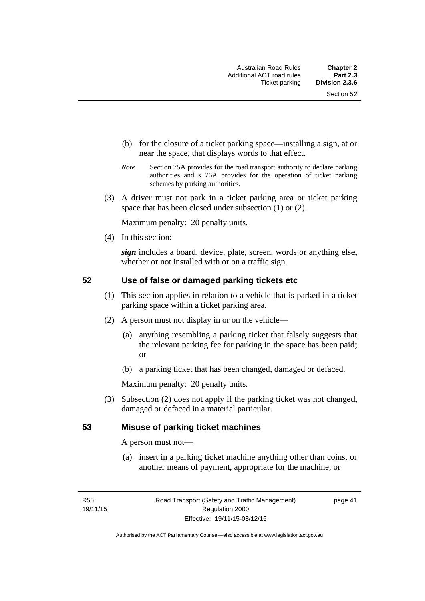- (b) for the closure of a ticket parking space—installing a sign, at or near the space, that displays words to that effect.
- *Note* Section 75A provides for the road transport authority to declare parking authorities and s 76A provides for the operation of ticket parking schemes by parking authorities.
- (3) A driver must not park in a ticket parking area or ticket parking space that has been closed under subsection (1) or (2).

Maximum penalty: 20 penalty units.

(4) In this section:

*sign* includes a board, device, plate, screen, words or anything else, whether or not installed with or on a traffic sign.

#### **52 Use of false or damaged parking tickets etc**

- (1) This section applies in relation to a vehicle that is parked in a ticket parking space within a ticket parking area.
- (2) A person must not display in or on the vehicle—
	- (a) anything resembling a parking ticket that falsely suggests that the relevant parking fee for parking in the space has been paid; or
	- (b) a parking ticket that has been changed, damaged or defaced.

Maximum penalty: 20 penalty units.

 (3) Subsection (2) does not apply if the parking ticket was not changed, damaged or defaced in a material particular.

#### **53 Misuse of parking ticket machines**

A person must not—

(a) insert in a parking ticket machine anything other than coins, or another means of payment, appropriate for the machine; or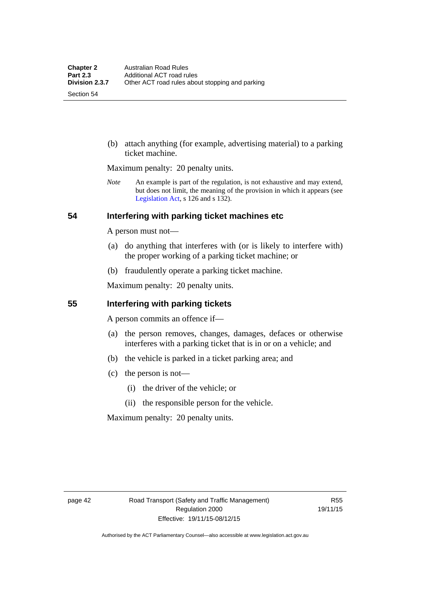Section 54

 (b) attach anything (for example, advertising material) to a parking ticket machine.

Maximum penalty: 20 penalty units.

*Note* An example is part of the regulation, is not exhaustive and may extend, but does not limit, the meaning of the provision in which it appears (see [Legislation Act,](http://www.legislation.act.gov.au/a/2001-14) s 126 and s 132).

#### **54 Interfering with parking ticket machines etc**

A person must not—

- (a) do anything that interferes with (or is likely to interfere with) the proper working of a parking ticket machine; or
- (b) fraudulently operate a parking ticket machine.

Maximum penalty: 20 penalty units.

#### **55 Interfering with parking tickets**

A person commits an offence if—

- (a) the person removes, changes, damages, defaces or otherwise interferes with a parking ticket that is in or on a vehicle; and
- (b) the vehicle is parked in a ticket parking area; and
- (c) the person is not—
	- (i) the driver of the vehicle; or
	- (ii) the responsible person for the vehicle.

Maximum penalty: 20 penalty units.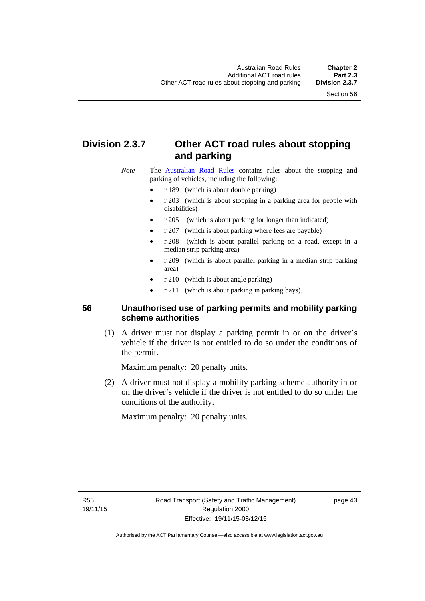# **Division 2.3.7 Other ACT road rules about stopping and parking**

*Note* The [Australian Road Rules](http://www.legislation.act.gov.au//ni/db_37271/default.asp) contains rules about the stopping and parking of vehicles, including the following:

- r 189 (which is about double parking)
- r 203 (which is about stopping in a parking area for people with disabilities)
- r 205 (which is about parking for longer than indicated)
- r 207 (which is about parking where fees are payable)
- r 208 (which is about parallel parking on a road, except in a median strip parking area)
- r 209 (which is about parallel parking in a median strip parking area)
- r 210 (which is about angle parking)
- r 211 (which is about parking in parking bays).

#### **56 Unauthorised use of parking permits and mobility parking scheme authorities**

 (1) A driver must not display a parking permit in or on the driver's vehicle if the driver is not entitled to do so under the conditions of the permit.

Maximum penalty: 20 penalty units.

 (2) A driver must not display a mobility parking scheme authority in or on the driver's vehicle if the driver is not entitled to do so under the conditions of the authority.

Maximum penalty: 20 penalty units.

R55 19/11/15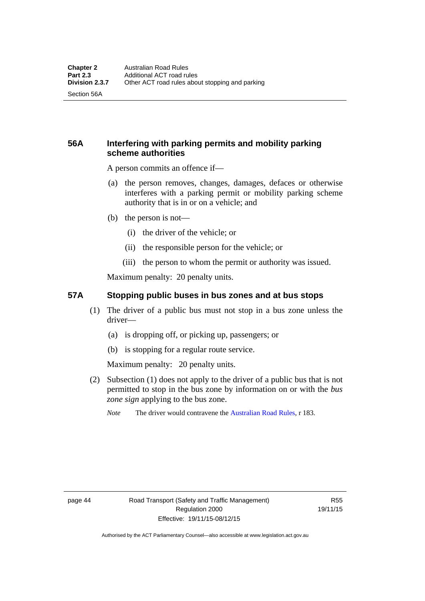Section 56A

### **56A Interfering with parking permits and mobility parking scheme authorities**

A person commits an offence if—

- (a) the person removes, changes, damages, defaces or otherwise interferes with a parking permit or mobility parking scheme authority that is in or on a vehicle; and
- (b) the person is not—
	- (i) the driver of the vehicle; or
	- (ii) the responsible person for the vehicle; or
	- (iii) the person to whom the permit or authority was issued.

Maximum penalty: 20 penalty units.

#### **57A Stopping public buses in bus zones and at bus stops**

- (1) The driver of a public bus must not stop in a bus zone unless the driver—
	- (a) is dropping off, or picking up, passengers; or
	- (b) is stopping for a regular route service.

Maximum penalty: 20 penalty units.

- (2) Subsection (1) does not apply to the driver of a public bus that is not permitted to stop in the bus zone by information on or with the *bus zone sign* applying to the bus zone.
	- *Note* The driver would contravene the [Australian Road Rules,](http://www.legislation.act.gov.au//ni/db_37271/default.asp) r 183.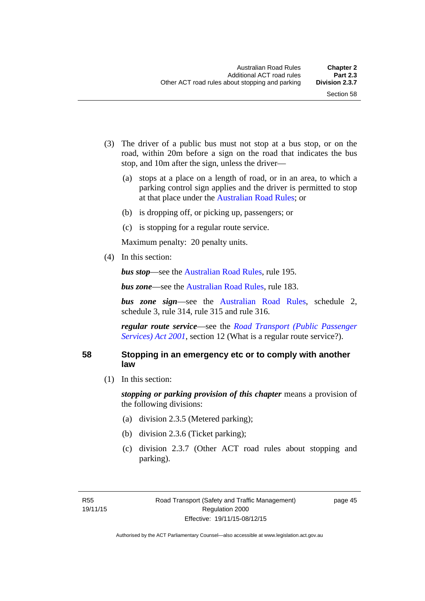- (3) The driver of a public bus must not stop at a bus stop, or on the road, within 20m before a sign on the road that indicates the bus stop, and 10m after the sign, unless the driver—
	- (a) stops at a place on a length of road, or in an area, to which a parking control sign applies and the driver is permitted to stop at that place under the [Australian Road Rules;](http://www.legislation.act.gov.au//ni/db_37271/default.asp) or
	- (b) is dropping off, or picking up, passengers; or
	- (c) is stopping for a regular route service.

Maximum penalty: 20 penalty units.

(4) In this section:

*bus stop***—see the [Australian Road Rules](http://www.legislation.act.gov.au//ni/db_37271/default.asp)**, rule 195.

*bus zone***—see the Australian Road Rules**, rule 183.

*bus zone sign*—see the [Australian Road Rules,](http://www.legislation.act.gov.au//ni/db_37271/default.asp) schedule 2, schedule 3, rule 314, rule 315 and rule 316.

*regular route service*—see the *[Road Transport \(Public Passenger](http://www.legislation.act.gov.au/a/2001-62)  Services*) *Act 2001*, section 12 (What is a regular route service?).

#### **58 Stopping in an emergency etc or to comply with another law**

(1) In this section:

*stopping or parking provision of this chapter* means a provision of the following divisions:

- (a) division 2.3.5 (Metered parking);
- (b) division 2.3.6 (Ticket parking);
- (c) division 2.3.7 (Other ACT road rules about stopping and parking).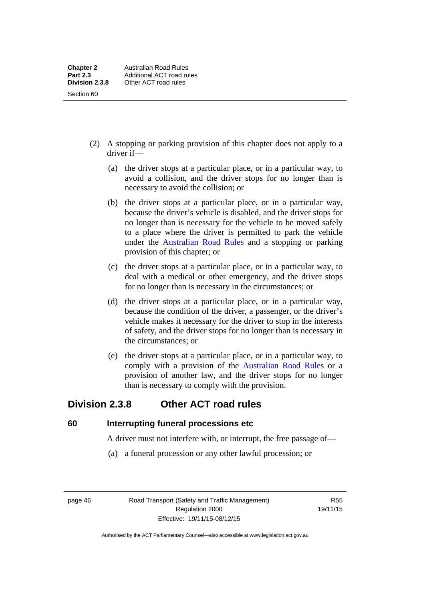- (2) A stopping or parking provision of this chapter does not apply to a driver if—
	- (a) the driver stops at a particular place, or in a particular way, to avoid a collision, and the driver stops for no longer than is necessary to avoid the collision; or
	- (b) the driver stops at a particular place, or in a particular way, because the driver's vehicle is disabled, and the driver stops for no longer than is necessary for the vehicle to be moved safely to a place where the driver is permitted to park the vehicle under the [Australian Road Rules](http://www.legislation.act.gov.au//ni/db_37271/default.asp) and a stopping or parking provision of this chapter; or
	- (c) the driver stops at a particular place, or in a particular way, to deal with a medical or other emergency, and the driver stops for no longer than is necessary in the circumstances; or
	- (d) the driver stops at a particular place, or in a particular way, because the condition of the driver, a passenger, or the driver's vehicle makes it necessary for the driver to stop in the interests of safety, and the driver stops for no longer than is necessary in the circumstances; or
	- (e) the driver stops at a particular place, or in a particular way, to comply with a provision of the [Australian Road Rules](http://www.legislation.act.gov.au//ni/db_37271/default.asp) or a provision of another law, and the driver stops for no longer than is necessary to comply with the provision.

## **Division 2.3.8 Other ACT road rules**

**60 Interrupting funeral processions etc**

A driver must not interfere with, or interrupt, the free passage of—

(a) a funeral procession or any other lawful procession; or

page 46 Road Transport (Safety and Traffic Management) Regulation 2000 Effective: 19/11/15-08/12/15

R55 19/11/15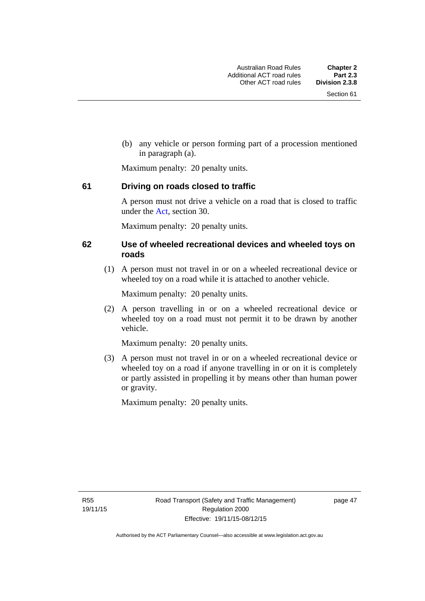(b) any vehicle or person forming part of a procession mentioned in paragraph (a).

Maximum penalty: 20 penalty units.

#### **61 Driving on roads closed to traffic**

A person must not drive a vehicle on a road that is closed to traffic under the [Act](http://www.legislation.act.gov.au/a/1999-80/default.asp), section 30.

Maximum penalty: 20 penalty units.

#### **62 Use of wheeled recreational devices and wheeled toys on roads**

 (1) A person must not travel in or on a wheeled recreational device or wheeled toy on a road while it is attached to another vehicle.

Maximum penalty: 20 penalty units.

 (2) A person travelling in or on a wheeled recreational device or wheeled toy on a road must not permit it to be drawn by another vehicle.

Maximum penalty: 20 penalty units.

 (3) A person must not travel in or on a wheeled recreational device or wheeled toy on a road if anyone travelling in or on it is completely or partly assisted in propelling it by means other than human power or gravity.

Maximum penalty: 20 penalty units.

R55 19/11/15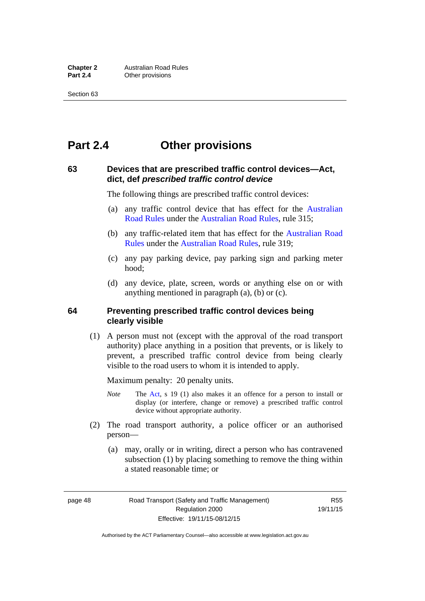# **Part 2.4 Other provisions**

#### **63 Devices that are prescribed traffic control devices—Act, dict, def** *prescribed traffic control device*

The following things are prescribed traffic control devices:

- (a) any traffic control device that has effect for the [Australian](http://www.legislation.act.gov.au//ni/db_37271/default.asp)  [Road Rules](http://www.legislation.act.gov.au//ni/db_37271/default.asp) under the [Australian Road Rules](http://www.legislation.act.gov.au//ni/db_37271/default.asp), rule 315;
- (b) any traffic-related item that has effect for the [Australian Road](http://www.legislation.act.gov.au//ni/db_37271/default.asp)  [Rules](http://www.legislation.act.gov.au//ni/db_37271/default.asp) under the [Australian Road Rules,](http://www.legislation.act.gov.au//ni/db_37271/default.asp) rule 319;
- (c) any pay parking device, pay parking sign and parking meter hood;
- (d) any device, plate, screen, words or anything else on or with anything mentioned in paragraph (a), (b) or (c).

#### **64 Preventing prescribed traffic control devices being clearly visible**

 (1) A person must not (except with the approval of the road transport authority) place anything in a position that prevents, or is likely to prevent, a prescribed traffic control device from being clearly visible to the road users to whom it is intended to apply.

Maximum penalty: 20 penalty units.

- *Note* The [Act](http://www.legislation.act.gov.au/a/1999-80/default.asp), s 19 (1) also makes it an offence for a person to install or display (or interfere, change or remove) a prescribed traffic control device without appropriate authority.
- (2) The road transport authority, a police officer or an authorised person—
	- (a) may, orally or in writing, direct a person who has contravened subsection (1) by placing something to remove the thing within a stated reasonable time; or

page 48 Road Transport (Safety and Traffic Management) Regulation 2000 Effective: 19/11/15-08/12/15

R55 19/11/15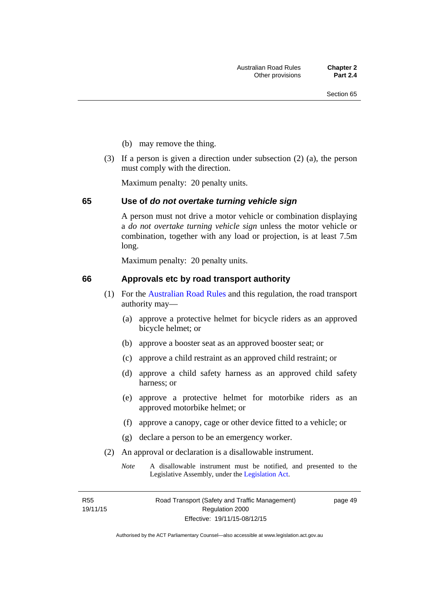- (b) may remove the thing.
- (3) If a person is given a direction under subsection (2) (a), the person must comply with the direction.

Maximum penalty: 20 penalty units.

#### **65 Use of** *do not overtake turning vehicle sign*

A person must not drive a motor vehicle or combination displaying a *do not overtake turning vehicle sign* unless the motor vehicle or combination, together with any load or projection, is at least 7.5m long.

Maximum penalty: 20 penalty units.

#### **66 Approvals etc by road transport authority**

- (1) For the [Australian Road Rules](http://www.legislation.act.gov.au//ni/db_37271/default.asp) and this regulation, the road transport authority may—
	- (a) approve a protective helmet for bicycle riders as an approved bicycle helmet; or
	- (b) approve a booster seat as an approved booster seat; or
	- (c) approve a child restraint as an approved child restraint; or
	- (d) approve a child safety harness as an approved child safety harness; or
	- (e) approve a protective helmet for motorbike riders as an approved motorbike helmet; or
	- (f) approve a canopy, cage or other device fitted to a vehicle; or
	- (g) declare a person to be an emergency worker.
- (2) An approval or declaration is a disallowable instrument.
	- *Note* A disallowable instrument must be notified, and presented to the Legislative Assembly, under the [Legislation Act.](http://www.legislation.act.gov.au/a/2001-14)

R55 19/11/15 page 49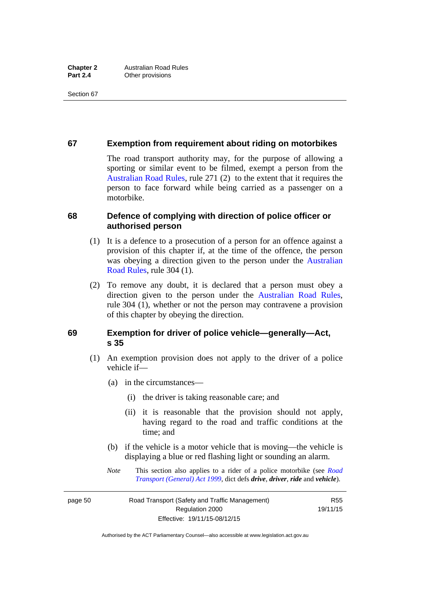#### **67 Exemption from requirement about riding on motorbikes**

The road transport authority may, for the purpose of allowing a sporting or similar event to be filmed, exempt a person from the [Australian Road Rules](http://www.legislation.act.gov.au//ni/db_37271/default.asp), rule 271 (2) to the extent that it requires the person to face forward while being carried as a passenger on a motorbike.

#### **68 Defence of complying with direction of police officer or authorised person**

- (1) It is a defence to a prosecution of a person for an offence against a provision of this chapter if, at the time of the offence, the person was obeying a direction given to the person under the [Australian](http://www.legislation.act.gov.au//ni/db_37271/default.asp)  [Road Rules,](http://www.legislation.act.gov.au//ni/db_37271/default.asp) rule 304 (1).
- (2) To remove any doubt, it is declared that a person must obey a direction given to the person under the [Australian Road Rules](http://www.legislation.act.gov.au//ni/db_37271/default.asp), rule 304 (1), whether or not the person may contravene a provision of this chapter by obeying the direction.

#### **69 Exemption for driver of police vehicle—generally—Act, s 35**

- (1) An exemption provision does not apply to the driver of a police vehicle if—
	- (a) in the circumstances—
		- (i) the driver is taking reasonable care; and
		- (ii) it is reasonable that the provision should not apply, having regard to the road and traffic conditions at the time; and
	- (b) if the vehicle is a motor vehicle that is moving—the vehicle is displaying a blue or red flashing light or sounding an alarm.
	- *Note* This section also applies to a rider of a police motorbike (see *[Road](http://www.legislation.act.gov.au/a/1999-77)  [Transport \(General\) Act 1999](http://www.legislation.act.gov.au/a/1999-77)*, dict defs *drive*, *driver*, *ride* and *vehicle*).

page 50 Road Transport (Safety and Traffic Management) Regulation 2000 Effective: 19/11/15-08/12/15

R55 19/11/15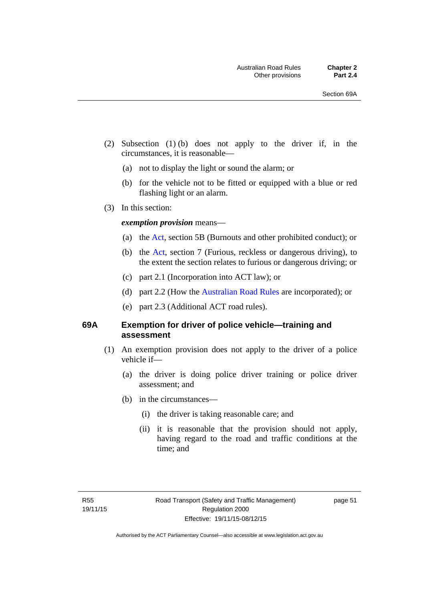- (2) Subsection (1) (b) does not apply to the driver if, in the circumstances, it is reasonable—
	- (a) not to display the light or sound the alarm; or
	- (b) for the vehicle not to be fitted or equipped with a blue or red flashing light or an alarm.
- (3) In this section:

#### *exemption provision* means—

- (a) the [Act](http://www.legislation.act.gov.au/a/1999-80/default.asp), section 5B (Burnouts and other prohibited conduct); or
- (b) the [Act](http://www.legislation.act.gov.au/a/1999-80/default.asp), section 7 (Furious, reckless or dangerous driving), to the extent the section relates to furious or dangerous driving; or
- (c) part 2.1 (Incorporation into ACT law); or
- (d) part 2.2 (How the [Australian Road Rules](http://www.legislation.act.gov.au//ni/db_37271/default.asp) are incorporated); or
- (e) part 2.3 (Additional ACT road rules).

#### **69A Exemption for driver of police vehicle—training and assessment**

- (1) An exemption provision does not apply to the driver of a police vehicle if—
	- (a) the driver is doing police driver training or police driver assessment; and
	- (b) in the circumstances—
		- (i) the driver is taking reasonable care; and
		- (ii) it is reasonable that the provision should not apply, having regard to the road and traffic conditions at the time; and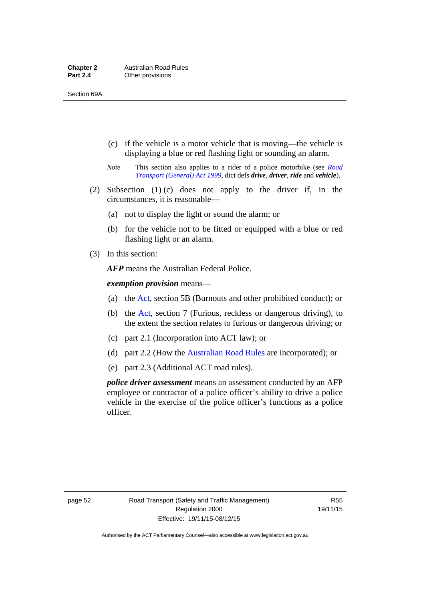- (c) if the vehicle is a motor vehicle that is moving—the vehicle is displaying a blue or red flashing light or sounding an alarm.
- *Note* This section also applies to a rider of a police motorbike (see *[Road](http://www.legislation.act.gov.au/a/1999-77)  [Transport \(General\) Act 1999](http://www.legislation.act.gov.au/a/1999-77)*, dict defs *drive*, *driver*, *ride* and *vehicle*).
- (2) Subsection (1) (c) does not apply to the driver if, in the circumstances, it is reasonable—
	- (a) not to display the light or sound the alarm; or
	- (b) for the vehicle not to be fitted or equipped with a blue or red flashing light or an alarm.
- (3) In this section:

*AFP* means the Australian Federal Police.

*exemption provision* means—

- (a) the [Act,](http://www.legislation.act.gov.au/a/1999-80/default.asp) section 5B (Burnouts and other prohibited conduct); or
- (b) the [Act](http://www.legislation.act.gov.au/a/1999-80/default.asp), section 7 (Furious, reckless or dangerous driving), to the extent the section relates to furious or dangerous driving; or
- (c) part 2.1 (Incorporation into ACT law); or
- (d) part 2.2 (How the [Australian Road Rules](http://www.legislation.act.gov.au//ni/db_37271/default.asp) are incorporated); or
- (e) part 2.3 (Additional ACT road rules).

*police driver assessment* means an assessment conducted by an AFP employee or contractor of a police officer's ability to drive a police vehicle in the exercise of the police officer's functions as a police officer.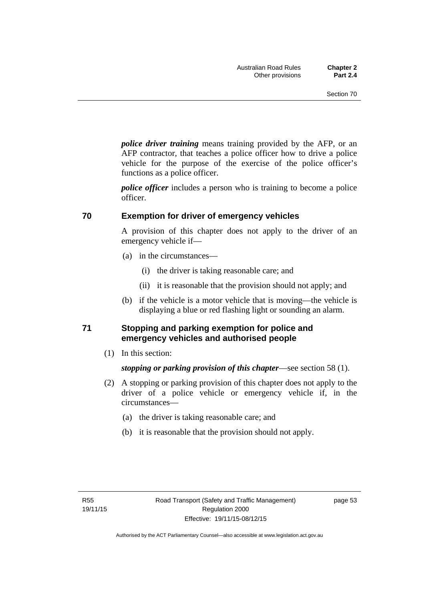*police driver training* means training provided by the AFP, or an AFP contractor, that teaches a police officer how to drive a police vehicle for the purpose of the exercise of the police officer's functions as a police officer.

*police officer* includes a person who is training to become a police officer.

#### **70 Exemption for driver of emergency vehicles**

A provision of this chapter does not apply to the driver of an emergency vehicle if—

- (a) in the circumstances—
	- (i) the driver is taking reasonable care; and
	- (ii) it is reasonable that the provision should not apply; and
- (b) if the vehicle is a motor vehicle that is moving—the vehicle is displaying a blue or red flashing light or sounding an alarm.

#### **71 Stopping and parking exemption for police and emergency vehicles and authorised people**

(1) In this section:

*stopping or parking provision of this chapter*—see section 58 (1).

- (2) A stopping or parking provision of this chapter does not apply to the driver of a police vehicle or emergency vehicle if, in the circumstances—
	- (a) the driver is taking reasonable care; and
	- (b) it is reasonable that the provision should not apply.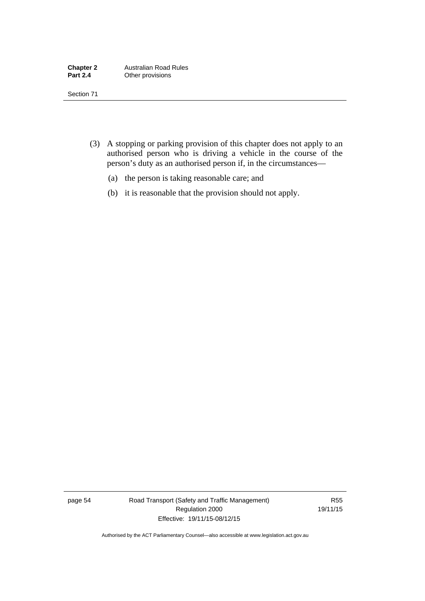- (3) A stopping or parking provision of this chapter does not apply to an authorised person who is driving a vehicle in the course of the person's duty as an authorised person if, in the circumstances—
	- (a) the person is taking reasonable care; and
	- (b) it is reasonable that the provision should not apply.

page 54 Road Transport (Safety and Traffic Management) Regulation 2000 Effective: 19/11/15-08/12/15

R55 19/11/15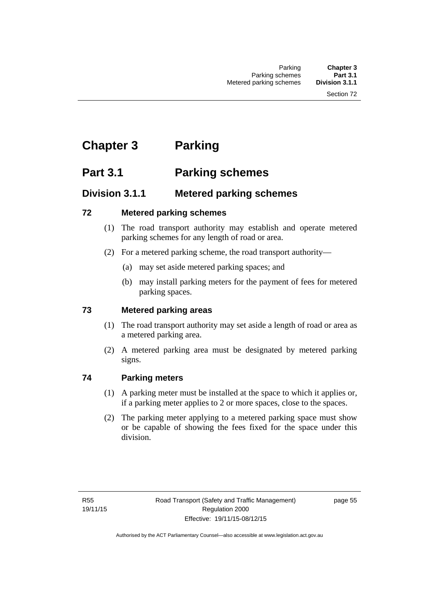# **Chapter 3 Parking**

# **Part 3.1 Parking schemes**

### **Division 3.1.1 Metered parking schemes**

### **72 Metered parking schemes**

- (1) The road transport authority may establish and operate metered parking schemes for any length of road or area.
- (2) For a metered parking scheme, the road transport authority—
	- (a) may set aside metered parking spaces; and
	- (b) may install parking meters for the payment of fees for metered parking spaces.

### **73 Metered parking areas**

- (1) The road transport authority may set aside a length of road or area as a metered parking area.
- (2) A metered parking area must be designated by metered parking signs.

### **74 Parking meters**

- (1) A parking meter must be installed at the space to which it applies or, if a parking meter applies to 2 or more spaces, close to the spaces.
- (2) The parking meter applying to a metered parking space must show or be capable of showing the fees fixed for the space under this division.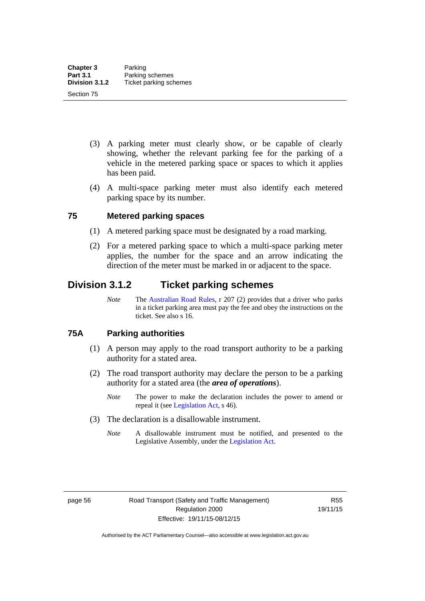- (3) A parking meter must clearly show, or be capable of clearly showing, whether the relevant parking fee for the parking of a vehicle in the metered parking space or spaces to which it applies has been paid.
- (4) A multi-space parking meter must also identify each metered parking space by its number.

# **75 Metered parking spaces**

- (1) A metered parking space must be designated by a road marking.
- (2) For a metered parking space to which a multi-space parking meter applies, the number for the space and an arrow indicating the direction of the meter must be marked in or adjacent to the space.

# **Division 3.1.2 Ticket parking schemes**

*Note* The [Australian Road Rules](http://www.legislation.act.gov.au//ni/db_37271/default.asp), r 207 (2) provides that a driver who parks in a ticket parking area must pay the fee and obey the instructions on the ticket. See also s 16.

### **75A Parking authorities**

- (1) A person may apply to the road transport authority to be a parking authority for a stated area.
- (2) The road transport authority may declare the person to be a parking authority for a stated area (the *area of operations*).
	- *Note* The power to make the declaration includes the power to amend or repeal it (see [Legislation Act,](http://www.legislation.act.gov.au/a/2001-14) s 46).
- (3) The declaration is a disallowable instrument.
	- *Note* A disallowable instrument must be notified, and presented to the Legislative Assembly, under the [Legislation Act.](http://www.legislation.act.gov.au/a/2001-14)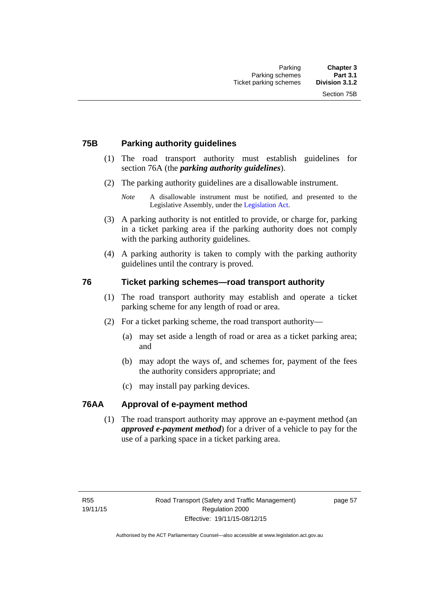# **75B Parking authority guidelines**

- (1) The road transport authority must establish guidelines for section 76A (the *parking authority guidelines*).
- (2) The parking authority guidelines are a disallowable instrument.

- (3) A parking authority is not entitled to provide, or charge for, parking in a ticket parking area if the parking authority does not comply with the parking authority guidelines.
- (4) A parking authority is taken to comply with the parking authority guidelines until the contrary is proved.

# **76 Ticket parking schemes—road transport authority**

- (1) The road transport authority may establish and operate a ticket parking scheme for any length of road or area.
- (2) For a ticket parking scheme, the road transport authority—
	- (a) may set aside a length of road or area as a ticket parking area; and
	- (b) may adopt the ways of, and schemes for, payment of the fees the authority considers appropriate; and
	- (c) may install pay parking devices.

### **76AA Approval of e-payment method**

(1) The road transport authority may approve an e-payment method (an *approved e-payment method*) for a driver of a vehicle to pay for the use of a parking space in a ticket parking area.

*Note* A disallowable instrument must be notified, and presented to the Legislative Assembly, under the [Legislation Act.](http://www.legislation.act.gov.au/a/2001-14)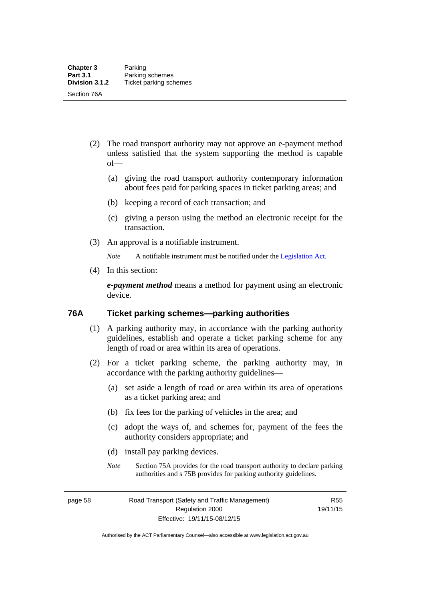- (2) The road transport authority may not approve an e-payment method unless satisfied that the system supporting the method is capable of—
	- (a) giving the road transport authority contemporary information about fees paid for parking spaces in ticket parking areas; and
	- (b) keeping a record of each transaction; and
	- (c) giving a person using the method an electronic receipt for the transaction.
- (3) An approval is a notifiable instrument.

*Note* A notifiable instrument must be notified under the [Legislation Act](http://www.legislation.act.gov.au/a/2001-14).

(4) In this section:

*e-payment method* means a method for payment using an electronic device.

### **76A Ticket parking schemes—parking authorities**

- (1) A parking authority may, in accordance with the parking authority guidelines, establish and operate a ticket parking scheme for any length of road or area within its area of operations.
- (2) For a ticket parking scheme, the parking authority may, in accordance with the parking authority guidelines—
	- (a) set aside a length of road or area within its area of operations as a ticket parking area; and
	- (b) fix fees for the parking of vehicles in the area; and
	- (c) adopt the ways of, and schemes for, payment of the fees the authority considers appropriate; and
	- (d) install pay parking devices.
	- *Note* Section 75A provides for the road transport authority to declare parking authorities and s 75B provides for parking authority guidelines.

page 58 Road Transport (Safety and Traffic Management) Regulation 2000 Effective: 19/11/15-08/12/15

R55 19/11/15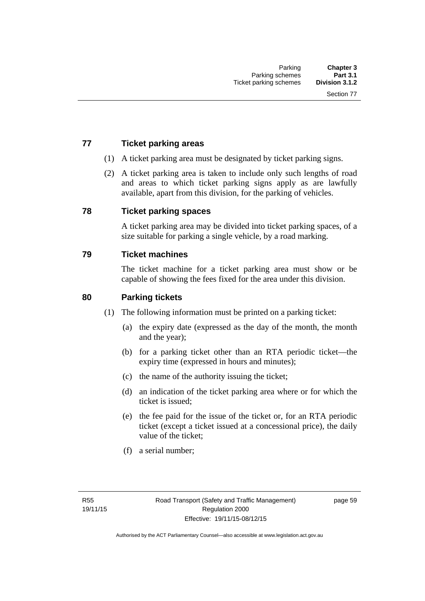# **77 Ticket parking areas**

- (1) A ticket parking area must be designated by ticket parking signs.
- (2) A ticket parking area is taken to include only such lengths of road and areas to which ticket parking signs apply as are lawfully available, apart from this division, for the parking of vehicles.

### **78 Ticket parking spaces**

A ticket parking area may be divided into ticket parking spaces, of a size suitable for parking a single vehicle, by a road marking.

### **79 Ticket machines**

The ticket machine for a ticket parking area must show or be capable of showing the fees fixed for the area under this division.

### **80 Parking tickets**

- (1) The following information must be printed on a parking ticket:
	- (a) the expiry date (expressed as the day of the month, the month and the year);
	- (b) for a parking ticket other than an RTA periodic ticket—the expiry time (expressed in hours and minutes);
	- (c) the name of the authority issuing the ticket;
	- (d) an indication of the ticket parking area where or for which the ticket is issued;
	- (e) the fee paid for the issue of the ticket or, for an RTA periodic ticket (except a ticket issued at a concessional price), the daily value of the ticket;
	- (f) a serial number;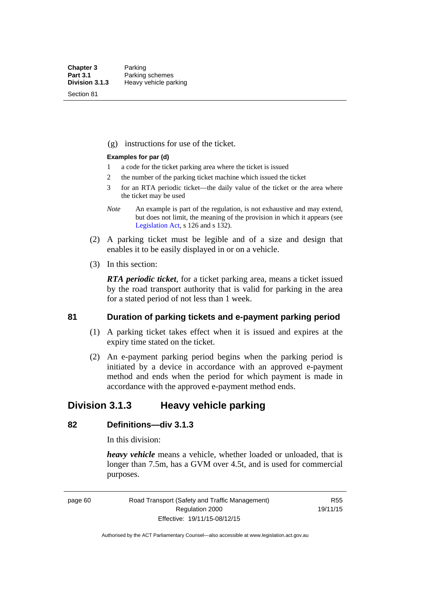Section 81

(g) instructions for use of the ticket.

### **Examples for par (d)**

- 1 a code for the ticket parking area where the ticket is issued
- 2 the number of the parking ticket machine which issued the ticket
- 3 for an RTA periodic ticket—the daily value of the ticket or the area where the ticket may be used
- *Note* An example is part of the regulation, is not exhaustive and may extend, but does not limit, the meaning of the provision in which it appears (see [Legislation Act,](http://www.legislation.act.gov.au/a/2001-14) s 126 and s 132).
- (2) A parking ticket must be legible and of a size and design that enables it to be easily displayed in or on a vehicle.
- (3) In this section:

*RTA periodic ticket*, for a ticket parking area, means a ticket issued by the road transport authority that is valid for parking in the area for a stated period of not less than 1 week.

### **81 Duration of parking tickets and e-payment parking period**

- (1) A parking ticket takes effect when it is issued and expires at the expiry time stated on the ticket.
- (2) An e-payment parking period begins when the parking period is initiated by a device in accordance with an approved e-payment method and ends when the period for which payment is made in accordance with the approved e-payment method ends.

# **Division 3.1.3 Heavy vehicle parking**

# **82 Definitions—div 3.1.3**

In this division:

*heavy vehicle* means a vehicle, whether loaded or unloaded, that is longer than 7.5m, has a GVM over 4.5t, and is used for commercial purposes.

page 60 Road Transport (Safety and Traffic Management) Regulation 2000 Effective: 19/11/15-08/12/15

R55 19/11/15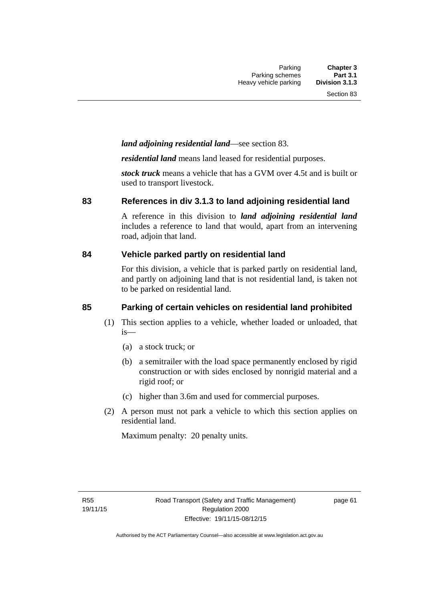# *land adjoining residential land*—see section 83.

*residential land* means land leased for residential purposes.

*stock truck* means a vehicle that has a GVM over 4.5t and is built or used to transport livestock.

### **83 References in div 3.1.3 to land adjoining residential land**

A reference in this division to *land adjoining residential land* includes a reference to land that would, apart from an intervening road, adjoin that land.

### **84 Vehicle parked partly on residential land**

For this division, a vehicle that is parked partly on residential land, and partly on adjoining land that is not residential land, is taken not to be parked on residential land.

# **85 Parking of certain vehicles on residential land prohibited**

- (1) This section applies to a vehicle, whether loaded or unloaded, that is—
	- (a) a stock truck; or
	- (b) a semitrailer with the load space permanently enclosed by rigid construction or with sides enclosed by nonrigid material and a rigid roof; or
	- (c) higher than 3.6m and used for commercial purposes.
- (2) A person must not park a vehicle to which this section applies on residential land.

Maximum penalty: 20 penalty units.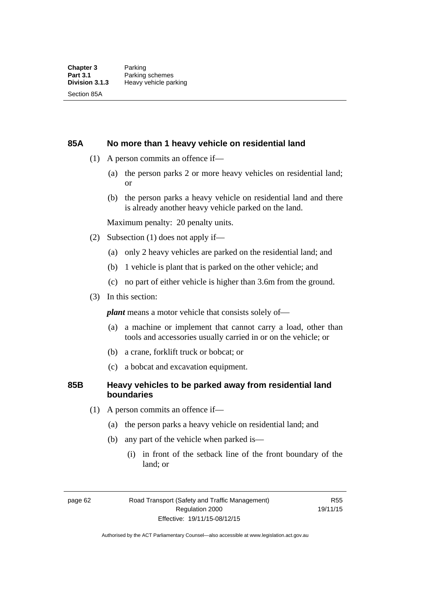### **85A No more than 1 heavy vehicle on residential land**

- (1) A person commits an offence if—
	- (a) the person parks 2 or more heavy vehicles on residential land; or
	- (b) the person parks a heavy vehicle on residential land and there is already another heavy vehicle parked on the land.

Maximum penalty: 20 penalty units.

- (2) Subsection (1) does not apply if—
	- (a) only 2 heavy vehicles are parked on the residential land; and
	- (b) 1 vehicle is plant that is parked on the other vehicle; and
	- (c) no part of either vehicle is higher than 3.6m from the ground.
- (3) In this section:

*plant* means a motor vehicle that consists solely of—

- (a) a machine or implement that cannot carry a load, other than tools and accessories usually carried in or on the vehicle; or
- (b) a crane, forklift truck or bobcat; or
- (c) a bobcat and excavation equipment.

# **85B Heavy vehicles to be parked away from residential land boundaries**

- (1) A person commits an offence if—
	- (a) the person parks a heavy vehicle on residential land; and
	- (b) any part of the vehicle when parked is—
		- (i) in front of the setback line of the front boundary of the land; or

page 62 Road Transport (Safety and Traffic Management) Regulation 2000 Effective: 19/11/15-08/12/15

R55 19/11/15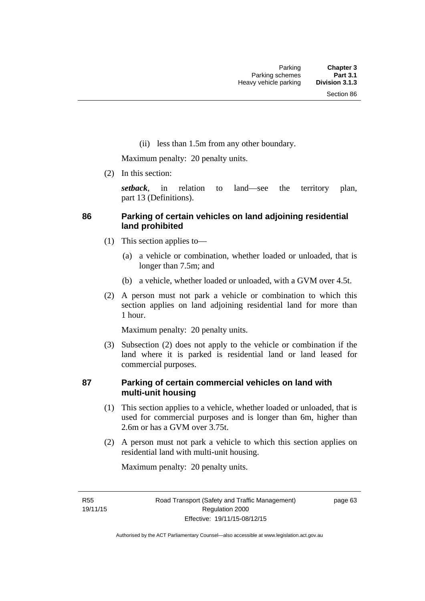(ii) less than 1.5m from any other boundary.

Maximum penalty: 20 penalty units.

(2) In this section:

*setback*, in relation to land—see the territory plan, part 13 (Definitions).

# **86 Parking of certain vehicles on land adjoining residential land prohibited**

- (1) This section applies to—
	- (a) a vehicle or combination, whether loaded or unloaded, that is longer than 7.5m; and
	- (b) a vehicle, whether loaded or unloaded, with a GVM over 4.5t.
- (2) A person must not park a vehicle or combination to which this section applies on land adjoining residential land for more than 1 hour.

Maximum penalty: 20 penalty units.

 (3) Subsection (2) does not apply to the vehicle or combination if the land where it is parked is residential land or land leased for commercial purposes.

# **87 Parking of certain commercial vehicles on land with multi-unit housing**

- (1) This section applies to a vehicle, whether loaded or unloaded, that is used for commercial purposes and is longer than 6m, higher than 2.6m or has a GVM over 3.75t.
- (2) A person must not park a vehicle to which this section applies on residential land with multi-unit housing.

Maximum penalty: 20 penalty units.

R55 19/11/15 page 63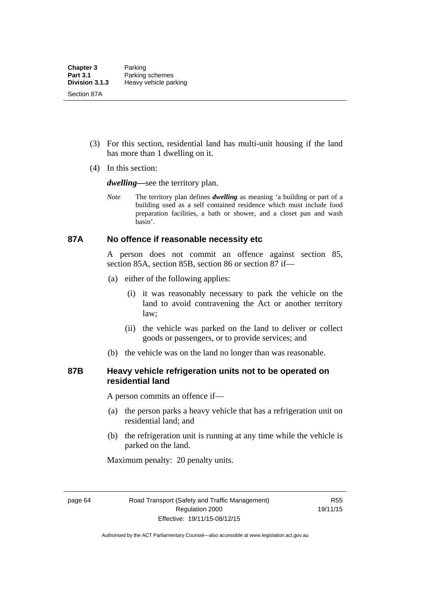- (3) For this section, residential land has multi-unit housing if the land has more than 1 dwelling on it.
- (4) In this section:

*dwelling—*see the territory plan.

*Note* The territory plan defines *dwelling* as meaning 'a building or part of a building used as a self contained residence which must include food preparation facilities, a bath or shower, and a closet pan and wash basin'.

### **87A No offence if reasonable necessity etc**

A person does not commit an offence against section 85, section 85A, section 85B, section 86 or section 87 if—

- (a) either of the following applies:
	- (i) it was reasonably necessary to park the vehicle on the land to avoid contravening the Act or another territory law;
	- (ii) the vehicle was parked on the land to deliver or collect goods or passengers, or to provide services; and
- (b) the vehicle was on the land no longer than was reasonable.

# **87B Heavy vehicle refrigeration units not to be operated on residential land**

A person commits an offence if—

- (a) the person parks a heavy vehicle that has a refrigeration unit on residential land; and
- (b) the refrigeration unit is running at any time while the vehicle is parked on the land.

Maximum penalty: 20 penalty units.

page 64 Road Transport (Safety and Traffic Management) Regulation 2000 Effective: 19/11/15-08/12/15

R55 19/11/15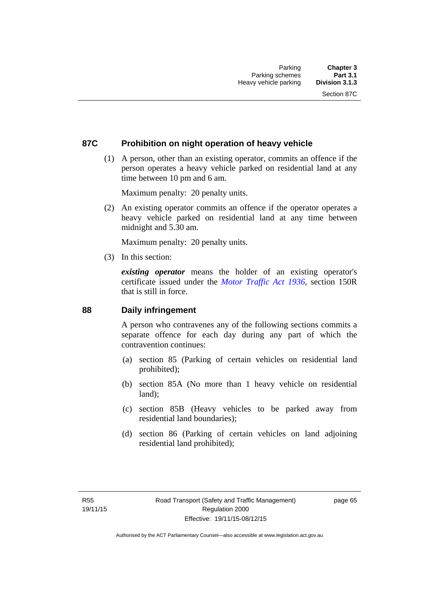# **87C Prohibition on night operation of heavy vehicle**

 (1) A person, other than an existing operator, commits an offence if the person operates a heavy vehicle parked on residential land at any time between 10 pm and 6 am.

Maximum penalty: 20 penalty units.

 (2) An existing operator commits an offence if the operator operates a heavy vehicle parked on residential land at any time between midnight and 5.30 am.

Maximum penalty: 20 penalty units.

(3) In this section:

*existing operator* means the holder of an existing operator's certificate issued under the *[Motor Traffic Act 1936](http://www.legislation.act.gov.au/a/1936-45)*, section 150R that is still in force.

### **88 Daily infringement**

A person who contravenes any of the following sections commits a separate offence for each day during any part of which the contravention continues:

- (a) section 85 (Parking of certain vehicles on residential land prohibited);
- (b) section 85A (No more than 1 heavy vehicle on residential land);
- (c) section 85B (Heavy vehicles to be parked away from residential land boundaries);
- (d) section 86 (Parking of certain vehicles on land adjoining residential land prohibited);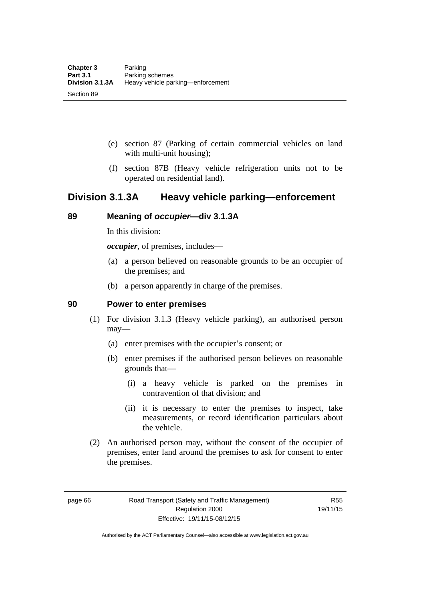- (e) section 87 (Parking of certain commercial vehicles on land with multi-unit housing);
- (f) section 87B (Heavy vehicle refrigeration units not to be operated on residential land).

# **Division 3.1.3A Heavy vehicle parking—enforcement**

# **89 Meaning of** *occupier***—div 3.1.3A**

In this division:

*occupier*, of premises, includes—

- (a) a person believed on reasonable grounds to be an occupier of the premises; and
- (b) a person apparently in charge of the premises.

### **90 Power to enter premises**

- (1) For division 3.1.3 (Heavy vehicle parking), an authorised person may—
	- (a) enter premises with the occupier's consent; or
	- (b) enter premises if the authorised person believes on reasonable grounds that—
		- (i) a heavy vehicle is parked on the premises in contravention of that division; and
		- (ii) it is necessary to enter the premises to inspect, take measurements, or record identification particulars about the vehicle.
- (2) An authorised person may, without the consent of the occupier of premises, enter land around the premises to ask for consent to enter the premises.

page 66 Road Transport (Safety and Traffic Management) Regulation 2000 Effective: 19/11/15-08/12/15

R55 19/11/15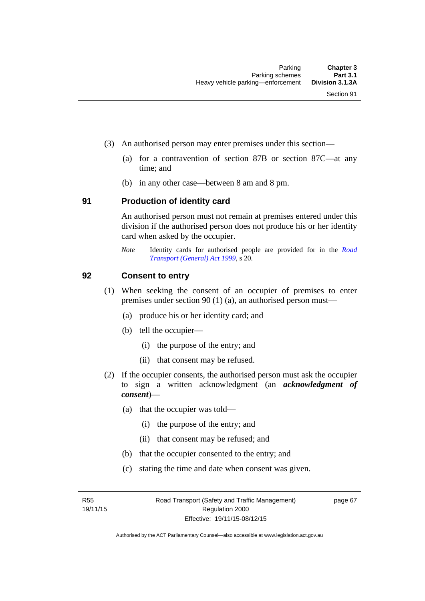- (3) An authorised person may enter premises under this section––
	- (a) for a contravention of section 87B or section 87C––at any time; and
	- (b) in any other case––between 8 am and 8 pm.

### **91 Production of identity card**

An authorised person must not remain at premises entered under this division if the authorised person does not produce his or her identity card when asked by the occupier.

*Note* Identity cards for authorised people are provided for in the *[Road](http://www.legislation.act.gov.au/a/1999-77)  [Transport \(General\) Act 1999](http://www.legislation.act.gov.au/a/1999-77)*, s 20.

### **92 Consent to entry**

- (1) When seeking the consent of an occupier of premises to enter premises under section 90 (1) (a), an authorised person must—
	- (a) produce his or her identity card; and
	- (b) tell the occupier—
		- (i) the purpose of the entry; and
		- (ii) that consent may be refused.
- (2) If the occupier consents, the authorised person must ask the occupier to sign a written acknowledgment (an *acknowledgment of consent*)—
	- (a) that the occupier was told—
		- (i) the purpose of the entry; and
		- (ii) that consent may be refused; and
	- (b) that the occupier consented to the entry; and
	- (c) stating the time and date when consent was given.

R55 19/11/15 page 67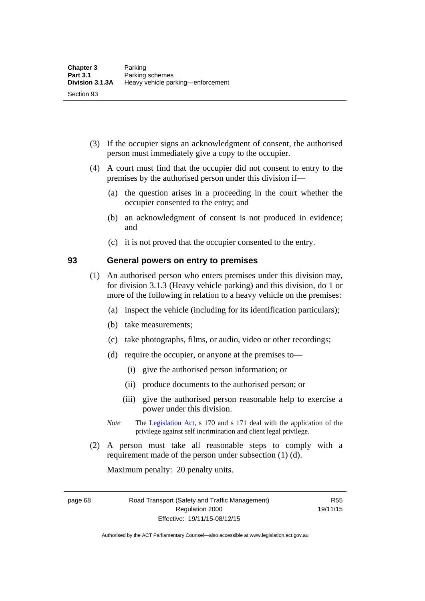- (3) If the occupier signs an acknowledgment of consent, the authorised person must immediately give a copy to the occupier.
- (4) A court must find that the occupier did not consent to entry to the premises by the authorised person under this division if—
	- (a) the question arises in a proceeding in the court whether the occupier consented to the entry; and
	- (b) an acknowledgment of consent is not produced in evidence; and
	- (c) it is not proved that the occupier consented to the entry.

### **93 General powers on entry to premises**

- (1) An authorised person who enters premises under this division may, for division 3.1.3 (Heavy vehicle parking) and this division, do 1 or more of the following in relation to a heavy vehicle on the premises:
	- (a) inspect the vehicle (including for its identification particulars);
	- (b) take measurements;
	- (c) take photographs, films, or audio, video or other recordings;
	- (d) require the occupier, or anyone at the premises to—
		- (i) give the authorised person information; or
		- (ii) produce documents to the authorised person; or
		- (iii) give the authorised person reasonable help to exercise a power under this division.
	- *Note* The [Legislation Act](http://www.legislation.act.gov.au/a/2001-14), s 170 and s 171 deal with the application of the privilege against self incrimination and client legal privilege.
- (2) A person must take all reasonable steps to comply with a requirement made of the person under subsection (1) (d).

Maximum penalty: 20 penalty units.

page 68 Road Transport (Safety and Traffic Management) Regulation 2000 Effective: 19/11/15-08/12/15

R55 19/11/15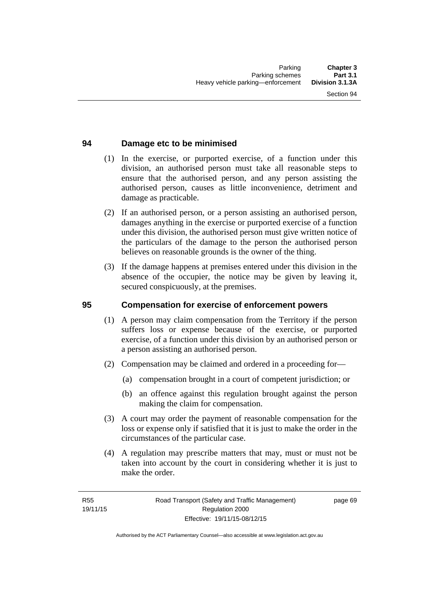# **94 Damage etc to be minimised**

- (1) In the exercise, or purported exercise, of a function under this division, an authorised person must take all reasonable steps to ensure that the authorised person, and any person assisting the authorised person, causes as little inconvenience, detriment and damage as practicable.
- (2) If an authorised person, or a person assisting an authorised person, damages anything in the exercise or purported exercise of a function under this division, the authorised person must give written notice of the particulars of the damage to the person the authorised person believes on reasonable grounds is the owner of the thing.
- (3) If the damage happens at premises entered under this division in the absence of the occupier, the notice may be given by leaving it, secured conspicuously, at the premises.

### **95 Compensation for exercise of enforcement powers**

- (1) A person may claim compensation from the Territory if the person suffers loss or expense because of the exercise, or purported exercise, of a function under this division by an authorised person or a person assisting an authorised person.
- (2) Compensation may be claimed and ordered in a proceeding for—
	- (a) compensation brought in a court of competent jurisdiction; or
	- (b) an offence against this regulation brought against the person making the claim for compensation.
- (3) A court may order the payment of reasonable compensation for the loss or expense only if satisfied that it is just to make the order in the circumstances of the particular case.
- (4) A regulation may prescribe matters that may, must or must not be taken into account by the court in considering whether it is just to make the order.

page 69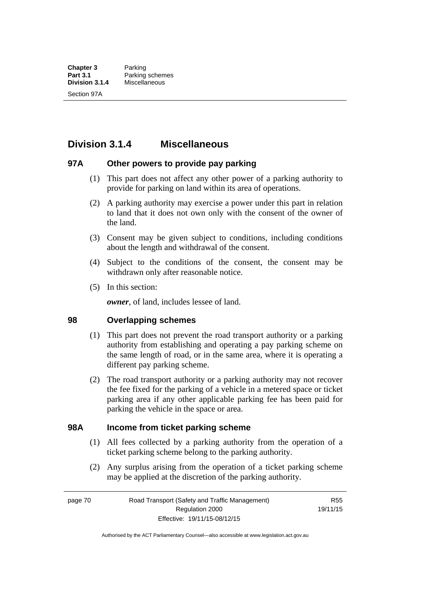# **Division 3.1.4 Miscellaneous**

## **97A Other powers to provide pay parking**

- (1) This part does not affect any other power of a parking authority to provide for parking on land within its area of operations.
- (2) A parking authority may exercise a power under this part in relation to land that it does not own only with the consent of the owner of the land.
- (3) Consent may be given subject to conditions, including conditions about the length and withdrawal of the consent.
- (4) Subject to the conditions of the consent, the consent may be withdrawn only after reasonable notice.
- (5) In this section:

*owner*, of land, includes lessee of land.

### **98 Overlapping schemes**

- (1) This part does not prevent the road transport authority or a parking authority from establishing and operating a pay parking scheme on the same length of road, or in the same area, where it is operating a different pay parking scheme.
- (2) The road transport authority or a parking authority may not recover the fee fixed for the parking of a vehicle in a metered space or ticket parking area if any other applicable parking fee has been paid for parking the vehicle in the space or area.

### **98A Income from ticket parking scheme**

- (1) All fees collected by a parking authority from the operation of a ticket parking scheme belong to the parking authority.
- (2) Any surplus arising from the operation of a ticket parking scheme may be applied at the discretion of the parking authority.

page 70 Road Transport (Safety and Traffic Management) Regulation 2000 Effective: 19/11/15-08/12/15

R55 19/11/15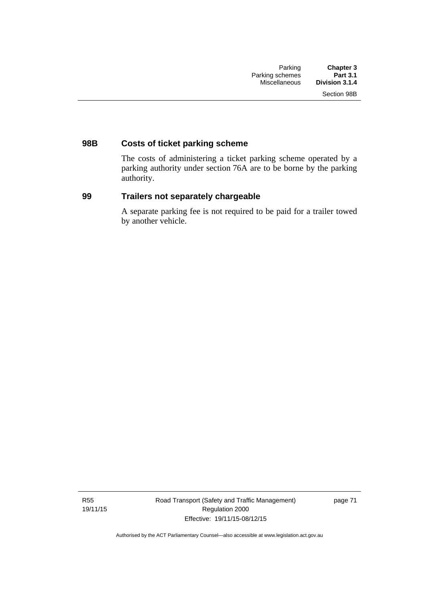# **98B Costs of ticket parking scheme**

The costs of administering a ticket parking scheme operated by a parking authority under section 76A are to be borne by the parking authority.

# **99 Trailers not separately chargeable**

A separate parking fee is not required to be paid for a trailer towed by another vehicle.

R55 19/11/15 Road Transport (Safety and Traffic Management) Regulation 2000 Effective: 19/11/15-08/12/15

page 71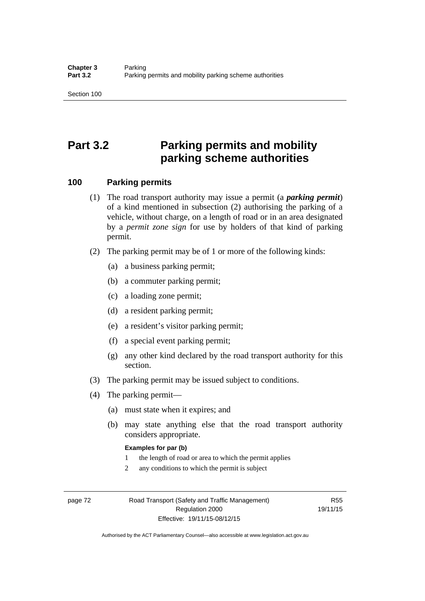# **Part 3.2 Parking permits and mobility parking scheme authorities**

### **100 Parking permits**

- (1) The road transport authority may issue a permit (a *parking permit*) of a kind mentioned in subsection (2) authorising the parking of a vehicle, without charge, on a length of road or in an area designated by a *permit zone sign* for use by holders of that kind of parking permit.
- (2) The parking permit may be of 1 or more of the following kinds:
	- (a) a business parking permit;
	- (b) a commuter parking permit;
	- (c) a loading zone permit;
	- (d) a resident parking permit;
	- (e) a resident's visitor parking permit;
	- (f) a special event parking permit;
	- (g) any other kind declared by the road transport authority for this section.
- (3) The parking permit may be issued subject to conditions.
- (4) The parking permit—
	- (a) must state when it expires; and
	- (b) may state anything else that the road transport authority considers appropriate.

### **Examples for par (b)**

- 1 the length of road or area to which the permit applies
- 2 any conditions to which the permit is subject

page 72 Road Transport (Safety and Traffic Management) Regulation 2000 Effective: 19/11/15-08/12/15

R55 19/11/15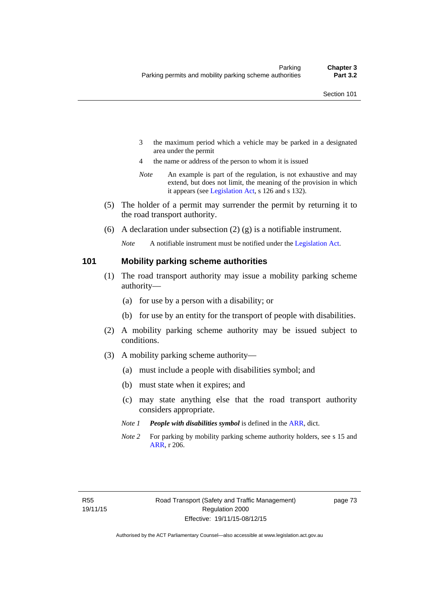- 3 the maximum period which a vehicle may be parked in a designated area under the permit
- 4 the name or address of the person to whom it is issued
- *Note* An example is part of the regulation, is not exhaustive and may extend, but does not limit, the meaning of the provision in which it appears (see [Legislation Act,](http://www.legislation.act.gov.au/a/2001-14) s 126 and s 132).
- (5) The holder of a permit may surrender the permit by returning it to the road transport authority.
- (6) A declaration under subsection  $(2)$  (g) is a notifiable instrument.

*Note* A notifiable instrument must be notified under the [Legislation Act](http://www.legislation.act.gov.au/a/2001-14).

### **101 Mobility parking scheme authorities**

- (1) The road transport authority may issue a mobility parking scheme authority—
	- (a) for use by a person with a disability; or
	- (b) for use by an entity for the transport of people with disabilities.
- (2) A mobility parking scheme authority may be issued subject to conditions.
- (3) A mobility parking scheme authority—
	- (a) must include a people with disabilities symbol; and
	- (b) must state when it expires; and
	- (c) may state anything else that the road transport authority considers appropriate.
	- *Note 1 People with disabilities symbol* is defined in the [ARR,](http://www.legislation.act.gov.au//ni/db_37271/default.asp) dict.
	- *Note 2* For parking by mobility parking scheme authority holders, see s 15 and [ARR,](http://www.legislation.act.gov.au//ni/db_37271/default.asp) r 206.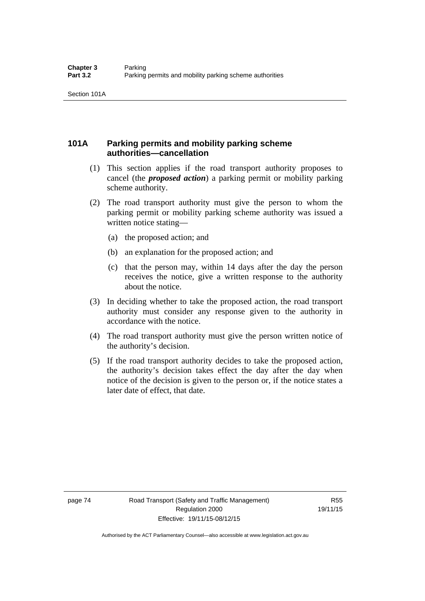# **101A Parking permits and mobility parking scheme authorities—cancellation**

- (1) This section applies if the road transport authority proposes to cancel (the *proposed action*) a parking permit or mobility parking scheme authority.
- (2) The road transport authority must give the person to whom the parking permit or mobility parking scheme authority was issued a written notice stating—
	- (a) the proposed action; and
	- (b) an explanation for the proposed action; and
	- (c) that the person may, within 14 days after the day the person receives the notice, give a written response to the authority about the notice.
- (3) In deciding whether to take the proposed action, the road transport authority must consider any response given to the authority in accordance with the notice.
- (4) The road transport authority must give the person written notice of the authority's decision.
- (5) If the road transport authority decides to take the proposed action, the authority's decision takes effect the day after the day when notice of the decision is given to the person or, if the notice states a later date of effect, that date.

page 74 Road Transport (Safety and Traffic Management) Regulation 2000 Effective: 19/11/15-08/12/15

R55 19/11/15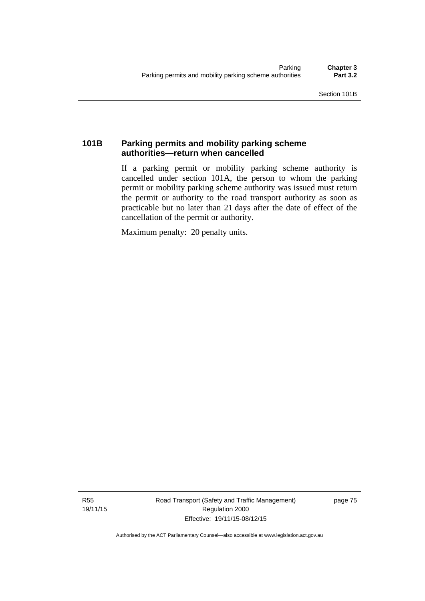# **101B Parking permits and mobility parking scheme authorities—return when cancelled**

If a parking permit or mobility parking scheme authority is cancelled under section 101A, the person to whom the parking permit or mobility parking scheme authority was issued must return the permit or authority to the road transport authority as soon as practicable but no later than 21 days after the date of effect of the cancellation of the permit or authority.

Maximum penalty: 20 penalty units.

R55 19/11/15 Road Transport (Safety and Traffic Management) Regulation 2000 Effective: 19/11/15-08/12/15

page 75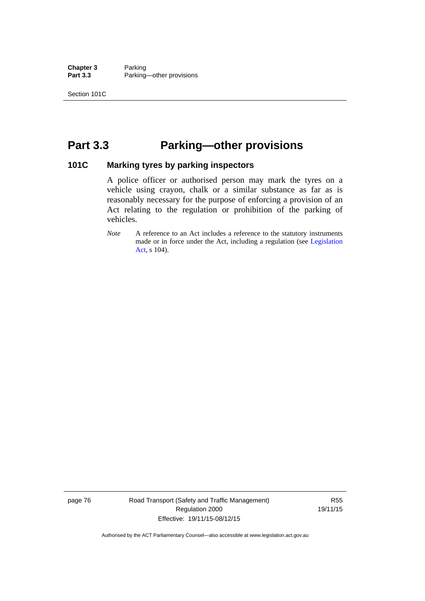**Chapter 3** Parking<br>**Part 3.3** Parking Parking—other provisions

# **Part 3.3 Parking—other provisions**

### **101C Marking tyres by parking inspectors**

A police officer or authorised person may mark the tyres on a vehicle using crayon, chalk or a similar substance as far as is reasonably necessary for the purpose of enforcing a provision of an Act relating to the regulation or prohibition of the parking of vehicles.

page 76 Road Transport (Safety and Traffic Management) Regulation 2000 Effective: 19/11/15-08/12/15

R55 19/11/15

*Note* A reference to an Act includes a reference to the statutory instruments made or in force under the Act, including a regulation (see [Legislation](http://www.legislation.act.gov.au/a/2001-14)  [Act](http://www.legislation.act.gov.au/a/2001-14), s 104).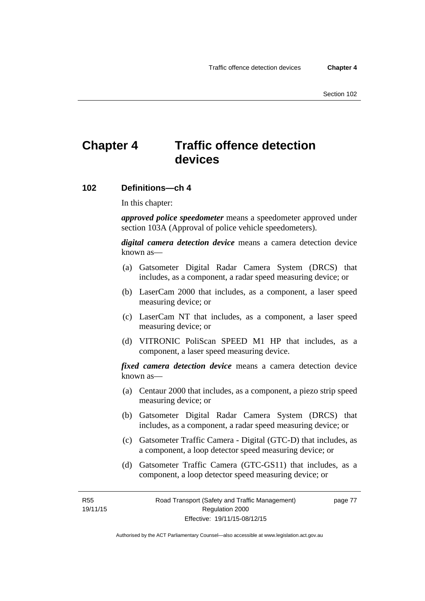# **Chapter 4 Traffic offence detection devices**

### **102 Definitions—ch 4**

In this chapter:

*approved police speedometer* means a speedometer approved under section 103A (Approval of police vehicle speedometers).

*digital camera detection device* means a camera detection device known as—

- (a) Gatsometer Digital Radar Camera System (DRCS) that includes, as a component, a radar speed measuring device; or
- (b) LaserCam 2000 that includes, as a component, a laser speed measuring device; or
- (c) LaserCam NT that includes, as a component, a laser speed measuring device; or
- (d) VITRONIC PoliScan SPEED M1 HP that includes, as a component, a laser speed measuring device.

*fixed camera detection device* means a camera detection device known as—

- (a) Centaur 2000 that includes, as a component, a piezo strip speed measuring device; or
- (b) Gatsometer Digital Radar Camera System (DRCS) that includes, as a component, a radar speed measuring device; or
- (c) Gatsometer Traffic Camera Digital (GTC-D) that includes, as a component, a loop detector speed measuring device; or
- (d) Gatsometer Traffic Camera (GTC-GS11) that includes, as a component, a loop detector speed measuring device; or

R55 19/11/15 page 77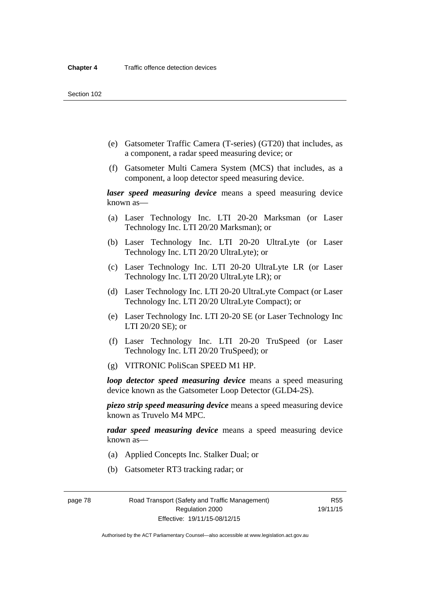- (e) Gatsometer Traffic Camera (T-series) (GT20) that includes, as a component, a radar speed measuring device; or
- (f) Gatsometer Multi Camera System (MCS) that includes, as a component, a loop detector speed measuring device.

*laser speed measuring device* means a speed measuring device known as—

- (a) Laser Technology Inc. LTI 20-20 Marksman (or Laser Technology Inc. LTI 20/20 Marksman); or
- (b) Laser Technology Inc. LTI 20-20 UltraLyte (or Laser Technology Inc. LTI 20/20 UltraLyte); or
- (c) Laser Technology Inc. LTI 20-20 UltraLyte LR (or Laser Technology Inc. LTI 20/20 UltraLyte LR); or
- (d) Laser Technology Inc. LTI 20-20 UltraLyte Compact (or Laser Technology Inc. LTI 20/20 UltraLyte Compact); or
- (e) Laser Technology Inc. LTI 20-20 SE (or Laser Technology Inc LTI 20/20 SE); or
- (f) Laser Technology Inc. LTI 20-20 TruSpeed (or Laser Technology Inc. LTI 20/20 TruSpeed); or
- (g) VITRONIC PoliScan SPEED M1 HP.

*loop detector speed measuring device* means a speed measuring device known as the Gatsometer Loop Detector (GLD4-2S).

*piezo strip speed measuring device* means a speed measuring device known as Truvelo M4 MPC.

*radar speed measuring device* means a speed measuring device known as—

- (a) Applied Concepts Inc. Stalker Dual; or
- (b) Gatsometer RT3 tracking radar; or

page 78 Road Transport (Safety and Traffic Management) Regulation 2000 Effective: 19/11/15-08/12/15

R55 19/11/15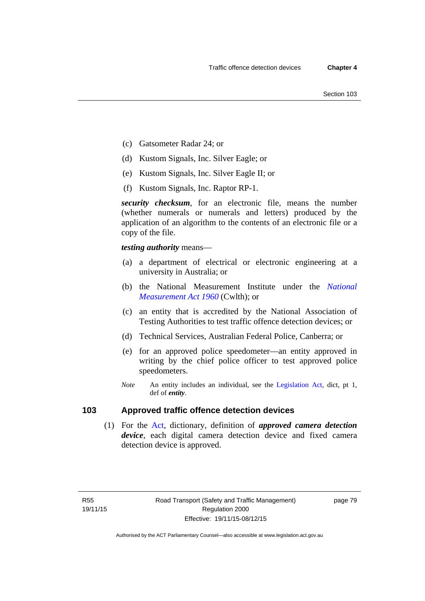- (c) Gatsometer Radar 24; or
- (d) Kustom Signals, Inc. Silver Eagle; or
- (e) Kustom Signals, Inc. Silver Eagle II; or
- (f) Kustom Signals, Inc. Raptor RP-1.

*security checksum*, for an electronic file, means the number (whether numerals or numerals and letters) produced by the application of an algorithm to the contents of an electronic file or a copy of the file.

*testing authority* means—

- (a) a department of electrical or electronic engineering at a university in Australia; or
- (b) the National Measurement Institute under the *[National](http://www.comlaw.gov.au/Series/C2004A07405)  [Measurement Act 1960](http://www.comlaw.gov.au/Series/C2004A07405)* (Cwlth); or
- (c) an entity that is accredited by the National Association of Testing Authorities to test traffic offence detection devices; or
- (d) Technical Services, Australian Federal Police, Canberra; or
- (e) for an approved police speedometer—an entity approved in writing by the chief police officer to test approved police speedometers.
- *Note* An entity includes an individual, see the [Legislation Act,](http://www.legislation.act.gov.au/a/2001-14) dict, pt 1, def of *entity*.

# **103 Approved traffic offence detection devices**

 (1) For the [Act,](http://www.legislation.act.gov.au/a/1999-80/default.asp) dictionary, definition of *approved camera detection device*, each digital camera detection device and fixed camera detection device is approved.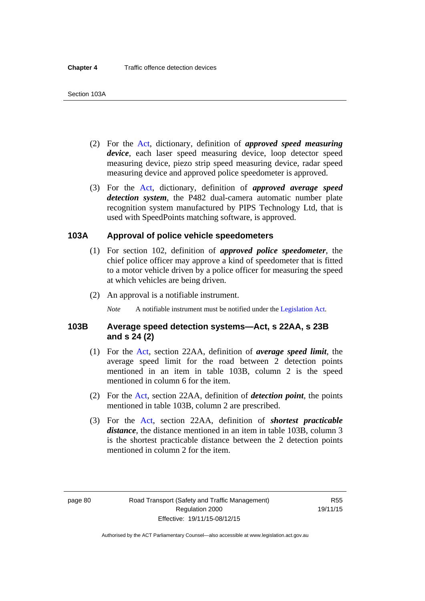- (2) For the [Act,](http://www.legislation.act.gov.au/a/1999-80/default.asp) dictionary, definition of *approved speed measuring device*, each laser speed measuring device, loop detector speed measuring device, piezo strip speed measuring device, radar speed measuring device and approved police speedometer is approved.
- (3) For the [Act](http://www.legislation.act.gov.au/a/1999-80/default.asp), dictionary, definition of *approved average speed detection system*, the P482 dual-camera automatic number plate recognition system manufactured by PIPS Technology Ltd, that is used with SpeedPoints matching software, is approved.

### **103A Approval of police vehicle speedometers**

- (1) For section 102, definition of *approved police speedometer*, the chief police officer may approve a kind of speedometer that is fitted to a motor vehicle driven by a police officer for measuring the speed at which vehicles are being driven.
- (2) An approval is a notifiable instrument.

*Note* A notifiable instrument must be notified under the [Legislation Act](http://www.legislation.act.gov.au/a/2001-14).

### **103B Average speed detection systems—Act, s 22AA, s 23B and s 24 (2)**

- (1) For the [Act](http://www.legislation.act.gov.au/a/1999-80/default.asp), section 22AA, definition of *average speed limit*, the average speed limit for the road between 2 detection points mentioned in an item in table 103B, column 2 is the speed mentioned in column 6 for the item.
- (2) For the [Act](http://www.legislation.act.gov.au/a/1999-80/default.asp), section 22AA, definition of *detection point*, the points mentioned in table 103B, column 2 are prescribed.
- (3) For the [Act](http://www.legislation.act.gov.au/a/1999-80/default.asp), section 22AA, definition of *shortest practicable distance*, the distance mentioned in an item in table 103B, column 3 is the shortest practicable distance between the 2 detection points mentioned in column 2 for the item.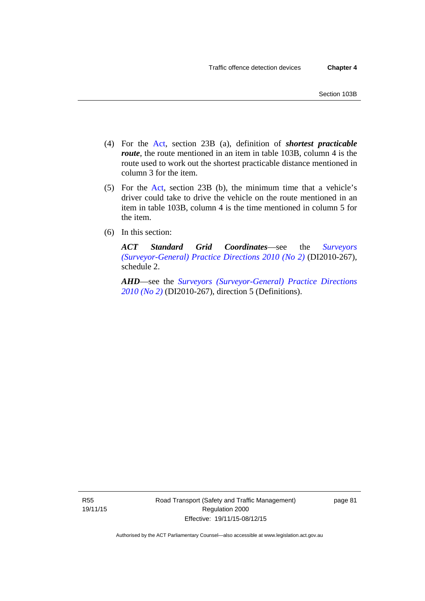- (4) For the [Act,](http://www.legislation.act.gov.au/a/1999-80/default.asp) section 23B (a), definition of *shortest practicable route*, the route mentioned in an item in table 103B, column 4 is the route used to work out the shortest practicable distance mentioned in column 3 for the item.
- (5) For the [Act](http://www.legislation.act.gov.au/a/1999-80/default.asp), section 23B (b), the minimum time that a vehicle's driver could take to drive the vehicle on the route mentioned in an item in table 103B, column 4 is the time mentioned in column 5 for the item.
- (6) In this section:

*ACT Standard Grid Coordinates*—see the *[Surveyors](http://www.legislation.act.gov.au/di/2010-267/default.asp)  [\(Surveyor-General\) Practice Directions 2010 \(No 2\)](http://www.legislation.act.gov.au/di/2010-267/default.asp)* (DI2010-267), schedule 2.

*AHD*—see the *[Surveyors \(Surveyor-General\) Practice Directions](http://www.legislation.act.gov.au/di/2010-267/default.asp)  [2010 \(No 2\)](http://www.legislation.act.gov.au/di/2010-267/default.asp)* (DI2010-267), direction 5 (Definitions).

R55 19/11/15 page 81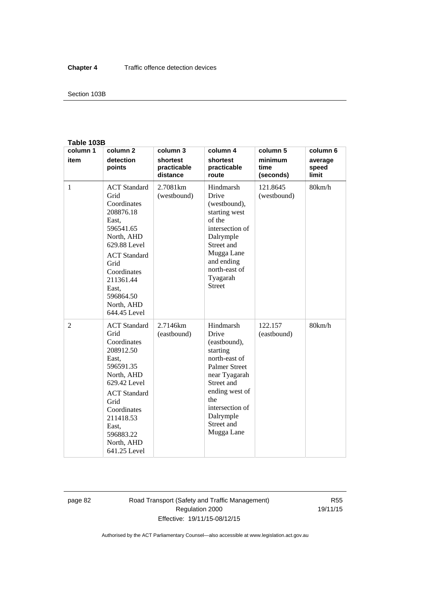### Section 103B

#### **Table 103B**

| column 1 | column <sub>2</sub>                                                                                                                                                                                                        | column 3                            | column 4                                                                                                                                                                                                    | column 5                     | column 6                  |
|----------|----------------------------------------------------------------------------------------------------------------------------------------------------------------------------------------------------------------------------|-------------------------------------|-------------------------------------------------------------------------------------------------------------------------------------------------------------------------------------------------------------|------------------------------|---------------------------|
| item     | detection<br>points                                                                                                                                                                                                        | shortest<br>practicable<br>distance | shortest<br>practicable<br>route                                                                                                                                                                            | minimum<br>time<br>(seconds) | average<br>speed<br>limit |
| 1        | <b>ACT</b> Standard<br>Grid<br>Coordinates<br>208876.18<br>East,<br>596541.65<br>North, AHD<br>629.88 Level<br><b>ACT</b> Standard<br>Grid<br>Coordinates<br>211361.44<br>East.<br>596864.50<br>North, AHD<br>644.45 Level | 2.7081 <sub>km</sub><br>(westbound) | Hindmarsh<br>Drive<br>(westbound),<br>starting west<br>of the<br>intersection of<br>Dalrymple<br>Street and<br>Mugga Lane<br>and ending<br>north-east of<br>Tyagarah<br><b>Street</b>                       | 121.8645<br>(westbound)      | 80km/h                    |
| 2        | <b>ACT</b> Standard<br>Grid<br>Coordinates<br>208912.50<br>East,<br>596591.35<br>North, AHD<br>629.42 Level<br><b>ACT</b> Standard<br>Grid<br>Coordinates<br>211418.53<br>East.<br>596883.22<br>North, AHD<br>641.25 Level | 2.7146km<br>(eastbound)             | Hindmarsh<br>Drive<br>(eastbound),<br>starting<br>north-east of<br><b>Palmer Street</b><br>near Tyagarah<br>Street and<br>ending west of<br>the<br>intersection of<br>Dalrymple<br>Street and<br>Mugga Lane | 122.157<br>(eastbound)       | 80km/h                    |

page 82 Road Transport (Safety and Traffic Management) Regulation 2000 Effective: 19/11/15-08/12/15

R55 19/11/15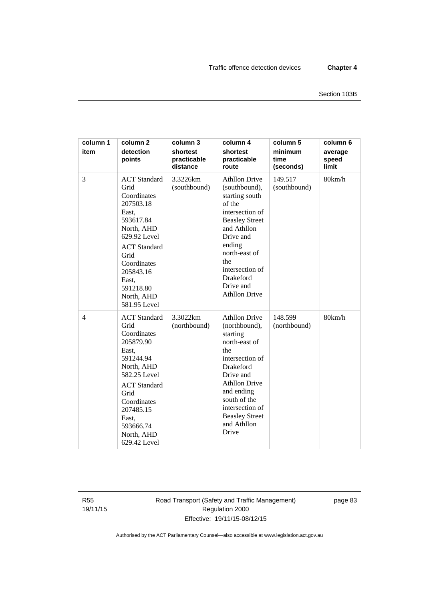| column 1<br>item | column <sub>2</sub><br>detection<br>points                                                                                                                                                                                 | column 3<br>shortest<br>practicable<br>distance | column 4<br>shortest<br>practicable<br>route                                                                                                                                                                                                            | column 5<br>minimum<br>time<br>(seconds) | column 6<br>average<br>speed<br>limit |
|------------------|----------------------------------------------------------------------------------------------------------------------------------------------------------------------------------------------------------------------------|-------------------------------------------------|---------------------------------------------------------------------------------------------------------------------------------------------------------------------------------------------------------------------------------------------------------|------------------------------------------|---------------------------------------|
| 3                | <b>ACT</b> Standard<br>Grid<br>Coordinates<br>207503.18<br>East,<br>593617.84<br>North, AHD<br>629.92 Level<br><b>ACT</b> Standard<br>Grid<br>Coordinates<br>205843.16<br>East,<br>591218.80<br>North, AHD<br>581.95 Level | 3.3226km<br>(southbound)                        | <b>Athllon Drive</b><br>(southbound),<br>starting south<br>of the<br>intersection of<br><b>Beasley Street</b><br>and Athllon<br>Drive and<br>ending<br>north-east of<br>the<br>intersection of<br>Drakeford<br>Drive and<br><b>Athllon Drive</b>        | 149.517<br>(southbound)                  | 80km/h                                |
| $\overline{4}$   | <b>ACT</b> Standard<br>Grid<br>Coordinates<br>205879.90<br>East,<br>591244.94<br>North, AHD<br>582.25 Level<br><b>ACT</b> Standard<br>Grid<br>Coordinates<br>207485.15<br>East,<br>593666.74<br>North, AHD<br>629.42 Level | 3.3022km<br>(northbound)                        | <b>Athllon Drive</b><br>(northbound),<br>starting<br>north-east of<br>the<br>intersection of<br><b>Drakeford</b><br>Drive and<br><b>Athllon Drive</b><br>and ending<br>south of the<br>intersection of<br><b>Beasley Street</b><br>and Athllon<br>Drive | 148.599<br>(northbound)                  | 80km/h                                |

R55 19/11/15 Road Transport (Safety and Traffic Management) Regulation 2000 Effective: 19/11/15-08/12/15

page 83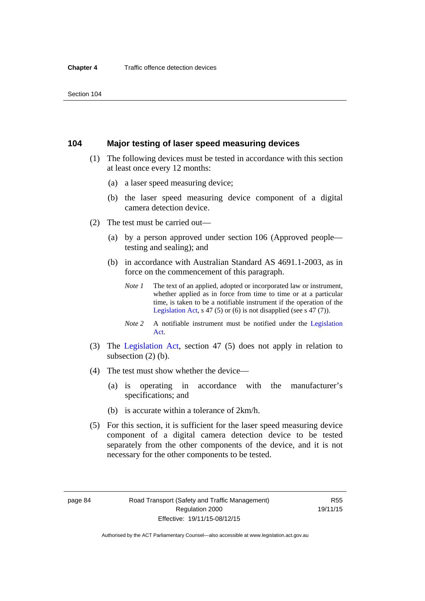### **104 Major testing of laser speed measuring devices**

- (1) The following devices must be tested in accordance with this section at least once every 12 months:
	- (a) a laser speed measuring device;
	- (b) the laser speed measuring device component of a digital camera detection device.
- (2) The test must be carried out—
	- (a) by a person approved under section 106 (Approved people testing and sealing); and
	- (b) in accordance with Australian Standard AS 4691.1-2003, as in force on the commencement of this paragraph.
		- *Note 1* The text of an applied, adopted or incorporated law or instrument, whether applied as in force from time to time or at a particular time, is taken to be a notifiable instrument if the operation of the [Legislation Act,](http://www.legislation.act.gov.au/a/2001-14) s 47 (5) or (6) is not disapplied (see s 47 (7)).
		- *Note 2* A notifiable instrument must be notified under the [Legislation](http://www.legislation.act.gov.au/a/2001-14)  [Act](http://www.legislation.act.gov.au/a/2001-14).
- (3) The [Legislation Act,](http://www.legislation.act.gov.au/a/2001-14) section 47 (5) does not apply in relation to subsection (2) (b).
- (4) The test must show whether the device—
	- (a) is operating in accordance with the manufacturer's specifications; and
	- (b) is accurate within a tolerance of 2km/h.
- (5) For this section, it is sufficient for the laser speed measuring device component of a digital camera detection device to be tested separately from the other components of the device, and it is not necessary for the other components to be tested.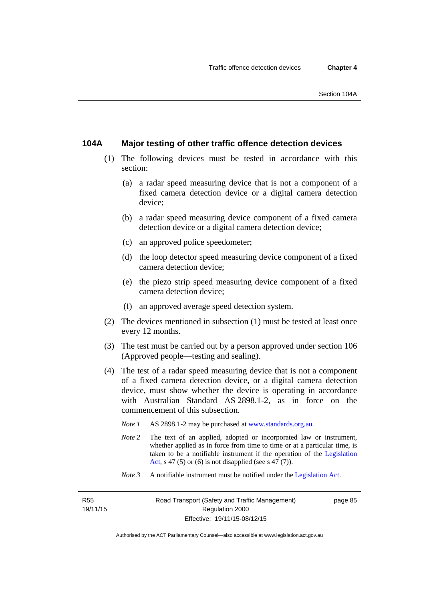### **104A Major testing of other traffic offence detection devices**

- (1) The following devices must be tested in accordance with this section:
	- (a) a radar speed measuring device that is not a component of a fixed camera detection device or a digital camera detection device;
	- (b) a radar speed measuring device component of a fixed camera detection device or a digital camera detection device;
	- (c) an approved police speedometer;
	- (d) the loop detector speed measuring device component of a fixed camera detection device;
	- (e) the piezo strip speed measuring device component of a fixed camera detection device;
	- (f) an approved average speed detection system.
- (2) The devices mentioned in subsection (1) must be tested at least once every 12 months.
- (3) The test must be carried out by a person approved under section 106 (Approved people—testing and sealing).
- (4) The test of a radar speed measuring device that is not a component of a fixed camera detection device, or a digital camera detection device, must show whether the device is operating in accordance with Australian Standard AS 2898.1-2, as in force on the commencement of this subsection.
	- *Note 1* AS 2898.1-2 may be purchased at [www.standards.org.au](http://www.standards.org.au/Pages/default.aspx)*.*
	- *Note* 2 The text of an applied, adopted or incorporated law or instrument, whether applied as in force from time to time or at a particular time, is taken to be a notifiable instrument if the operation of the [Legislation](http://www.legislation.act.gov.au/a/2001-14)  [Act,](http://www.legislation.act.gov.au/a/2001-14) s 47 (5) or (6) is not disapplied (see s 47 (7)).
	- *Note 3* A notifiable instrument must be notified under the [Legislation Act](http://www.legislation.act.gov.au/a/2001-14).

R55 19/11/15 page 85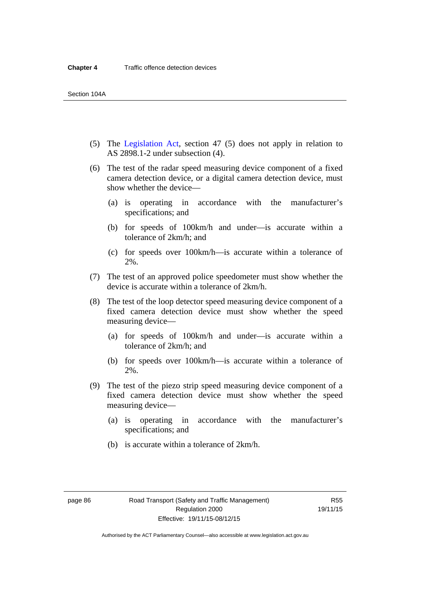- (5) The [Legislation Act,](http://www.legislation.act.gov.au/a/2001-14) section 47 (5) does not apply in relation to AS 2898.1-2 under subsection (4).
- (6) The test of the radar speed measuring device component of a fixed camera detection device, or a digital camera detection device, must show whether the device—
	- (a) is operating in accordance with the manufacturer's specifications; and
	- (b) for speeds of 100km/h and under—is accurate within a tolerance of 2km/h; and
	- (c) for speeds over 100km/h—is accurate within a tolerance of 2%.
- (7) The test of an approved police speedometer must show whether the device is accurate within a tolerance of 2km/h.
- (8) The test of the loop detector speed measuring device component of a fixed camera detection device must show whether the speed measuring device—
	- (a) for speeds of 100km/h and under—is accurate within a tolerance of 2km/h; and
	- (b) for speeds over 100km/h—is accurate within a tolerance of 2%.
- (9) The test of the piezo strip speed measuring device component of a fixed camera detection device must show whether the speed measuring device—
	- (a) is operating in accordance with the manufacturer's specifications; and
	- (b) is accurate within a tolerance of 2km/h.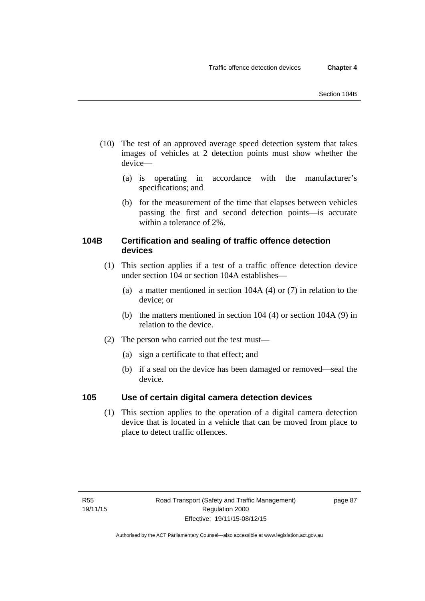- (10) The test of an approved average speed detection system that takes images of vehicles at 2 detection points must show whether the device—
	- (a) is operating in accordance with the manufacturer's specifications; and
	- (b) for the measurement of the time that elapses between vehicles passing the first and second detection points—is accurate within a tolerance of 2%.

# **104B Certification and sealing of traffic offence detection devices**

- (1) This section applies if a test of a traffic offence detection device under section 104 or section 104A establishes—
	- (a) a matter mentioned in section 104A (4) or (7) in relation to the device; or
	- (b) the matters mentioned in section 104 (4) or section 104A (9) in relation to the device.
- (2) The person who carried out the test must—
	- (a) sign a certificate to that effect; and
	- (b) if a seal on the device has been damaged or removed—seal the device.

# **105 Use of certain digital camera detection devices**

(1) This section applies to the operation of a digital camera detection device that is located in a vehicle that can be moved from place to place to detect traffic offences.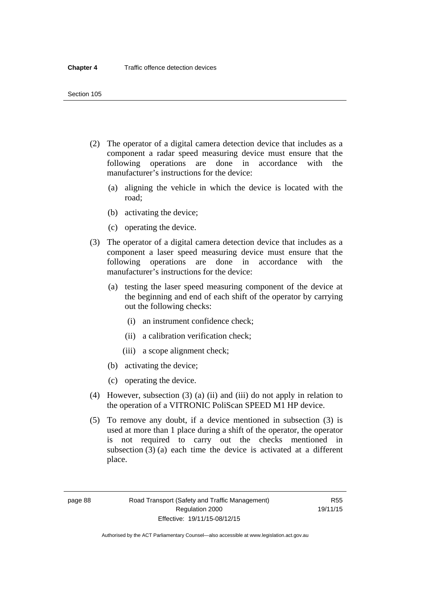- (2) The operator of a digital camera detection device that includes as a component a radar speed measuring device must ensure that the following operations are done in accordance with the manufacturer's instructions for the device:
	- (a) aligning the vehicle in which the device is located with the road;
	- (b) activating the device;
	- (c) operating the device.
- (3) The operator of a digital camera detection device that includes as a component a laser speed measuring device must ensure that the following operations are done in accordance with the manufacturer's instructions for the device:
	- (a) testing the laser speed measuring component of the device at the beginning and end of each shift of the operator by carrying out the following checks:
		- (i) an instrument confidence check;
		- (ii) a calibration verification check;
		- (iii) a scope alignment check;
	- (b) activating the device;
	- (c) operating the device.
- (4) However, subsection (3) (a) (ii) and (iii) do not apply in relation to the operation of a VITRONIC PoliScan SPEED M1 HP device.
- (5) To remove any doubt, if a device mentioned in subsection (3) is used at more than 1 place during a shift of the operator, the operator is not required to carry out the checks mentioned in subsection (3) (a) each time the device is activated at a different place.

page 88 Road Transport (Safety and Traffic Management) Regulation 2000 Effective: 19/11/15-08/12/15

R55 19/11/15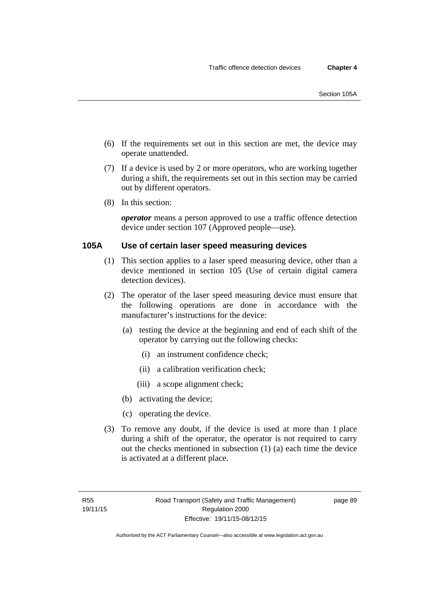- (6) If the requirements set out in this section are met, the device may operate unattended.
- (7) If a device is used by 2 or more operators, who are working together during a shift, the requirements set out in this section may be carried out by different operators.
- (8) In this section:

*operator* means a person approved to use a traffic offence detection device under section 107 (Approved people—use).

# **105A Use of certain laser speed measuring devices**

- (1) This section applies to a laser speed measuring device, other than a device mentioned in section 105 (Use of certain digital camera detection devices).
- (2) The operator of the laser speed measuring device must ensure that the following operations are done in accordance with the manufacturer's instructions for the device:
	- (a) testing the device at the beginning and end of each shift of the operator by carrying out the following checks:
		- (i) an instrument confidence check;
		- (ii) a calibration verification check;
		- (iii) a scope alignment check;
	- (b) activating the device;
	- (c) operating the device.
- (3) To remove any doubt, if the device is used at more than 1 place during a shift of the operator, the operator is not required to carry out the checks mentioned in subsection (1) (a) each time the device is activated at a different place.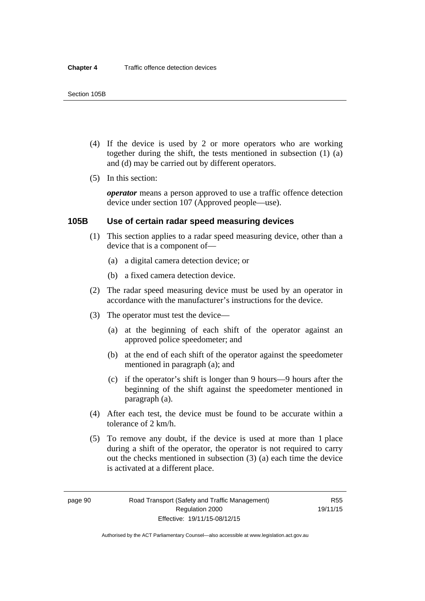- (4) If the device is used by 2 or more operators who are working together during the shift, the tests mentioned in subsection (1) (a) and (d) may be carried out by different operators.
- (5) In this section:

*operator* means a person approved to use a traffic offence detection device under section 107 (Approved people—use).

### **105B Use of certain radar speed measuring devices**

- (1) This section applies to a radar speed measuring device, other than a device that is a component of—
	- (a) a digital camera detection device; or
	- (b) a fixed camera detection device.
- (2) The radar speed measuring device must be used by an operator in accordance with the manufacturer's instructions for the device.
- (3) The operator must test the device—
	- (a) at the beginning of each shift of the operator against an approved police speedometer; and
	- (b) at the end of each shift of the operator against the speedometer mentioned in paragraph (a); and
	- (c) if the operator's shift is longer than 9 hours—9 hours after the beginning of the shift against the speedometer mentioned in paragraph (a).
- (4) After each test, the device must be found to be accurate within a tolerance of 2 km/h.
- (5) To remove any doubt, if the device is used at more than 1 place during a shift of the operator, the operator is not required to carry out the checks mentioned in subsection (3) (a) each time the device is activated at a different place.

page 90 Road Transport (Safety and Traffic Management) Regulation 2000 Effective: 19/11/15-08/12/15

R55 19/11/15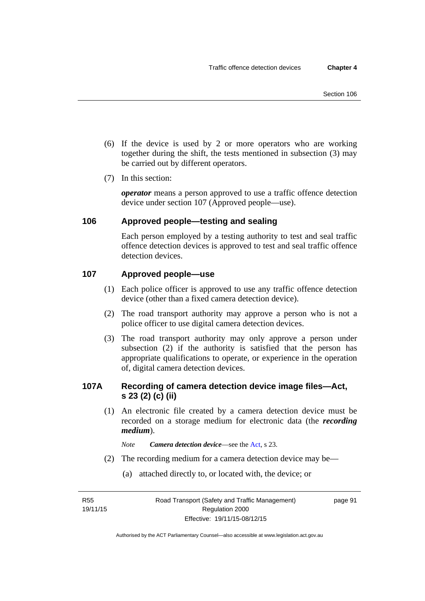- (6) If the device is used by 2 or more operators who are working together during the shift, the tests mentioned in subsection (3) may be carried out by different operators.
- (7) In this section:

*operator* means a person approved to use a traffic offence detection device under section 107 (Approved people—use).

# **106 Approved people—testing and sealing**

Each person employed by a testing authority to test and seal traffic offence detection devices is approved to test and seal traffic offence detection devices.

# **107 Approved people—use**

- (1) Each police officer is approved to use any traffic offence detection device (other than a fixed camera detection device).
- (2) The road transport authority may approve a person who is not a police officer to use digital camera detection devices.
- (3) The road transport authority may only approve a person under subsection (2) if the authority is satisfied that the person has appropriate qualifications to operate, or experience in the operation of, digital camera detection devices.

# **107A Recording of camera detection device image files—Act, s 23 (2) (c) (ii)**

(1) An electronic file created by a camera detection device must be recorded on a storage medium for electronic data (the *recording medium*).

*Note Camera detection device*—see the [Act](http://www.legislation.act.gov.au/a/1999-80/default.asp), s 23.

- (2) The recording medium for a camera detection device may be—
	- (a) attached directly to, or located with, the device; or

R55 19/11/15 page 91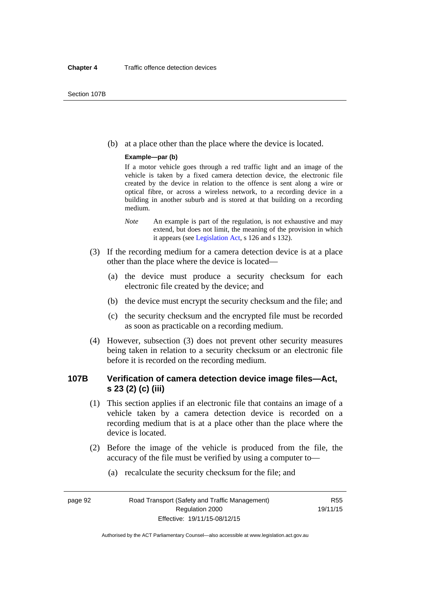(b) at a place other than the place where the device is located.

#### **Example—par (b)**

If a motor vehicle goes through a red traffic light and an image of the vehicle is taken by a fixed camera detection device, the electronic file created by the device in relation to the offence is sent along a wire or optical fibre, or across a wireless network, to a recording device in a building in another suburb and is stored at that building on a recording medium.

- *Note* An example is part of the regulation, is not exhaustive and may extend, but does not limit, the meaning of the provision in which it appears (see [Legislation Act,](http://www.legislation.act.gov.au/a/2001-14) s 126 and s 132).
- (3) If the recording medium for a camera detection device is at a place other than the place where the device is located—
	- (a) the device must produce a security checksum for each electronic file created by the device; and
	- (b) the device must encrypt the security checksum and the file; and
	- (c) the security checksum and the encrypted file must be recorded as soon as practicable on a recording medium.
- (4) However, subsection (3) does not prevent other security measures being taken in relation to a security checksum or an electronic file before it is recorded on the recording medium.

# **107B Verification of camera detection device image files—Act, s 23 (2) (c) (iii)**

- (1) This section applies if an electronic file that contains an image of a vehicle taken by a camera detection device is recorded on a recording medium that is at a place other than the place where the device is located.
- (2) Before the image of the vehicle is produced from the file, the accuracy of the file must be verified by using a computer to—
	- (a) recalculate the security checksum for the file; and

page 92 Road Transport (Safety and Traffic Management) Regulation 2000 Effective: 19/11/15-08/12/15

R55 19/11/15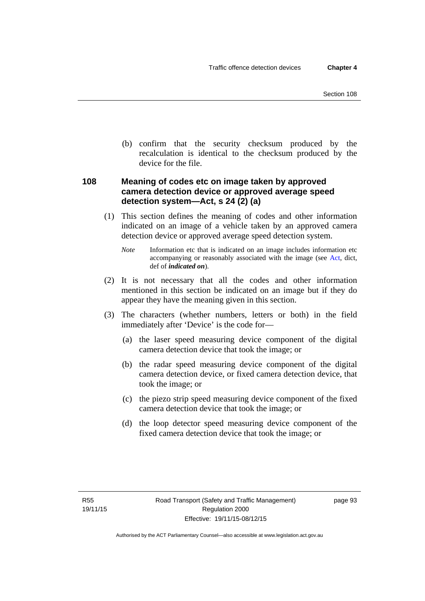(b) confirm that the security checksum produced by the recalculation is identical to the checksum produced by the device for the file.

# **108 Meaning of codes etc on image taken by approved camera detection device or approved average speed detection system—Act, s 24 (2) (a)**

(1) This section defines the meaning of codes and other information indicated on an image of a vehicle taken by an approved camera detection device or approved average speed detection system.

*Note* Information etc that is indicated on an image includes information etc accompanying or reasonably associated with the image (see [Act,](http://www.legislation.act.gov.au/a/1999-80/default.asp) dict, def of *indicated on*).

- (2) It is not necessary that all the codes and other information mentioned in this section be indicated on an image but if they do appear they have the meaning given in this section.
- (3) The characters (whether numbers, letters or both) in the field immediately after 'Device' is the code for—
	- (a) the laser speed measuring device component of the digital camera detection device that took the image; or
	- (b) the radar speed measuring device component of the digital camera detection device, or fixed camera detection device, that took the image; or
	- (c) the piezo strip speed measuring device component of the fixed camera detection device that took the image; or
	- (d) the loop detector speed measuring device component of the fixed camera detection device that took the image; or

page 93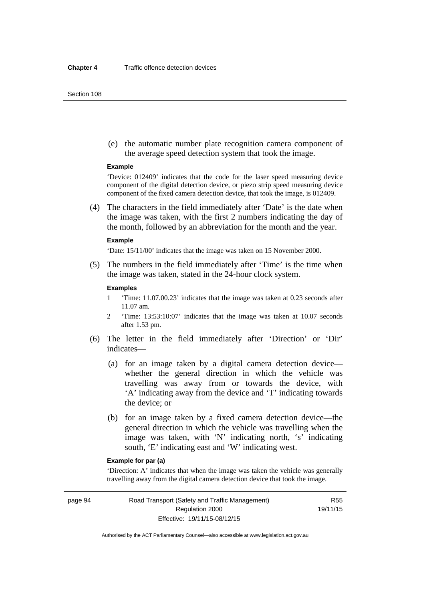#### Section 108

 (e) the automatic number plate recognition camera component of the average speed detection system that took the image.

#### **Example**

'Device: 012409' indicates that the code for the laser speed measuring device component of the digital detection device, or piezo strip speed measuring device component of the fixed camera detection device, that took the image, is 012409.

 (4) The characters in the field immediately after 'Date' is the date when the image was taken, with the first 2 numbers indicating the day of the month, followed by an abbreviation for the month and the year.

#### **Example**

'Date: 15/11/00' indicates that the image was taken on 15 November 2000.

 (5) The numbers in the field immediately after 'Time' is the time when the image was taken, stated in the 24-hour clock system.

#### **Examples**

- 1 'Time: 11.07.00.23' indicates that the image was taken at 0.23 seconds after 11.07 am.
- 2 'Time: 13:53:10:07' indicates that the image was taken at 10.07 seconds after 1.53 pm.
- (6) The letter in the field immediately after 'Direction' or 'Dir' indicates—
	- (a) for an image taken by a digital camera detection device whether the general direction in which the vehicle was travelling was away from or towards the device, with 'A' indicating away from the device and 'T' indicating towards the device; or
	- (b) for an image taken by a fixed camera detection device—the general direction in which the vehicle was travelling when the image was taken, with 'N' indicating north, 's' indicating south, 'E' indicating east and 'W' indicating west.

# **Example for par (a)**

'Direction: A' indicates that when the image was taken the vehicle was generally travelling away from the digital camera detection device that took the image.

page 94 Road Transport (Safety and Traffic Management) Regulation 2000 Effective: 19/11/15-08/12/15

R55 19/11/15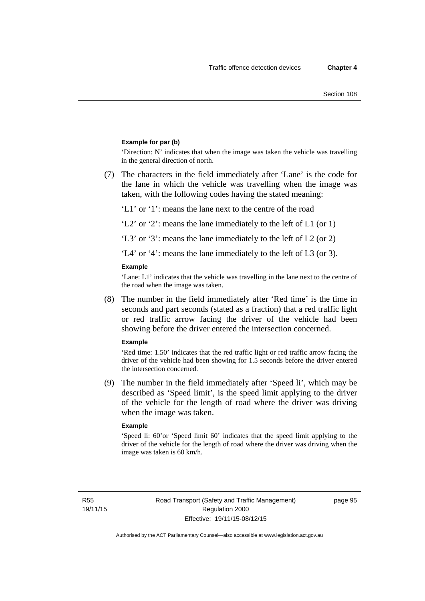#### **Example for par (b)**

'Direction: N' indicates that when the image was taken the vehicle was travelling in the general direction of north.

 (7) The characters in the field immediately after 'Lane' is the code for the lane in which the vehicle was travelling when the image was taken, with the following codes having the stated meaning:

'L1' or '1': means the lane next to the centre of the road

'L2' or '2': means the lane immediately to the left of L1 (or 1)

'L3' or '3': means the lane immediately to the left of L2 (or 2)

'L4' or '4': means the lane immediately to the left of L3 (or 3).

#### **Example**

'Lane: L1' indicates that the vehicle was travelling in the lane next to the centre of the road when the image was taken.

 (8) The number in the field immediately after 'Red time' is the time in seconds and part seconds (stated as a fraction) that a red traffic light or red traffic arrow facing the driver of the vehicle had been showing before the driver entered the intersection concerned.

#### **Example**

'Red time: 1.50' indicates that the red traffic light or red traffic arrow facing the driver of the vehicle had been showing for 1.5 seconds before the driver entered the intersection concerned.

 (9) The number in the field immediately after 'Speed li', which may be described as 'Speed limit', is the speed limit applying to the driver of the vehicle for the length of road where the driver was driving when the image was taken.

#### **Example**

'Speed li: 60'or 'Speed limit 60' indicates that the speed limit applying to the driver of the vehicle for the length of road where the driver was driving when the image was taken is 60 km/h.

R55 19/11/15 page 95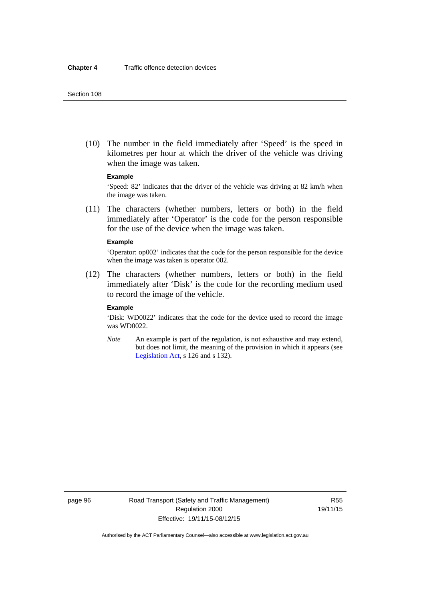(10) The number in the field immediately after 'Speed' is the speed in kilometres per hour at which the driver of the vehicle was driving when the image was taken.

### **Example**

'Speed: 82' indicates that the driver of the vehicle was driving at 82 km/h when the image was taken.

 (11) The characters (whether numbers, letters or both) in the field immediately after 'Operator' is the code for the person responsible for the use of the device when the image was taken.

#### **Example**

'Operator: op002' indicates that the code for the person responsible for the device when the image was taken is operator 002.

 (12) The characters (whether numbers, letters or both) in the field immediately after 'Disk' is the code for the recording medium used to record the image of the vehicle.

#### **Example**

'Disk: WD0022' indicates that the code for the device used to record the image was WD0022.

*Note* An example is part of the regulation, is not exhaustive and may extend, but does not limit, the meaning of the provision in which it appears (see [Legislation Act,](http://www.legislation.act.gov.au/a/2001-14) s 126 and s 132).

page 96 Road Transport (Safety and Traffic Management) Regulation 2000 Effective: 19/11/15-08/12/15

R55 19/11/15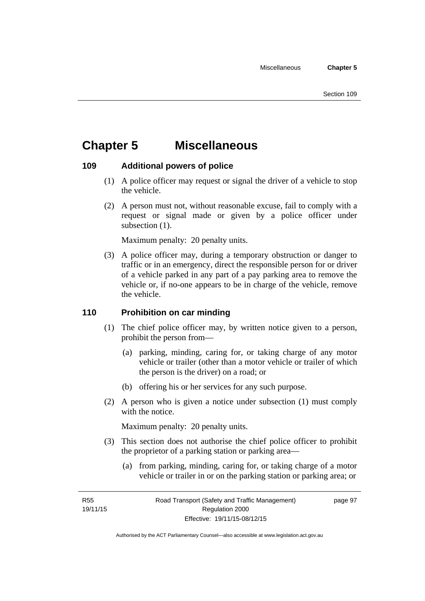# **Chapter 5 Miscellaneous**

# **109 Additional powers of police**

- (1) A police officer may request or signal the driver of a vehicle to stop the vehicle.
- (2) A person must not, without reasonable excuse, fail to comply with a request or signal made or given by a police officer under subsection  $(1)$ .

Maximum penalty: 20 penalty units.

 (3) A police officer may, during a temporary obstruction or danger to traffic or in an emergency, direct the responsible person for or driver of a vehicle parked in any part of a pay parking area to remove the vehicle or, if no-one appears to be in charge of the vehicle, remove the vehicle.

# **110 Prohibition on car minding**

- (1) The chief police officer may, by written notice given to a person, prohibit the person from—
	- (a) parking, minding, caring for, or taking charge of any motor vehicle or trailer (other than a motor vehicle or trailer of which the person is the driver) on a road; or
	- (b) offering his or her services for any such purpose.
- (2) A person who is given a notice under subsection (1) must comply with the notice.

Maximum penalty: 20 penalty units.

- (3) This section does not authorise the chief police officer to prohibit the proprietor of a parking station or parking area—
	- (a) from parking, minding, caring for, or taking charge of a motor vehicle or trailer in or on the parking station or parking area; or

R55 19/11/15 page 97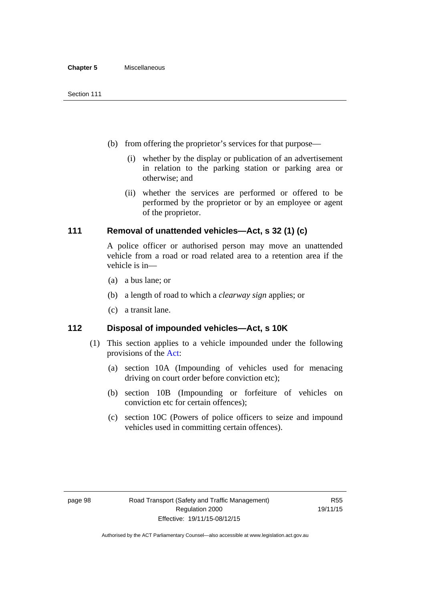- (b) from offering the proprietor's services for that purpose—
	- (i) whether by the display or publication of an advertisement in relation to the parking station or parking area or otherwise; and
	- (ii) whether the services are performed or offered to be performed by the proprietor or by an employee or agent of the proprietor.

# **111 Removal of unattended vehicles—Act, s 32 (1) (c)**

A police officer or authorised person may move an unattended vehicle from a road or road related area to a retention area if the vehicle is in—

- (a) a bus lane; or
- (b) a length of road to which a *clearway sign* applies; or
- (c) a transit lane.

# **112 Disposal of impounded vehicles—Act, s 10K**

- (1) This section applies to a vehicle impounded under the following provisions of the [Act:](http://www.legislation.act.gov.au/a/1999-80/default.asp)
	- (a) section 10A (Impounding of vehicles used for menacing driving on court order before conviction etc);
	- (b) section 10B (Impounding or forfeiture of vehicles on conviction etc for certain offences);
	- (c) section 10C (Powers of police officers to seize and impound vehicles used in committing certain offences).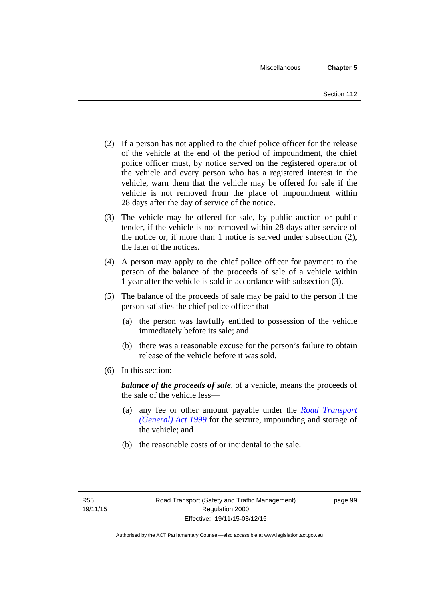- (2) If a person has not applied to the chief police officer for the release of the vehicle at the end of the period of impoundment, the chief police officer must, by notice served on the registered operator of the vehicle and every person who has a registered interest in the vehicle, warn them that the vehicle may be offered for sale if the vehicle is not removed from the place of impoundment within 28 days after the day of service of the notice.
- (3) The vehicle may be offered for sale, by public auction or public tender, if the vehicle is not removed within 28 days after service of the notice or, if more than 1 notice is served under subsection (2), the later of the notices.
- (4) A person may apply to the chief police officer for payment to the person of the balance of the proceeds of sale of a vehicle within 1 year after the vehicle is sold in accordance with subsection (3).
- (5) The balance of the proceeds of sale may be paid to the person if the person satisfies the chief police officer that—
	- (a) the person was lawfully entitled to possession of the vehicle immediately before its sale; and
	- (b) there was a reasonable excuse for the person's failure to obtain release of the vehicle before it was sold.
- (6) In this section:

*balance of the proceeds of sale*, of a vehicle, means the proceeds of the sale of the vehicle less—

- (a) any fee or other amount payable under the *[Road Transport](http://www.legislation.act.gov.au/a/1999-77)  [\(General\) Act 1999](http://www.legislation.act.gov.au/a/1999-77)* for the seizure, impounding and storage of the vehicle; and
- (b) the reasonable costs of or incidental to the sale.

page 99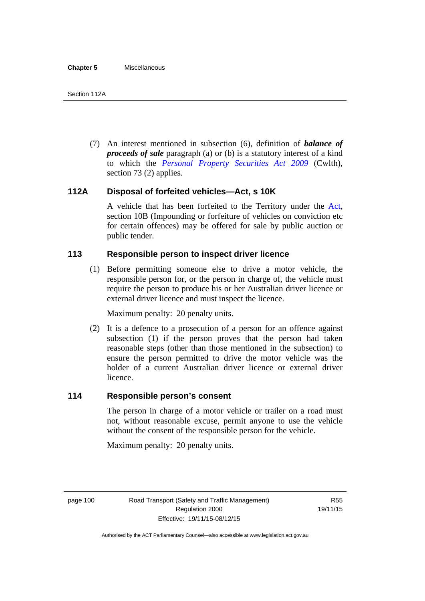(7) An interest mentioned in subsection (6), definition of *balance of proceeds of sale* paragraph (a) or (b) is a statutory interest of a kind to which the *[Personal Property Securities Act 2009](http://www.comlaw.gov.au/Series/C2009A00130)* (Cwlth), section 73 (2) applies.

# **112A Disposal of forfeited vehicles—Act, s 10K**

A vehicle that has been forfeited to the Territory under the [Act](http://www.legislation.act.gov.au/a/1999-80/default.asp), section 10B (Impounding or forfeiture of vehicles on conviction etc for certain offences) may be offered for sale by public auction or public tender.

# **113 Responsible person to inspect driver licence**

(1) Before permitting someone else to drive a motor vehicle, the responsible person for, or the person in charge of, the vehicle must require the person to produce his or her Australian driver licence or external driver licence and must inspect the licence.

Maximum penalty: 20 penalty units.

 (2) It is a defence to a prosecution of a person for an offence against subsection (1) if the person proves that the person had taken reasonable steps (other than those mentioned in the subsection) to ensure the person permitted to drive the motor vehicle was the holder of a current Australian driver licence or external driver licence.

# **114 Responsible person's consent**

The person in charge of a motor vehicle or trailer on a road must not, without reasonable excuse, permit anyone to use the vehicle without the consent of the responsible person for the vehicle.

Maximum penalty: 20 penalty units.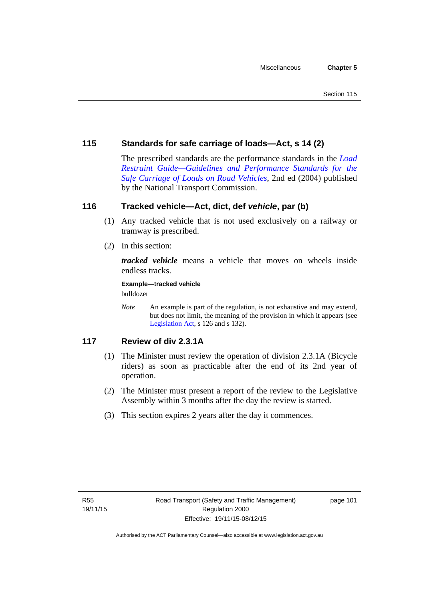# **115 Standards for safe carriage of loads—Act, s 14 (2)**

The prescribed standards are the performance standards in the *[Load](http://www.ntc.gov.au/viewpage.aspx?documentid=862)  [Restraint Guide—Guidelines and Performance Standards for the](http://www.ntc.gov.au/viewpage.aspx?documentid=862)  [Safe Carriage of Loads on Road Vehicles](http://www.ntc.gov.au/viewpage.aspx?documentid=862)*, 2nd ed (2004) published by the National Transport Commission.

# **116 Tracked vehicle—Act, dict, def** *vehicle***, par (b)**

- (1) Any tracked vehicle that is not used exclusively on a railway or tramway is prescribed.
- (2) In this section:

*tracked vehicle* means a vehicle that moves on wheels inside endless tracks.

**Example—tracked vehicle** 

bulldozer

*Note* An example is part of the regulation, is not exhaustive and may extend, but does not limit, the meaning of the provision in which it appears (see [Legislation Act,](http://www.legislation.act.gov.au/a/2001-14) s 126 and s 132).

# **117 Review of div 2.3.1A**

- (1) The Minister must review the operation of division 2.3.1A (Bicycle riders) as soon as practicable after the end of its 2nd year of operation.
- (2) The Minister must present a report of the review to the Legislative Assembly within 3 months after the day the review is started.
- (3) This section expires 2 years after the day it commences.

page 101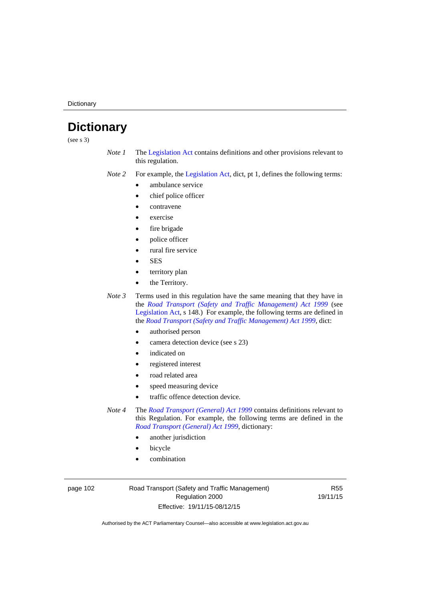**Dictionary** 

# **Dictionary**

(see s 3)

- *Note 1* The [Legislation Act](http://www.legislation.act.gov.au/a/2001-14) contains definitions and other provisions relevant to this regulation.
- *Note 2* For example, the [Legislation Act,](http://www.legislation.act.gov.au/a/2001-14) dict, pt 1, defines the following terms:
	- ambulance service
	- chief police officer
	- contravene
	- exercise
	- fire brigade
	- police officer
		- rural fire service
	- **SES**
	- territory plan
	- the Territory.

*Note 3* Terms used in this regulation have the same meaning that they have in the *[Road Transport \(Safety and Traffic Management\) Act 1999](http://www.legislation.act.gov.au/a/1999-80)* (see [Legislation Act,](http://www.legislation.act.gov.au/a/2001-14) s 148.) For example, the following terms are defined in the *[Road Transport \(Safety and Traffic Management\) Act 1999](http://www.legislation.act.gov.au/a/1999-80)*, dict:

- authorised person
- camera detection device (see s 23)
- indicated on
- registered interest
- road related area
- speed measuring device
- traffic offence detection device.

*Note 4* The *[Road Transport \(General\) Act 1999](http://www.legislation.act.gov.au/a/1999-77)* contains definitions relevant to this Regulation. For example, the following terms are defined in the *[Road Transport \(General\) Act 1999](http://www.legislation.act.gov.au/a/1999-77)*, dictionary:

- another jurisdiction
- bicycle
- combination

page 102 Road Transport (Safety and Traffic Management) Regulation 2000 Effective: 19/11/15-08/12/15

R55 19/11/15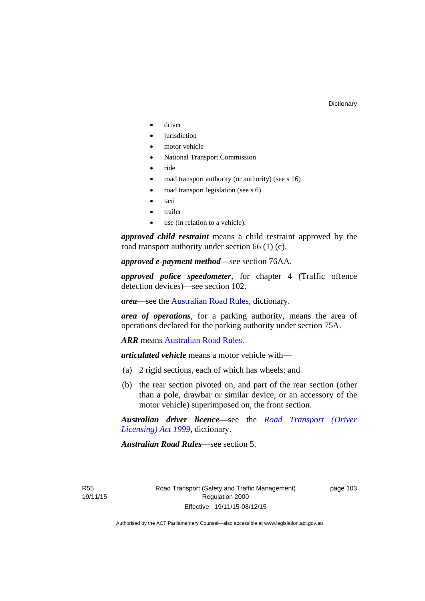- driver
- jurisdiction
- motor vehicle
- National Transport Commission
- ride
- road transport authority (or authority) (see s 16)
- road transport legislation (see s 6)
- taxi
- trailer
- use (in relation to a vehicle).

*approved child restraint* means a child restraint approved by the road transport authority under section 66 (1) (c).

*approved e-payment method*—see section 76AA.

*approved police speedometer*, for chapter 4 (Traffic offence detection devices)—see section 102.

*area*—see the [Australian Road Rules,](http://www.legislation.act.gov.au//ni/db_37271/default.asp) dictionary.

*area of operations*, for a parking authority, means the area of operations declared for the parking authority under section 75A.

*ARR* means [Australian Road Rules](http://www.legislation.act.gov.au//ni/db_37271/default.asp).

*articulated vehicle* means a motor vehicle with—

- (a) 2 rigid sections, each of which has wheels; and
- (b) the rear section pivoted on, and part of the rear section (other than a pole, drawbar or similar device, or an accessory of the motor vehicle) superimposed on, the front section.

*Australian driver licence*—see the *[Road Transport \(Driver](http://www.legislation.act.gov.au/a/1999-78)  [Licensing\) Act 1999](http://www.legislation.act.gov.au/a/1999-78)*, dictionary.

*Australian Road Rules*—see section 5.

R55 19/11/15 page 103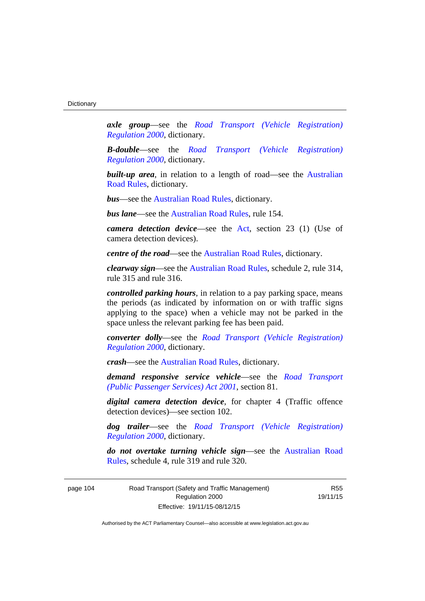*axle group*—see the *[Road Transport \(Vehicle Registration\)](http://www.legislation.act.gov.au/sl/2000-12)  [Regulation 2000](http://www.legislation.act.gov.au/sl/2000-12)*, dictionary.

*B-double*—see the *[Road Transport \(Vehicle Registration\)](http://www.legislation.act.gov.au/sl/2000-12)  [Regulation 2000](http://www.legislation.act.gov.au/sl/2000-12)*, dictionary.

**built-up area**, in relation to a length of road—see the Australian [Road Rules,](http://www.legislation.act.gov.au//ni/db_37271/default.asp) dictionary.

*bus*—see the [Australian Road Rules,](http://www.legislation.act.gov.au//ni/db_37271/default.asp) dictionary.

*bus lane*—see the [Australian Road Rules](http://www.legislation.act.gov.au//ni/db_37271/default.asp), rule 154.

*camera detection device*—see the [Act](http://www.legislation.act.gov.au/a/1999-80/default.asp), section 23 (1) (Use of camera detection devices).

*centre of the road*—see the [Australian Road Rules](http://www.legislation.act.gov.au//ni/db_37271/default.asp), dictionary.

*clearway sign*—see the [Australian Road Rules,](http://www.legislation.act.gov.au//ni/db_37271/default.asp) schedule 2, rule 314, rule 315 and rule 316.

*controlled parking hours*, in relation to a pay parking space, means the periods (as indicated by information on or with traffic signs applying to the space) when a vehicle may not be parked in the space unless the relevant parking fee has been paid.

*converter dolly*—see the *[Road Transport \(Vehicle Registration\)](http://www.legislation.act.gov.au/sl/2000-12)  [Regulation 2000](http://www.legislation.act.gov.au/sl/2000-12)*, dictionary.

*crash*—see the [Australian Road Rules](http://www.legislation.act.gov.au//ni/db_37271/default.asp), dictionary.

*demand responsive service vehicle*—see the *[Road Transport](http://www.legislation.act.gov.au/a/2001-62)  [\(Public Passenger Services\) Act 2001](http://www.legislation.act.gov.au/a/2001-62)*, section 81.

*digital camera detection device*, for chapter 4 (Traffic offence detection devices)—see section 102.

*dog trailer*—see the *[Road Transport \(Vehicle Registration\)](http://www.legislation.act.gov.au/sl/2000-12)  [Regulation 2000](http://www.legislation.act.gov.au/sl/2000-12)*, dictionary.

*do not overtake turning vehicle sign*—see the [Australian Road](http://www.legislation.act.gov.au//ni/db_37271/default.asp)  [Rules](http://www.legislation.act.gov.au//ni/db_37271/default.asp), schedule 4, rule 319 and rule 320.

page 104 Road Transport (Safety and Traffic Management) Regulation 2000 Effective: 19/11/15-08/12/15

R55 19/11/15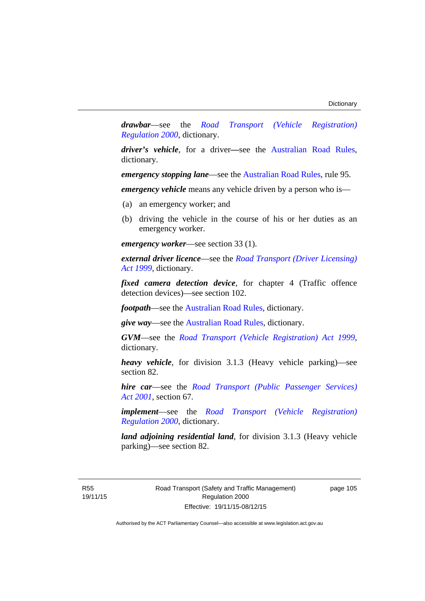*drawbar*—see the *[Road Transport \(Vehicle Registration\)](http://www.legislation.act.gov.au/sl/2000-12)  [Regulation 2000](http://www.legislation.act.gov.au/sl/2000-12)*, dictionary.

*driver's vehicle*, for a driver*—*see the [Australian Road Rules](http://www.legislation.act.gov.au//ni/db_37271/default.asp), dictionary.

*emergency stopping lane—see the [Australian Road Rules](http://www.legislation.act.gov.au//ni/db_37271/default.asp), rule 95.* 

*emergency vehicle* means any vehicle driven by a person who is—

- (a) an emergency worker; and
- (b) driving the vehicle in the course of his or her duties as an emergency worker.

*emergency worker*—see section 33 (1).

*external driver licence*—see the *[Road Transport \(Driver Licensing\)](http://www.legislation.act.gov.au/a/1999-78)  [Act 1999](http://www.legislation.act.gov.au/a/1999-78)*, dictionary.

*fixed camera detection device*, for chapter 4 (Traffic offence detection devices)—see section 102.

*footpath*—see the [Australian Road Rules](http://www.legislation.act.gov.au//ni/db_37271/default.asp), dictionary.

*give way*—see the [Australian Road Rules](http://www.legislation.act.gov.au//ni/db_37271/default.asp), dictionary.

*GVM*—see the *[Road Transport \(Vehicle Registration\) Act 1999](http://www.legislation.act.gov.au/a/1999-81)*, dictionary.

*heavy vehicle*, for division 3.1.3 (Heavy vehicle parking)—see section 82.

*hire car*—see the *[Road Transport \(Public Passenger Services\)](http://www.legislation.act.gov.au/a/2001-62)  [Act 2001](http://www.legislation.act.gov.au/a/2001-62)*, section 67.

*implement*—see the *[Road Transport \(Vehicle Registration\)](http://www.legislation.act.gov.au/sl/2000-12)  [Regulation 2000](http://www.legislation.act.gov.au/sl/2000-12)*, dictionary.

*land adjoining residential land*, for division 3.1.3 (Heavy vehicle parking)—see section 82.

R55 19/11/15 page 105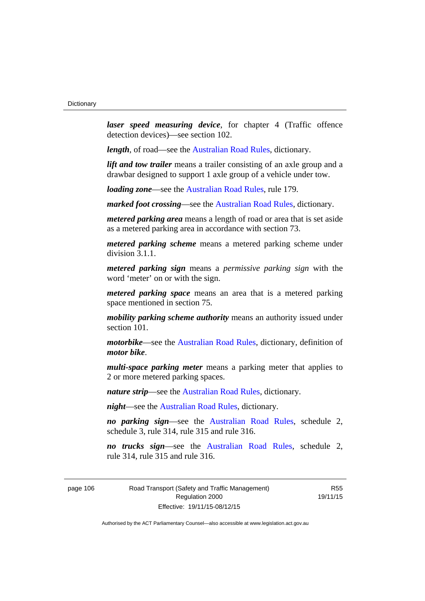*laser speed measuring device*, for chapter 4 (Traffic offence detection devices)—see section 102.

*length*, of road—see the [Australian Road Rules](http://www.legislation.act.gov.au//ni/db_37271/default.asp), dictionary.

*lift and tow trailer* means a trailer consisting of an axle group and a drawbar designed to support 1 axle group of a vehicle under tow.

*loading zone*—see the [Australian Road Rules,](http://www.legislation.act.gov.au//ni/db_37271/default.asp) rule 179.

*marked foot crossing*—see the [Australian Road Rules,](http://www.legislation.act.gov.au//ni/db_37271/default.asp) dictionary.

*metered parking area* means a length of road or area that is set aside as a metered parking area in accordance with section 73.

*metered parking scheme* means a metered parking scheme under division 3.1.1.

*metered parking sign* means a *permissive parking sign* with the word 'meter' on or with the sign.

*metered parking space* means an area that is a metered parking space mentioned in section 75.

*mobility parking scheme authority* means an authority issued under section 101.

*motorbike*—see the [Australian Road Rules,](http://www.legislation.act.gov.au//ni/db_37271/default.asp) dictionary, definition of *motor bike*.

*multi-space parking meter* means a parking meter that applies to 2 or more metered parking spaces.

*nature strip*—see the [Australian Road Rules](http://www.legislation.act.gov.au//ni/db_37271/default.asp), dictionary.

*night*—see the [Australian Road Rules,](http://www.legislation.act.gov.au//ni/db_37271/default.asp) dictionary.

*no parking sign*—see the [Australian Road Rules](http://www.legislation.act.gov.au//ni/db_37271/default.asp), schedule 2, schedule 3, rule 314, rule 315 and rule 316.

*no trucks sign*—see the [Australian Road Rules,](http://www.legislation.act.gov.au//ni/db_37271/default.asp) schedule 2, rule 314, rule 315 and rule 316.

page 106 Road Transport (Safety and Traffic Management) Regulation 2000 Effective: 19/11/15-08/12/15

R55 19/11/15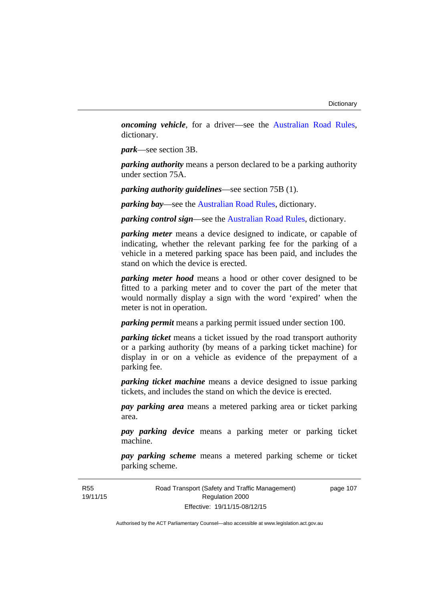*oncoming vehicle*, for a driver—see the [Australian Road Rules](http://www.legislation.act.gov.au//ni/db_37271/default.asp), dictionary.

*park*—see section 3B.

*parking authority* means a person declared to be a parking authority under section 75A.

*parking authority guidelines*—see section 75B (1).

*parking bay*—see the [Australian Road Rules,](http://www.legislation.act.gov.au//ni/db_37271/default.asp) dictionary.

*parking control sign*—see the [Australian Road Rules](http://www.legislation.act.gov.au//ni/db_37271/default.asp), dictionary.

*parking meter* means a device designed to indicate, or capable of indicating, whether the relevant parking fee for the parking of a vehicle in a metered parking space has been paid, and includes the stand on which the device is erected.

*parking meter hood* means a hood or other cover designed to be fitted to a parking meter and to cover the part of the meter that would normally display a sign with the word 'expired' when the meter is not in operation.

*parking permit* means a parking permit issued under section 100.

*parking ticket* means a ticket issued by the road transport authority or a parking authority (by means of a parking ticket machine) for display in or on a vehicle as evidence of the prepayment of a parking fee.

*parking ticket machine* means a device designed to issue parking tickets, and includes the stand on which the device is erected.

*pay parking area* means a metered parking area or ticket parking area.

*pay parking device* means a parking meter or parking ticket machine.

*pay parking scheme* means a metered parking scheme or ticket parking scheme.

Road Transport (Safety and Traffic Management) Regulation 2000 Effective: 19/11/15-08/12/15

page 107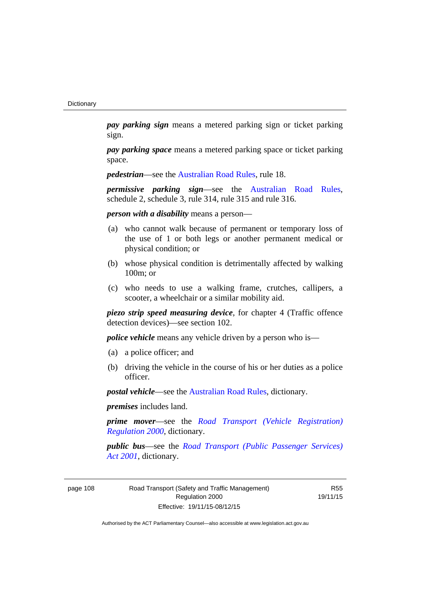*pay parking sign* means a metered parking sign or ticket parking sign.

*pay parking space* means a metered parking space or ticket parking space.

*pedestrian***—see the [Australian Road Rules](http://www.legislation.act.gov.au//ni/db_37271/default.asp)**, rule 18.

*permissive parking sign*—see the [Australian Road Rules](http://www.legislation.act.gov.au//ni/db_37271/default.asp), schedule 2, schedule 3, rule 314, rule 315 and rule 316.

*person with a disability* means a person—

- (a) who cannot walk because of permanent or temporary loss of the use of 1 or both legs or another permanent medical or physical condition; or
- (b) whose physical condition is detrimentally affected by walking 100m; or
- (c) who needs to use a walking frame, crutches, callipers, a scooter, a wheelchair or a similar mobility aid.

*piezo strip speed measuring device*, for chapter 4 (Traffic offence detection devices)—see section 102.

*police vehicle* means any vehicle driven by a person who is—

- (a) a police officer; and
- (b) driving the vehicle in the course of his or her duties as a police officer.

*postal vehicle*—see the [Australian Road Rules,](http://www.legislation.act.gov.au//ni/db_37271/default.asp) dictionary.

*premises* includes land.

*prime mover*—see the *[Road Transport \(Vehicle Registration\)](http://www.legislation.act.gov.au/sl/2000-12)  [Regulation 2000](http://www.legislation.act.gov.au/sl/2000-12)*, dictionary.

*public bus*—see the *[Road Transport \(Public Passenger Services\)](http://www.legislation.act.gov.au/a/2001-62)  [Act 2001](http://www.legislation.act.gov.au/a/2001-62)*, dictionary.

page 108 Road Transport (Safety and Traffic Management) Regulation 2000 Effective: 19/11/15-08/12/15

R55 19/11/15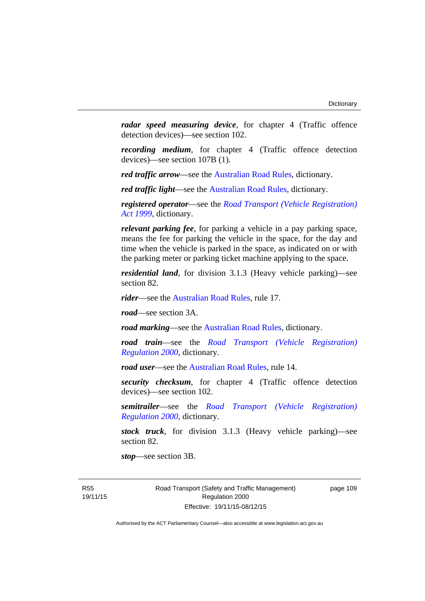*radar speed measuring device*, for chapter 4 (Traffic offence detection devices)—see section 102.

*recording medium*, for chapter 4 (Traffic offence detection devices)—see section 107B (1).

*red traffic arrow*—see the [Australian Road Rules,](http://www.legislation.act.gov.au//ni/db_37271/default.asp) dictionary.

*red traffic light*—see the [Australian Road Rules](http://www.legislation.act.gov.au//ni/db_37271/default.asp), dictionary.

*registered operator*—see the *[Road Transport \(Vehicle Registration\)](http://www.legislation.act.gov.au/a/1999-81)  [Act 1999](http://www.legislation.act.gov.au/a/1999-81)*, dictionary.

*relevant parking fee*, for parking a vehicle in a pay parking space, means the fee for parking the vehicle in the space, for the day and time when the vehicle is parked in the space, as indicated on or with the parking meter or parking ticket machine applying to the space.

*residential land*, for division 3.1.3 (Heavy vehicle parking)—see section 82.

*rider*—see the [Australian Road Rules,](http://www.legislation.act.gov.au//ni/db_37271/default.asp) rule 17.

*road*—see section 3A.

*road marking*—see the [Australian Road Rules](http://www.legislation.act.gov.au//ni/db_37271/default.asp), dictionary.

*road train*—see the *[Road Transport \(Vehicle Registration\)](http://www.legislation.act.gov.au/sl/2000-12)  [Regulation 2000](http://www.legislation.act.gov.au/sl/2000-12)*, dictionary.

*road user*—see the [Australian Road Rules,](http://www.legislation.act.gov.au//ni/db_37271/default.asp) rule 14.

*security checksum*, for chapter 4 (Traffic offence detection devices)—see section 102.

*semitrailer*—see the *[Road Transport \(Vehicle Registration\)](http://www.legislation.act.gov.au/sl/2000-12)  [Regulation 2000](http://www.legislation.act.gov.au/sl/2000-12)*, dictionary.

*stock truck*, for division 3.1.3 (Heavy vehicle parking)—see section 82.

*stop*—see section 3B.

R55 19/11/15 page 109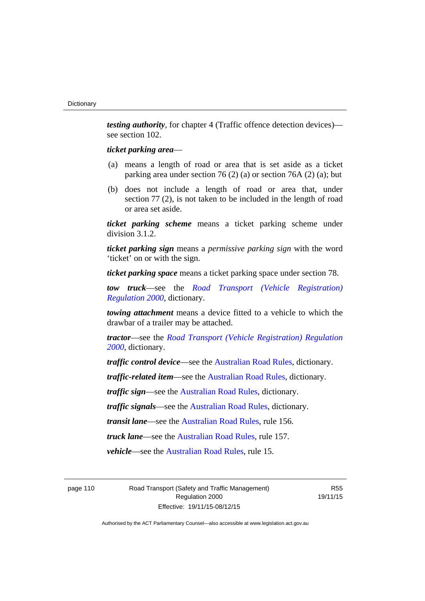*testing authority*, for chapter 4 (Traffic offence detection devices) see section 102.

## *ticket parking area*—

- (a) means a length of road or area that is set aside as a ticket parking area under section 76 (2) (a) or section 76A (2) (a); but
- (b) does not include a length of road or area that, under section 77 (2), is not taken to be included in the length of road or area set aside.

*ticket parking scheme* means a ticket parking scheme under division 3.1.2.

*ticket parking sign* means a *permissive parking sign* with the word 'ticket' on or with the sign.

*ticket parking space* means a ticket parking space under section 78.

*tow truck*—see the *[Road Transport \(Vehicle Registration\)](http://www.legislation.act.gov.au/sl/2000-12)  [Regulation 2000](http://www.legislation.act.gov.au/sl/2000-12)*, dictionary.

*towing attachment* means a device fitted to a vehicle to which the drawbar of a trailer may be attached.

*tractor*—see the *[Road Transport \(Vehicle Registration\) Regulation](http://www.legislation.act.gov.au/sl/2000-12)  [2000](http://www.legislation.act.gov.au/sl/2000-12)*, dictionary.

*traffic control device*—see the [Australian Road Rules](http://www.legislation.act.gov.au//ni/db_37271/default.asp), dictionary.

*traffic-related item*—see the [Australian Road Rules,](http://www.legislation.act.gov.au//ni/db_37271/default.asp) dictionary.

*traffic sign*—see the [Australian Road Rules](http://www.legislation.act.gov.au//ni/db_37271/default.asp), dictionary.

*traffic signals*—see the [Australian Road Rules](http://www.legislation.act.gov.au//ni/db_37271/default.asp), dictionary.

*transit lane*—see the [Australian Road Rules,](http://www.legislation.act.gov.au//ni/db_37271/default.asp) rule 156.

*truck lane*—see the [Australian Road Rules,](http://www.legislation.act.gov.au//ni/db_37271/default.asp) rule 157.

*vehicle*—see the [Australian Road Rules](http://www.legislation.act.gov.au//ni/db_37271/default.asp), rule 15.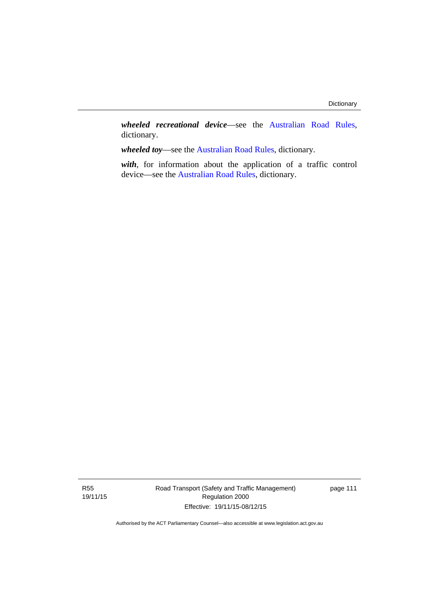*wheeled recreational device*—see the [Australian Road Rules](http://www.legislation.act.gov.au//ni/db_37271/default.asp), dictionary.

*wheeled toy*—see the [Australian Road Rules](http://www.legislation.act.gov.au//ni/db_37271/default.asp), dictionary.

*with*, for information about the application of a traffic control device—see the [Australian Road Rules](http://www.legislation.act.gov.au//ni/db_37271/default.asp), dictionary.

Road Transport (Safety and Traffic Management) Regulation 2000 Effective: 19/11/15-08/12/15

page 111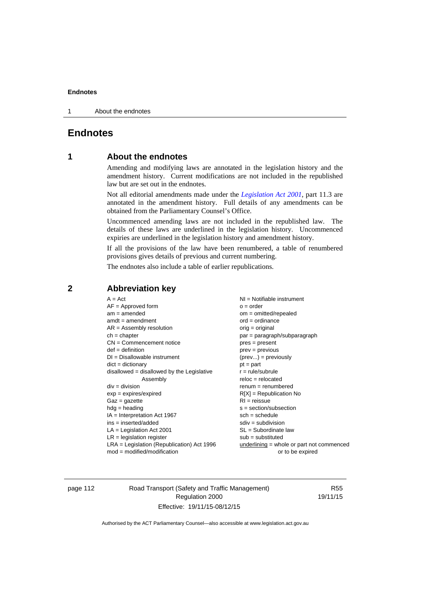1 About the endnotes

# **Endnotes**

# **1 About the endnotes**

Amending and modifying laws are annotated in the legislation history and the amendment history. Current modifications are not included in the republished law but are set out in the endnotes.

Not all editorial amendments made under the *[Legislation Act 2001](http://www.legislation.act.gov.au/a/2001-14)*, part 11.3 are annotated in the amendment history. Full details of any amendments can be obtained from the Parliamentary Counsel's Office.

Uncommenced amending laws are not included in the republished law. The details of these laws are underlined in the legislation history. Uncommenced expiries are underlined in the legislation history and amendment history.

If all the provisions of the law have been renumbered, a table of renumbered provisions gives details of previous and current numbering.

The endnotes also include a table of earlier republications.

| $A = Act$                                    | $NI =$ Notifiable instrument              |
|----------------------------------------------|-------------------------------------------|
| $AF =$ Approved form                         | $o = order$                               |
| $am = amended$                               | $om = omitted/repealed$                   |
| $amdt = amendment$                           | $ord = ordinance$                         |
| $AR = Assembly$ resolution                   | $orig = original$                         |
| $ch = chapter$                               | par = paragraph/subparagraph              |
| $CN =$ Commencement notice                   | $pres = present$                          |
| $def = definition$                           | prev = previous                           |
| $DI = Disallowable instrument$               | $(\text{prev}) = \text{previously}$       |
| $dict = dictionary$                          | $pt = part$                               |
| $disallowed = disallowed by the Legislative$ | $r = rule/subrule$                        |
| Assembly                                     | $reloc = relocated$                       |
| $div = division$                             | $renum = renumbered$                      |
| $exp = expires/expired$                      | $R[X]$ = Republication No                 |
| $Gaz = gazette$                              | $RI = reissue$                            |
| $hdg =$ heading                              | $s = section/subsection$                  |
| $IA = Interpretation Act 1967$               | $sch = schedule$                          |
| $ins = inserted/added$                       | $sdiv = subdivision$                      |
| $LA =$ Legislation Act 2001                  | $SL = Subordinate$ law                    |
| $LR =$ legislation register                  | $sub =$ substituted                       |
| $LRA =$ Legislation (Republication) Act 1996 | underlining = whole or part not commenced |
| $mod = modified/modification$                | or to be expired                          |
|                                              |                                           |

# **2 Abbreviation key**

page 112 Road Transport (Safety and Traffic Management) Regulation 2000 Effective: 19/11/15-08/12/15

R55 19/11/15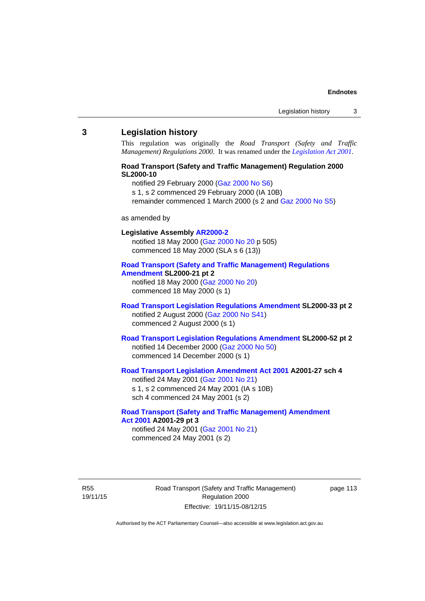#### **3 Legislation history**

This regulation was originally the *Road Transport (Safety and Traffic Management) Regulations 2000*. It was renamed under the *[Legislation Act 2001](http://www.legislation.act.gov.au/a/2001-14)*.

# **Road Transport (Safety and Traffic Management) Regulation 2000 SL2000-10**

notified 29 February 2000 [\(Gaz 2000 No S6](http://www.legislation.act.gov.au/gaz/2000-S6/default.asp))

s 1, s 2 commenced 29 February 2000 (IA 10B)

remainder commenced 1 March 2000 (s 2 and [Gaz 2000 No S5\)](http://www.legislation.act.gov.au/gaz/2000-S5/default.asp)

#### as amended by

# **Legislative Assembly [AR2000-2](http://www.legislation.act.gov.au/ar/2000-2/default.asp)**

notified 18 May 2000 ([Gaz 2000 No 20 p](http://www.legislation.act.gov.au/gaz/2000-20/default.asp) 505) commenced 18 May 2000 (SLA s 6 (13))

#### **[Road Transport \(Safety and Traffic Management\) Regulations](http://www.legislation.act.gov.au/sl/2000-21/default.asp)  [Amendment](http://www.legislation.act.gov.au/sl/2000-21/default.asp) SL2000-21 pt 2**

notified 18 May 2000 ([Gaz 2000 No 20\)](http://www.legislation.act.gov.au/gaz/2000-20/default.asp) commenced 18 May 2000 (s 1)

## **[Road Transport Legislation Regulations Amendment](http://www.legislation.act.gov.au/sl/2000-33/default.asp) SL2000-33 pt 2**  notified 2 August 2000 ([Gaz 2000 No S41](http://www.legislation.act.gov.au/gaz/2000-S41/default.asp)) commenced 2 August 2000 (s 1)

# **[Road Transport Legislation Regulations Amendment](http://www.legislation.act.gov.au/sl/2000-52/default.asp) SL2000-52 pt 2**  notified 14 December 2000 [\(Gaz 2000 No 50](http://www.legislation.act.gov.au/gaz/2000-50/default.asp)) commenced 14 December 2000 (s 1)

# **[Road Transport Legislation Amendment Act 2001](http://www.legislation.act.gov.au/a/2001-27) A2001-27 sch 4**

notified 24 May 2001 ([Gaz 2001 No 21\)](http://www.legislation.act.gov.au/gaz/2001-21/default.asp) s 1, s 2 commenced 24 May 2001 (IA s 10B) sch 4 commenced 24 May 2001 (s 2)

## **[Road Transport \(Safety and Traffic Management\) Amendment](http://www.legislation.act.gov.au/a/2001-29)  [Act 2001](http://www.legislation.act.gov.au/a/2001-29) A2001-29 pt 3**  notified 24 May 2001 ([Gaz 2001 No 21\)](http://www.legislation.act.gov.au/gaz/2001-21/default.asp)

commenced 24 May 2001 (s 2)

R55 19/11/15 Road Transport (Safety and Traffic Management) Regulation 2000 Effective: 19/11/15-08/12/15

page 113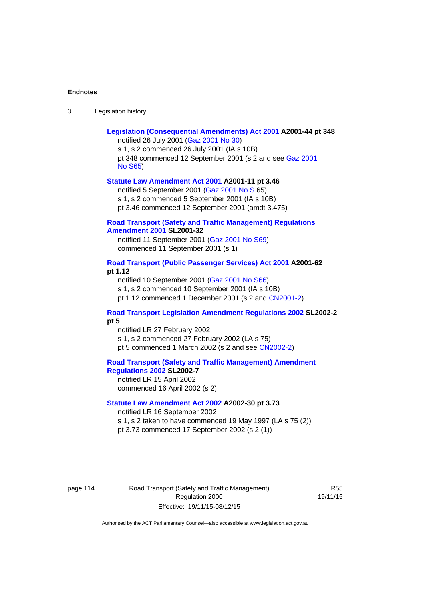| Legislation history<br>-3 |
|---------------------------|
|---------------------------|

| Legislation (Consequential Amendments) Act 2001 A2001-44 pt 348<br>notified 26 July 2001 (Gaz 2001 No 30)<br>s 1, s 2 commenced 26 July 2001 (IA s 10B)<br>pt 348 commenced 12 September 2001 (s 2 and see Gaz 2001<br><b>No S65)</b> |
|---------------------------------------------------------------------------------------------------------------------------------------------------------------------------------------------------------------------------------------|
| Statute Law Amendment Act 2001 A2001-11 pt 3.46<br>notified 5 September 2001 (Gaz 2001 No S 65)<br>s 1, s 2 commenced 5 September 2001 (IA s 10B)<br>pt 3.46 commenced 12 September 2001 (amdt 3.475)                                 |
| <b>Road Transport (Safety and Traffic Management) Regulations</b><br><b>Amendment 2001 SL2001-32</b><br>notified 11 September 2001 (Gaz 2001 No S69)<br>commenced 11 September 2001 (s 1)                                             |
| Road Transport (Public Passenger Services) Act 2001 A2001-62<br>pt 1.12<br>notified 10 September 2001 (Gaz 2001 No S66)<br>s 1, s 2 commenced 10 September 2001 (IA s 10B)<br>pt 1.12 commenced 1 December 2001 (s 2 and CN2001-2)    |
| Road Transport Legislation Amendment Regulations 2002 SL2002-2<br>pt 5<br>notified LR 27 February 2002<br>s 1, s 2 commenced 27 February 2002 (LA s 75)<br>pt 5 commenced 1 March 2002 (s 2 and see CN2002-2)                         |
| <b>Road Transport (Safety and Traffic Management) Amendment</b><br><b>Regulations 2002 SL2002-7</b><br>notified LR 15 April 2002<br>commenced 16 April 2002 (s 2)                                                                     |
| Statute Law Amendment Act 2002 A2002-30 pt 3.73<br>notified LR 16 September 2002<br>s 1, s 2 taken to have commenced 19 May 1997 (LA s 75 (2))<br>pt 3.73 commenced 17 September 2002 (s 2 (1))                                       |

page 114 Road Transport (Safety and Traffic Management) Regulation 2000 Effective: 19/11/15-08/12/15

R55 19/11/15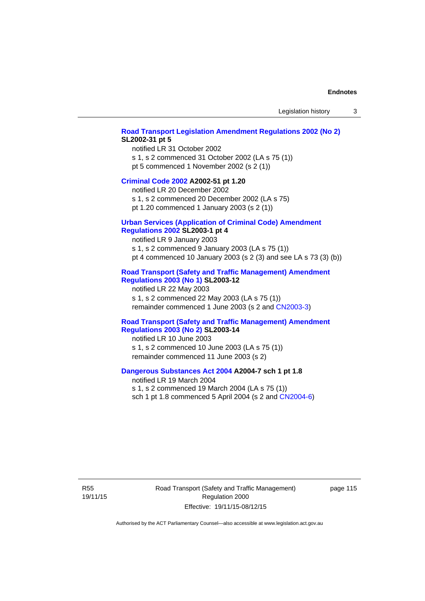### **[Road Transport Legislation Amendment Regulations 2002 \(No 2\)](http://www.legislation.act.gov.au/sl/2002-31) SL2002-31 pt 5**

notified LR 31 October 2002 s 1, s 2 commenced 31 October 2002 (LA s 75 (1)) pt 5 commenced 1 November 2002 (s 2 (1))

#### **[Criminal Code 2002](http://www.legislation.act.gov.au/a/2002-51) A2002-51 pt 1.20**

notified LR 20 December 2002 s 1, s 2 commenced 20 December 2002 (LA s 75)

pt 1.20 commenced 1 January 2003 (s 2 (1))

# **[Urban Services \(Application of Criminal Code\) Amendment](http://www.legislation.act.gov.au/sl/2003-1)**

# **[Regulations 2002](http://www.legislation.act.gov.au/sl/2003-1) SL2003-1 pt 4**

notified LR 9 January 2003 s 1, s 2 commenced 9 January 2003 (LA s 75 (1)) pt 4 commenced 10 January 2003 (s 2 (3) and see LA s 73 (3) (b))

# **[Road Transport \(Safety and Traffic Management\) Amendment](http://www.legislation.act.gov.au/sl/2003-12)  [Regulations 2003 \(No 1\)](http://www.legislation.act.gov.au/sl/2003-12) SL2003-12**

notified LR 22 May 2003 s 1, s 2 commenced 22 May 2003 (LA s 75 (1)) remainder commenced 1 June 2003 (s 2 and [CN2003-3](http://www.legislation.act.gov.au/cn/2003-3/default.asp))

## **[Road Transport \(Safety and Traffic Management\) Amendment](http://www.legislation.act.gov.au/sl/2003-14)  [Regulations 2003 \(No 2\)](http://www.legislation.act.gov.au/sl/2003-14) SL2003-14**

notified LR 10 June 2003 s 1, s 2 commenced 10 June 2003 (LA s 75 (1)) remainder commenced 11 June 2003 (s 2)

## **[Dangerous Substances Act 2004](http://www.legislation.act.gov.au/a/2004-7) A2004-7 sch 1 pt 1.8**

notified LR 19 March 2004 s 1, s 2 commenced 19 March 2004 (LA s 75 (1)) sch 1 pt 1.8 commenced 5 April 2004 (s 2 and [CN2004-6](http://www.legislation.act.gov.au/cn/2004-6/default.asp))

R55 19/11/15 Road Transport (Safety and Traffic Management) Regulation 2000 Effective: 19/11/15-08/12/15

page 115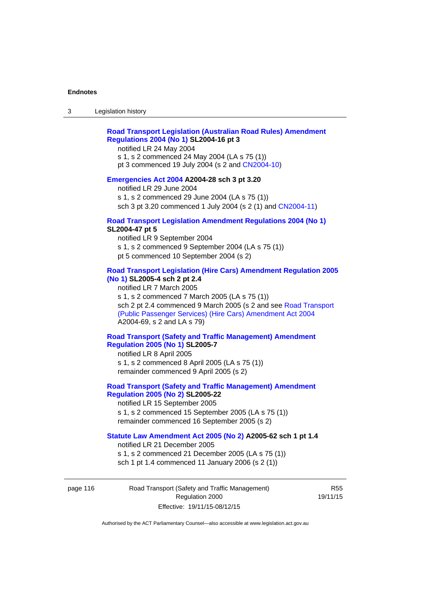# **[Road Transport Legislation \(Australian Road Rules\) Amendment](http://www.legislation.act.gov.au/sl/2004-16)  [Regulations 2004 \(No 1\)](http://www.legislation.act.gov.au/sl/2004-16) SL2004-16 pt 3**

notified LR 24 May 2004

s 1, s 2 commenced 24 May 2004 (LA s 75 (1)) pt 3 commenced 19 July 2004 (s 2 and [CN2004-10](http://www.legislation.act.gov.au/cn/2004-10/default.asp))

#### **[Emergencies Act 2004](http://www.legislation.act.gov.au/a/2004-28) A2004-28 sch 3 pt 3.20**

notified LR 29 June 2004 s 1, s 2 commenced 29 June 2004 (LA s 75 (1)) sch 3 pt 3.20 commenced 1 July 2004 (s 2 (1) and [CN2004-11](http://www.legislation.act.gov.au/cn/2004-11/default.asp))

#### **[Road Transport Legislation Amendment Regulations 2004 \(No 1\)](http://www.legislation.act.gov.au/sl/2004-47) SL2004-47 pt 5**

notified LR 9 September 2004 s 1, s 2 commenced 9 September 2004 (LA s 75 (1)) pt 5 commenced 10 September 2004 (s 2)

# **[Road Transport Legislation \(Hire Cars\) Amendment Regulation 2005](http://www.legislation.act.gov.au/sl/2005-4)  [\(No 1\)](http://www.legislation.act.gov.au/sl/2005-4) SL2005-4 sch 2 pt 2.4**

notified LR 7 March 2005 s 1, s 2 commenced 7 March 2005 (LA s 75 (1)) sch 2 pt 2.4 commenced 9 March 2005 (s 2 and see [Road Transport](http://www.legislation.act.gov.au/a/2004-69)  [\(Public Passenger Services\) \(Hire Cars\) Amendment Act 2004](http://www.legislation.act.gov.au/a/2004-69) A2004-69, s 2 and LA s 79)

## **[Road Transport \(Safety and Traffic Management\) Amendment](http://www.legislation.act.gov.au/sl/2005-7)  [Regulation 2005 \(No 1\)](http://www.legislation.act.gov.au/sl/2005-7) SL2005-7**

notified LR 8 April 2005 s 1, s 2 commenced 8 April 2005 (LA s 75 (1)) remainder commenced 9 April 2005 (s 2)

# **[Road Transport \(Safety and Traffic Management\) Amendment](http://www.legislation.act.gov.au/sl/2005-22)  [Regulation 2005 \(No 2\)](http://www.legislation.act.gov.au/sl/2005-22) SL2005-22**

notified LR 15 September 2005 s 1, s 2 commenced 15 September 2005 (LA s 75 (1)) remainder commenced 16 September 2005 (s 2)

## **[Statute Law Amendment Act 2005 \(No 2\)](http://www.legislation.act.gov.au/a/2005-62) A2005-62 sch 1 pt 1.4**

notified LR 21 December 2005 s 1, s 2 commenced 21 December 2005 (LA s 75 (1)) sch 1 pt 1.4 commenced 11 January 2006 (s 2 (1))

page 116 Road Transport (Safety and Traffic Management) Regulation 2000 Effective: 19/11/15-08/12/15

R55 19/11/15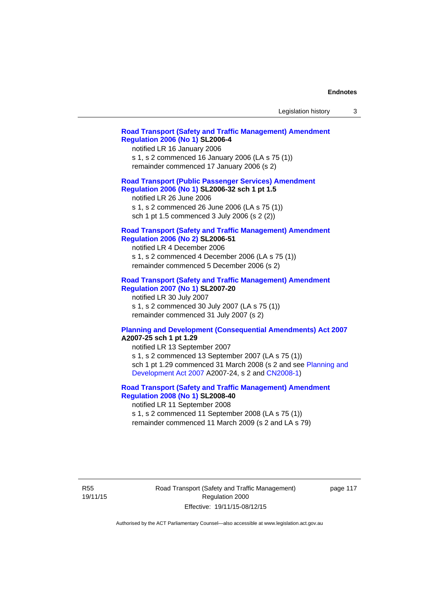| Legislation history |  |  |
|---------------------|--|--|
|---------------------|--|--|

## **[Road Transport \(Safety and Traffic Management\) Amendment](http://www.legislation.act.gov.au/sl/2006-4)  [Regulation 2006 \(No 1\)](http://www.legislation.act.gov.au/sl/2006-4) SL2006-4**

notified LR 16 January 2006 s 1, s 2 commenced 16 January 2006 (LA s 75 (1)) remainder commenced 17 January 2006 (s 2)

## **[Road Transport \(Public Passenger Services\) Amendment](http://www.legislation.act.gov.au/sl/2006-32)  [Regulation 2006 \(No 1\)](http://www.legislation.act.gov.au/sl/2006-32) SL2006-32 sch 1 pt 1.5**

notified LR 26 June 2006 s 1, s 2 commenced 26 June 2006 (LA s 75 (1)) sch 1 pt 1.5 commenced 3 July 2006 (s 2 (2))

#### **[Road Transport \(Safety and Traffic Management\) Amendment](http://www.legislation.act.gov.au/sl/2006-51)  [Regulation 2006 \(No 2\)](http://www.legislation.act.gov.au/sl/2006-51) SL2006-51**

notified LR 4 December 2006 s 1, s 2 commenced 4 December 2006 (LA s 75 (1)) remainder commenced 5 December 2006 (s 2)

## **[Road Transport \(Safety and Traffic Management\) Amendment](http://www.legislation.act.gov.au/sl/2007-20)**

**[Regulation 2007 \(No 1\)](http://www.legislation.act.gov.au/sl/2007-20) SL2007-20**  notified LR 30 July 2007 s 1, s 2 commenced 30 July 2007 (LA s 75 (1)) remainder commenced 31 July 2007 (s 2)

#### **[Planning and Development \(Consequential Amendments\) Act 2007](http://www.legislation.act.gov.au/a/2007-25) A2007-25 sch 1 pt 1.29**

notified LR 13 September 2007 s 1, s 2 commenced 13 September 2007 (LA s 75 (1)) sch 1 pt 1.29 commenced 31 March 2008 (s 2 and see [Planning and](http://www.legislation.act.gov.au/a/2007-24)  [Development Act 2007](http://www.legislation.act.gov.au/a/2007-24) A2007-24, s 2 and [CN2008-1](http://www.legislation.act.gov.au/cn/2008-1/default.asp))

# **[Road Transport \(Safety and Traffic Management\) Amendment](http://www.legislation.act.gov.au/sl/2008-40)  [Regulation 2008 \(No 1\)](http://www.legislation.act.gov.au/sl/2008-40) SL2008-40**

notified LR 11 September 2008 s 1, s 2 commenced 11 September 2008 (LA s 75 (1)) remainder commenced 11 March 2009 (s 2 and LA s 79)

R55 19/11/15 Road Transport (Safety and Traffic Management) Regulation 2000 Effective: 19/11/15-08/12/15

page 117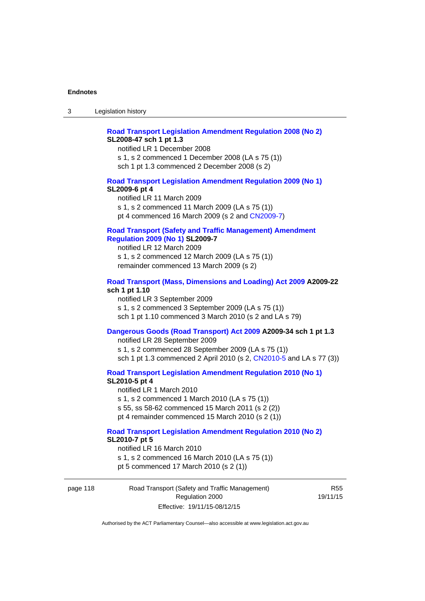# **[Road Transport Legislation Amendment Regulation 2008 \(No 2\)](http://www.legislation.act.gov.au/sl/2008-47) SL2008-47 sch 1 pt 1.3**

notified LR 1 December 2008 s 1, s 2 commenced 1 December 2008 (LA s 75 (1)) sch 1 pt 1.3 commenced 2 December 2008 (s 2)

## **[Road Transport Legislation Amendment Regulation 2009 \(No 1\)](http://www.legislation.act.gov.au/sl/2009-6) SL2009-6 pt 4**

notified LR 11 March 2009 s 1, s 2 commenced 11 March 2009 (LA s 75 (1)) pt 4 commenced 16 March 2009 (s 2 and [CN2009-7\)](http://www.legislation.act.gov.au/cn/2009-7/default.asp)

# **[Road Transport \(Safety and Traffic Management\) Amendment](http://www.legislation.act.gov.au/sl/2009-7)  [Regulation 2009 \(No 1\)](http://www.legislation.act.gov.au/sl/2009-7) SL2009-7**

notified LR 12 March 2009 s 1, s 2 commenced 12 March 2009 (LA s 75 (1)) remainder commenced 13 March 2009 (s 2)

#### **[Road Transport \(Mass, Dimensions and Loading\) Act 2009](http://www.legislation.act.gov.au/a/2009-22/default.asp) A2009-22 sch 1 pt 1.10**

notified LR 3 September 2009 s 1, s 2 commenced 3 September 2009 (LA s 75 (1)) sch 1 pt 1.10 commenced 3 March 2010 (s 2 and LA s 79)

# **[Dangerous Goods \(Road Transport\) Act 2009](http://www.legislation.act.gov.au/a/2009-34) A2009-34 sch 1 pt 1.3**

notified LR 28 September 2009 s 1, s 2 commenced 28 September 2009 (LA s 75 (1)) sch 1 pt 1.3 commenced 2 April 2010 (s 2, [CN2010-5 a](http://www.legislation.act.gov.au/cn/2010-5/default.asp)nd LA s 77 (3))

**[Road Transport Legislation Amendment Regulation 2010 \(No 1\)](http://www.legislation.act.gov.au/sl/2010-5)**

#### **SL2010-5 pt 4**

notified LR 1 March 2010 s 1, s 2 commenced 1 March 2010 (LA s 75 (1)) s 55, ss 58-62 commenced 15 March 2011 (s 2 (2)) pt 4 remainder commenced 15 March 2010 (s 2 (1))

#### **[Road Transport Legislation Amendment Regulation 2010 \(No 2\)](http://www.legislation.act.gov.au/sl/2010-7) SL2010-7 pt 5**  notified LR 16 March 2010

s 1, s 2 commenced 16 March 2010 (LA s 75 (1)) pt 5 commenced 17 March 2010 (s 2 (1))

page 118 Road Transport (Safety and Traffic Management) Regulation 2000 Effective: 19/11/15-08/12/15

R55 19/11/15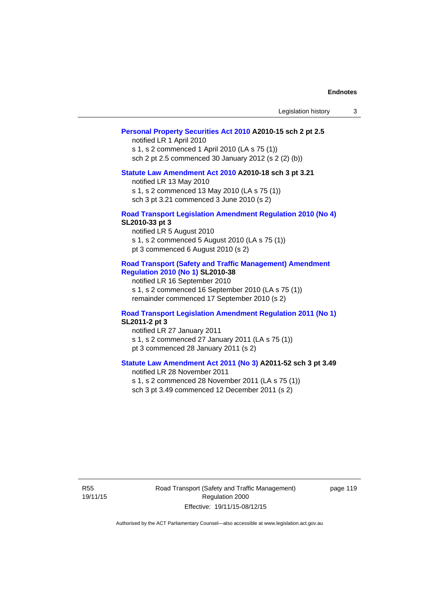| Legislation history |  |  |
|---------------------|--|--|
|---------------------|--|--|

## **[Personal Property Securities Act 2010](http://www.legislation.act.gov.au/a/2010-15) A2010-15 sch 2 pt 2.5**

notified LR 1 April 2010 s 1, s 2 commenced 1 April 2010 (LA s 75 (1)) sch 2 pt 2.5 commenced 30 January 2012 (s 2 (2) (b))

# **[Statute Law Amendment Act 2010](http://www.legislation.act.gov.au/a/2010-18) A2010-18 sch 3 pt 3.21**

notified LR 13 May 2010 s 1, s 2 commenced 13 May 2010 (LA s 75 (1)) sch 3 pt 3.21 commenced 3 June 2010 (s 2)

#### **[Road Transport Legislation Amendment Regulation 2010 \(No 4\)](http://www.legislation.act.gov.au/sl/2010-33) SL2010-33 pt 3**

notified LR 5 August 2010 s 1, s 2 commenced 5 August 2010 (LA s 75 (1)) pt 3 commenced 6 August 2010 (s 2)

#### **[Road Transport \(Safety and Traffic Management\) Amendment](http://www.legislation.act.gov.au/sl/2010-38)  [Regulation 2010 \(No 1\)](http://www.legislation.act.gov.au/sl/2010-38) SL2010-38**

notified LR 16 September 2010 s 1, s 2 commenced 16 September 2010 (LA s 75 (1)) remainder commenced 17 September 2010 (s 2)

#### **[Road Transport Legislation Amendment Regulation 2011 \(No 1\)](http://www.legislation.act.gov.au/sl/2011-2) SL2011-2 pt 3**

notified LR 27 January 2011 s 1, s 2 commenced 27 January 2011 (LA s 75 (1)) pt 3 commenced 28 January 2011 (s 2)

# **[Statute Law Amendment Act 2011 \(No 3\)](http://www.legislation.act.gov.au/a/2011-52) A2011-52 sch 3 pt 3.49**

notified LR 28 November 2011 s 1, s 2 commenced 28 November 2011 (LA s 75 (1)) sch 3 pt 3.49 commenced 12 December 2011 (s 2)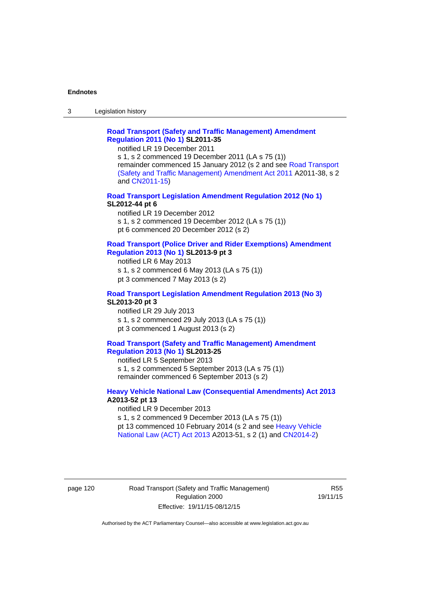3 Legislation history

# **[Road Transport \(Safety and Traffic Management\) Amendment](http://www.legislation.act.gov.au/sl/2011-35)  [Regulation 2011 \(No 1\)](http://www.legislation.act.gov.au/sl/2011-35) SL2011-35**

notified LR 19 December 2011

s 1, s 2 commenced 19 December 2011 (LA s 75 (1)) remainder commenced 15 January 2012 (s 2 and see [Road Transport](http://www.legislation.act.gov.au/a/2011-38)  [\(Safety and Traffic Management\) Amendment Act 2011](http://www.legislation.act.gov.au/a/2011-38) A2011-38, s 2 and [CN2011-15\)](http://www.legislation.act.gov.au/cn/2011-15/default.asp)

## **[Road Transport Legislation Amendment Regulation 2012 \(No 1\)](http://www.legislation.act.gov.au/sl/2012-44/default.asp) SL2012-44 pt 6**

notified LR 19 December 2012 s 1, s 2 commenced 19 December 2012 (LA s 75 (1)) pt 6 commenced 20 December 2012 (s 2)

#### **[Road Transport \(Police Driver and Rider Exemptions\) Amendment](http://www.legislation.act.gov.au/sl/2013-9/default.asp)  [Regulation 2013 \(No 1\)](http://www.legislation.act.gov.au/sl/2013-9/default.asp) SL2013-9 pt 3**

notified LR 6 May 2013 s 1, s 2 commenced 6 May 2013 (LA s 75 (1)) pt 3 commenced 7 May 2013 (s 2)

#### **[Road Transport Legislation Amendment Regulation 2013 \(No 3\)](http://www.legislation.act.gov.au/sl/2013-20) SL2013-20 pt 3**  notified LR 29 July 2013

s 1, s 2 commenced 29 July 2013 (LA s 75 (1)) pt 3 commenced 1 August 2013 (s 2)

# **[Road Transport \(Safety and Traffic Management\) Amendment](http://www.legislation.act.gov.au/sl/2013-25)  [Regulation 2013 \(No 1\)](http://www.legislation.act.gov.au/sl/2013-25) SL2013-25**

notified LR 5 September 2013 s 1, s 2 commenced 5 September 2013 (LA s 75 (1)) remainder commenced 6 September 2013 (s 2)

### **[Heavy Vehicle National Law \(Consequential Amendments\) Act 2013](http://www.legislation.act.gov.au/a/2013-52) A2013-52 pt 13**  notified LR 9 December 2013

s 1, s 2 commenced 9 December 2013 (LA s 75 (1)) pt 13 commenced 10 February 2014 (s 2 and see [Heavy Vehicle](http://www.legislation.act.gov.au/a/2013-51/default.asp)  [National Law \(ACT\) Act 2013](http://www.legislation.act.gov.au/a/2013-51/default.asp) A2013-51, s 2 (1) and [CN2014-2](http://www.legislation.act.gov.au/cn/2014-2/default.asp))

## page 120 Road Transport (Safety and Traffic Management) Regulation 2000 Effective: 19/11/15-08/12/15

R55 19/11/15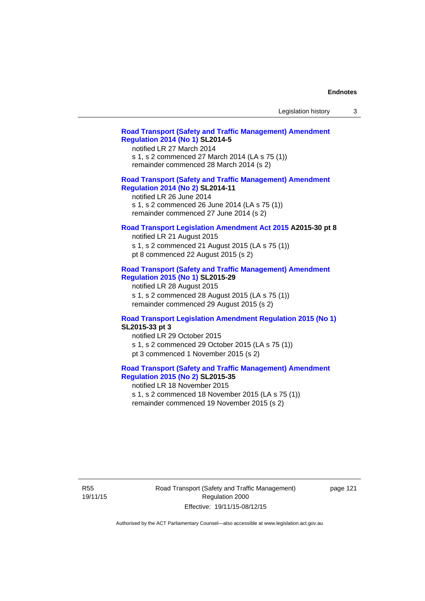## **[Road Transport \(Safety and Traffic Management\) Amendment](http://www.legislation.act.gov.au/sl/2014-5)  [Regulation 2014 \(No 1\)](http://www.legislation.act.gov.au/sl/2014-5) SL2014-5**

notified LR 27 March 2014 s 1, s 2 commenced 27 March 2014 (LA s 75 (1)) remainder commenced 28 March 2014 (s 2)

# **[Road Transport \(Safety and Traffic Management\) Amendment](http://www.legislation.act.gov.au/sl/2014-11)**

**[Regulation 2014 \(No 2\)](http://www.legislation.act.gov.au/sl/2014-11) SL2014-11**  notified LR 26 June 2014

s 1, s 2 commenced 26 June 2014 (LA s 75 (1)) remainder commenced 27 June 2014 (s 2)

## **[Road Transport Legislation Amendment Act 2015](http://www.legislation.act.gov.au/a/2015-30/default.asp) A2015-30 pt 8**

notified LR 21 August 2015 s 1, s 2 commenced 21 August 2015 (LA s 75 (1)) pt 8 commenced 22 August 2015 (s 2)

## **[Road Transport \(Safety and Traffic Management\) Amendment](http://www.legislation.act.gov.au/sl/2015-29)  [Regulation 2015 \(No 1\)](http://www.legislation.act.gov.au/sl/2015-29) SL2015-29**

notified LR 28 August 2015 s 1, s 2 commenced 28 August 2015 (LA s 75 (1)) remainder commenced 29 August 2015 (s 2)

#### **[Road Transport Legislation Amendment Regulation 2015 \(No 1\)](http://www.legislation.act.gov.au/sl/2015-33) SL2015-33 pt 3**

notified LR 29 October 2015 s 1, s 2 commenced 29 October 2015 (LA s 75 (1)) pt 3 commenced 1 November 2015 (s 2)

## **[Road Transport \(Safety and Traffic Management\) Amendment](http://www.legislation.act.gov.au/sl/2015-35)  [Regulation 2015 \(No 2\)](http://www.legislation.act.gov.au/sl/2015-35) SL2015-35**

notified LR 18 November 2015 s 1, s 2 commenced 18 November 2015 (LA s 75 (1)) remainder commenced 19 November 2015 (s 2)

R55 19/11/15 Road Transport (Safety and Traffic Management) Regulation 2000 Effective: 19/11/15-08/12/15

page 121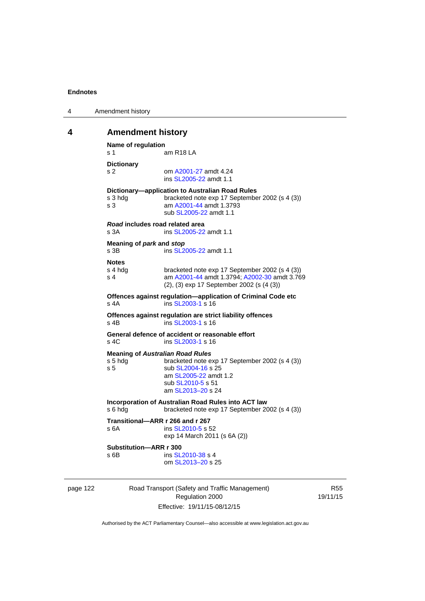| 4 | Amendment history |
|---|-------------------|
|---|-------------------|

# **4 Amendment history**

```
Name of regulation 
s 1 am R18 LA
Dictionary 
s 2 om A2001-27 amdt 4.24
                ins SL2005-22 amdt 1.1 
Dictionary—application to Australian Road Rules 
s 3 hdg bracketed note exp 17 September 2002 (s 4 (3))
s 3 am A2001-44 amdt 1.3793 
                sub SL2005-22 amdt 1.1 
Road includes road related area 
s 3A ins SL2005-22 amdt 1.1
Meaning of park and stop
SL2005-22 amdt 1.1
Notes 
s 4 hdg bracketed note exp 17 September 2002 (s 4 (3))<br>s 4 am A2001-44 amdt 1.3794: A2002-30 amdt 3.76
                A2001-44 A2002-30 amdt 3.769
                (2), (3) exp 17 September 2002 (s (4 (3)) 
Offences against regulation—application of Criminal Code etc 
SL2003-1 s 16
Offences against regulation are strict liability offences 
SL2003-1 s 16
General defence of accident or reasonable effort 
SL2003-1 s 16
Meaning of Australian Road Rules
s 5 hdg bracketed note exp 17 September 2002 (s 4 (3)) 
SL2004-16 s 25
                 am SL2005-22 amdt 1.2 
                sub SL2010-5 s 51 
                 am SL2013–20 s 24 
Incorporation of Australian Road Rules into ACT law 
s 6 hdg bracketed note exp 17 September 2002 (s 4 (3)) 
Transitional—ARR r 266 and r 267 
SL2010-5 s 52
                exp 14 March 2011 (s 6A (2)) 
Substitution—ARR r 300 
SL2010-38 s 4
                 om SL2013–20 s 25
```
page 122 Road Transport (Safety and Traffic Management) Regulation 2000 Effective: 19/11/15-08/12/15

R55 19/11/15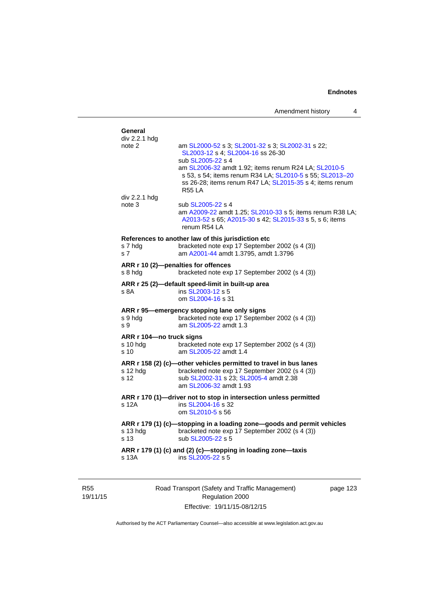| General<br>div 2.2.1 hdg  |                                                                                                                                                           |
|---------------------------|-----------------------------------------------------------------------------------------------------------------------------------------------------------|
| note 2                    | am SL2000-52 s 3; SL2001-32 s 3; SL2002-31 s 22;<br>SL2003-12 s 4; SL2004-16 ss 26-30                                                                     |
|                           | sub SL2005-22 s 4<br>am SL2006-32 amdt 1.92; items renum R24 LA; SL2010-5<br>s 53, s 54; items renum R34 LA; SL2010-5 s 55; SL2013-20                     |
|                           | ss 26-28; items renum R47 LA; SL2015-35 s 4; items renum<br><b>R55 LA</b>                                                                                 |
| div 2.2.1 hdg             |                                                                                                                                                           |
| note 3                    | sub SL2005-22 s 4<br>am A2009-22 amdt 1.25; SL2010-33 s 5; items renum R38 LA;<br>A2013-52 s 65; A2015-30 s 42; SL2015-33 s 5, s 6; items<br>renum R54 LA |
|                           | References to another law of this jurisdiction etc                                                                                                        |
| s 7 hdg<br>s <sub>7</sub> | bracketed note exp 17 September 2002 (s 4 (3))<br>am A2001-44 amdt 1.3795, amdt 1.3796                                                                    |
|                           | ARR r 10 (2)-penalties for offences                                                                                                                       |
| s 8 hdg                   | bracketed note exp 17 September 2002 (s 4 (3))                                                                                                            |
|                           | ARR r 25 (2)-default speed-limit in built-up area                                                                                                         |
| s 8A                      | ins SL2003-12 s 5<br>om SL2004-16 s 31                                                                                                                    |
|                           | ARR r 95-emergency stopping lane only signs                                                                                                               |
| s 9 hdg<br>s 9            | bracketed note exp 17 September 2002 (s 4 (3))<br>am SL2005-22 amdt 1.3                                                                                   |
| ARR r 104-no truck signs  |                                                                                                                                                           |
| s 10 hda<br>s 10          | bracketed note exp 17 September 2002 (s 4 (3))<br>am SL2005-22 amdt 1.4                                                                                   |
|                           | ARR r 158 (2) (c)-other vehicles permitted to travel in bus lanes                                                                                         |
| s 12 hdg<br>s 12          | bracketed note exp 17 September 2002 (s 4 (3))<br>sub SL2002-31 s 23; SL2005-4 amdt 2.38                                                                  |
|                           | am SL2006-32 amdt 1.93                                                                                                                                    |
|                           | ARR r 170 (1)-driver not to stop in intersection unless permitted                                                                                         |
| s 12A                     | ins SL2004-16 s 32<br>om SL2010-5 s 56                                                                                                                    |
|                           | ARR r 179 (1) (c)-stopping in a loading zone-goods and permit vehicles                                                                                    |
| s 13 hdg<br>s 13          | bracketed note exp 17 September 2002 (s 4 (3))<br>sub SL2005-22 s 5                                                                                       |
| s 13A                     | ARR r 179 (1) (c) and (2) (c)-stopping in loading zone-taxis<br>ins SL2005-22 s 5                                                                         |
|                           |                                                                                                                                                           |
|                           |                                                                                                                                                           |

R55 19/11/15 Road Transport (Safety and Traffic Management) Regulation 2000 Effective: 19/11/15-08/12/15

page 123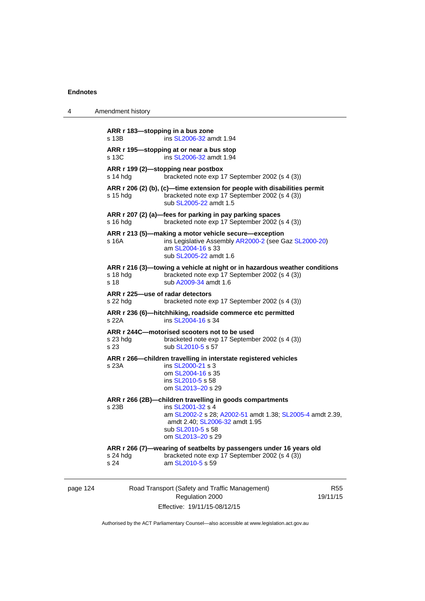| 4                                                                                                                                       | Amendment history                            |                                                                                                                                                                                                                        |                        |
|-----------------------------------------------------------------------------------------------------------------------------------------|----------------------------------------------|------------------------------------------------------------------------------------------------------------------------------------------------------------------------------------------------------------------------|------------------------|
|                                                                                                                                         | ARR r 183-stopping in a bus zone<br>s 13B    | ins SL2006-32 amdt 1.94                                                                                                                                                                                                |                        |
|                                                                                                                                         | s 13C                                        | ARR r 195—stopping at or near a bus stop<br>ins SL2006-32 amdt 1.94                                                                                                                                                    |                        |
|                                                                                                                                         | s 14 hdg                                     | ARR r 199 (2)—stopping near postbox<br>bracketed note exp 17 September 2002 (s 4 (3))                                                                                                                                  |                        |
|                                                                                                                                         | $s$ 15 hdg                                   | ARR $r$ 206 (2) (b), (c)—time extension for people with disabilities permit<br>bracketed note exp 17 September 2002 (s 4 (3))<br>sub SL2005-22 amdt 1.5                                                                |                        |
|                                                                                                                                         | $s$ 16 hdg                                   | ARR r 207 (2) (a)—fees for parking in pay parking spaces<br>bracketed note exp 17 September 2002 (s 4 (3))                                                                                                             |                        |
|                                                                                                                                         | s 16A                                        | ARR r 213 (5)—making a motor vehicle secure—exception<br>ins Legislative Assembly AR2000-2 (see Gaz SL2000-20)<br>am SL2004-16 s 33<br>sub SL2005-22 amdt 1.6                                                          |                        |
|                                                                                                                                         | s 18 hdg<br>s 18                             | ARR r 216 (3)—towing a vehicle at night or in hazardous weather conditions<br>bracketed note exp 17 September 2002 (s 4 (3))<br>sub A2009-34 amdt 1.6                                                                  |                        |
|                                                                                                                                         | ARR r 225—use of radar detectors<br>s 22 hdg | bracketed note exp 17 September 2002 (s 4 (3))                                                                                                                                                                         |                        |
|                                                                                                                                         | s 22A                                        | ARR r 236 (6)-hitchhiking, roadside commerce etc permitted<br>ins SL2004-16 s 34                                                                                                                                       |                        |
| ARR r 244C-motorised scooters not to be used<br>bracketed note exp 17 September 2002 (s 4 (3))<br>s 23 hdg<br>sub SL2010-5 s 57<br>s 23 |                                              |                                                                                                                                                                                                                        |                        |
|                                                                                                                                         | s 23A                                        | ARR r 266—children travelling in interstate registered vehicles<br>ins SL2000-21 s 3<br>om SL2004-16 s 35<br>ins SL2010-5 s 58<br>om SL2013-20 s 29                                                                    |                        |
|                                                                                                                                         | s 23B                                        | ARR r 266 (2B)—children travelling in goods compartments<br>ins SL2001-32 s 4<br>am SL2002-2 s 28; A2002-51 amdt 1.38; SL2005-4 amdt 2.39,<br>amdt 2.40; SL2006-32 amdt 1.95<br>sub SL2010-5 s 58<br>om SL2013-20 s 29 |                        |
|                                                                                                                                         | s 24 hdg<br>s 24                             | ARR r 266 (7)—wearing of seatbelts by passengers under 16 years old<br>bracketed note exp 17 September 2002 (s 4 (3))<br>am SL2010-5 s 59                                                                              |                        |
| page 124                                                                                                                                |                                              | Road Transport (Safety and Traffic Management)<br>Regulation 2000                                                                                                                                                      | <b>R55</b><br>19/11/15 |

Effective: 19/11/15-08/12/15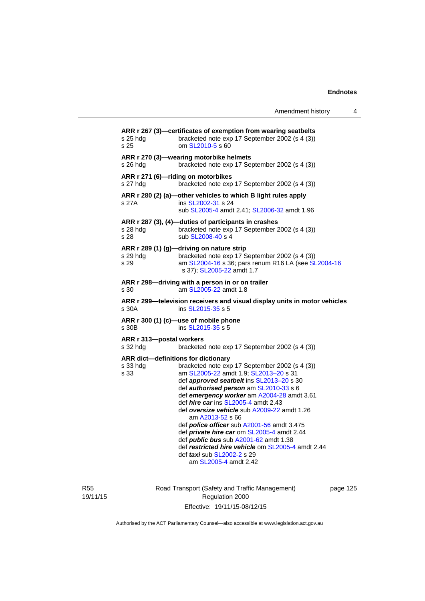Amendment history 4

| s 25 hdg<br>s 25                     | ARR r 267 (3)-certificates of exemption from wearing seatbelts<br>bracketed note exp 17 September 2002 (s 4 (3))<br>om SL2010-5 s 60                                                                                                                                                                                                                                                                                                                                                                                                                                                                                                                      |
|--------------------------------------|-----------------------------------------------------------------------------------------------------------------------------------------------------------------------------------------------------------------------------------------------------------------------------------------------------------------------------------------------------------------------------------------------------------------------------------------------------------------------------------------------------------------------------------------------------------------------------------------------------------------------------------------------------------|
| s 26 hdg                             | ARR r 270 (3)-wearing motorbike helmets<br>bracketed note exp 17 September 2002 (s 4 (3))                                                                                                                                                                                                                                                                                                                                                                                                                                                                                                                                                                 |
| s 27 hdg                             | ARR r 271 (6)-riding on motorbikes<br>bracketed note exp 17 September 2002 (s 4 (3))                                                                                                                                                                                                                                                                                                                                                                                                                                                                                                                                                                      |
| s 27A                                | ARR r 280 (2) (a)-other vehicles to which B light rules apply<br>ins SL2002-31 s 24<br>sub SL2005-4 amdt 2.41; SL2006-32 amdt 1.96                                                                                                                                                                                                                                                                                                                                                                                                                                                                                                                        |
| s 28 hdg<br>s 28                     | ARR r 287 (3), (4)-duties of participants in crashes<br>bracketed note exp 17 September 2002 (s 4 (3))<br>sub SL2008-40 s 4                                                                                                                                                                                                                                                                                                                                                                                                                                                                                                                               |
| s 29 hdg<br>s 29                     | ARR r 289 (1) (g)-driving on nature strip<br>bracketed note exp 17 September 2002 (s 4 (3))<br>am SL2004-16 s 36; pars renum R16 LA (see SL2004-16<br>s 37); SL2005-22 amdt 1.7                                                                                                                                                                                                                                                                                                                                                                                                                                                                           |
| s 30                                 | ARR r 298-driving with a person in or on trailer<br>am SL2005-22 amdt 1.8                                                                                                                                                                                                                                                                                                                                                                                                                                                                                                                                                                                 |
| s 30A                                | ARR r 299-television receivers and visual display units in motor vehicles<br>ins SL2015-35 s 5                                                                                                                                                                                                                                                                                                                                                                                                                                                                                                                                                            |
| s 30B                                | ARR r 300 (1) (c)-use of mobile phone<br>ins SL2015-35 s 5                                                                                                                                                                                                                                                                                                                                                                                                                                                                                                                                                                                                |
| ARR r 313-postal workers<br>s 32 hdg | bracketed note exp 17 September 2002 (s 4 (3))                                                                                                                                                                                                                                                                                                                                                                                                                                                                                                                                                                                                            |
| s 33 hdg<br>s 33                     | ARR dict-definitions for dictionary<br>bracketed note exp 17 September 2002 (s 4 (3))<br>am SL2005-22 amdt 1.9; SL2013-20 s 31<br>def approved seatbelt ins SL2013-20 s 30<br>def authorised person am SL2010-33 s 6<br>def emergency worker am A2004-28 amdt 3.61<br>def <i>hire car</i> ins SL2005-4 amdt 2.43<br>def oversize vehicle sub A2009-22 amdt 1.26<br>am A2013-52 s 66<br>def <i>police officer</i> sub A2001-56 amdt 3.475<br>def private hire car om SL2005-4 amdt 2.44<br>def <i>public bus</i> sub A2001-62 amdt 1.38<br>def restricted hire vehicle om SL2005-4 amdt 2.44<br>def <i>taxi</i> sub SL2002-2 s 29<br>am SL2005-4 amdt 2.42 |
|                                      |                                                                                                                                                                                                                                                                                                                                                                                                                                                                                                                                                                                                                                                           |

R55 19/11/15 Road Transport (Safety and Traffic Management) Regulation 2000 Effective: 19/11/15-08/12/15

page 125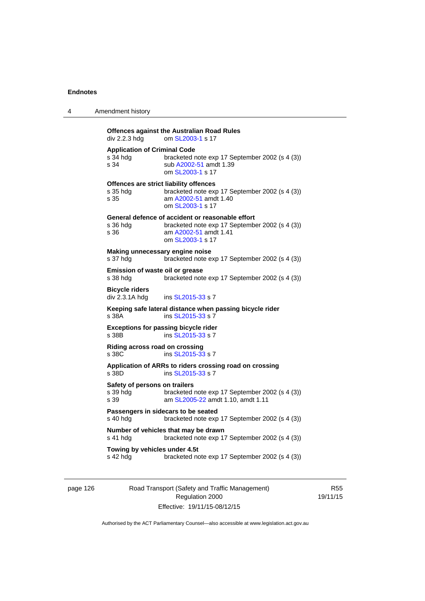4 Amendment history

| <b>Offences against the Australian Road Rules</b>                                                                 |                                                |
|-------------------------------------------------------------------------------------------------------------------|------------------------------------------------|
| om SL2003-1 s 17<br>div 2.2.3 hda                                                                                 |                                                |
| <b>Application of Criminal Code</b><br>s 34 hda<br>sub A2002-51 amdt 1.39<br>s 34<br>om SL2003-1 s 17             | bracketed note exp 17 September 2002 (s 4 (3)) |
| Offences are strict liability offences<br>s 35 hdg<br>am A2002-51 amdt 1.40<br>s 35<br>om SL2003-1 s 17           | bracketed note exp 17 September 2002 (s 4 (3)) |
| General defence of accident or reasonable effort<br>s 36 hdg<br>am A2002-51 amdt 1.41<br>s 36<br>om SL2003-1 s 17 | bracketed note exp 17 September 2002 (s 4 (3)) |
| Making unnecessary engine noise<br>s 37 hdg                                                                       | bracketed note exp 17 September 2002 (s 4 (3)) |
| Emission of waste oil or grease<br>s 38 hda                                                                       | bracketed note exp 17 September 2002 (s 4 (3)) |
| <b>Bicycle riders</b><br>div 2.3.1A hdg<br>ins SL2015-33 s 7                                                      |                                                |
| Keeping safe lateral distance when passing bicycle rider<br>ins SL2015-33 s 7<br>s 38A                            |                                                |
| <b>Exceptions for passing bicycle rider</b><br>ins SL2015-33 s 7<br>s 38B                                         |                                                |
| Riding across road on crossing<br>ins SL2015-33 s 7<br>s 38C                                                      |                                                |
| Application of ARRs to riders crossing road on crossing<br>ins SL2015-33 s 7<br>s 38D                             |                                                |
| Safety of persons on trailers<br>s 39 hdg<br>s 39<br>am SL2005-22 amdt 1.10, amdt 1.11                            | bracketed note exp 17 September 2002 (s 4 (3)) |
| Passengers in sidecars to be seated<br>s 40 hdg                                                                   | bracketed note exp 17 September 2002 (s 4 (3)) |
| Number of vehicles that may be drawn<br>s 41 hdg                                                                  | bracketed note exp 17 September 2002 (s 4 (3)) |
| Towing by vehicles under 4.5t<br>s 42 hdg                                                                         | bracketed note exp 17 September 2002 (s 4 (3)) |

page 126 Road Transport (Safety and Traffic Management) Regulation 2000 Effective: 19/11/15-08/12/15

R55 19/11/15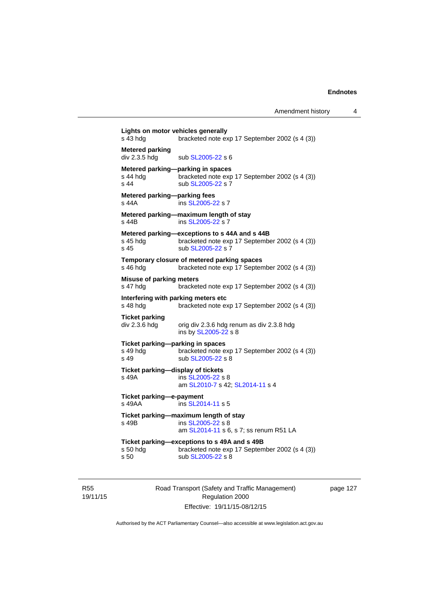| s 43 hdg                                             | Lights on motor vehicles generally<br>bracketed note exp 17 September 2002 (s 4 (3))                                 |
|------------------------------------------------------|----------------------------------------------------------------------------------------------------------------------|
| <b>Metered parking</b><br>div 2.3.5 hdg              | sub SL2005-22 s 6                                                                                                    |
| s 44 hda<br>s 44                                     | Metered parking-parking in spaces<br>bracketed note exp 17 September 2002 (s 4 (3))<br>sub SL2005-22 s 7             |
| Metered parking-parking fees<br>s 44A                | ins SL2005-22 s 7                                                                                                    |
| s 44B                                                | Metered parking-maximum length of stay<br>ins SL2005-22 s 7                                                          |
| s 45 hda<br>s 45                                     | Metered parking-exceptions to s 44A and s 44B<br>bracketed note exp 17 September 2002 (s 4 (3))<br>sub SL2005-22 s 7 |
| s 46 hda                                             | Temporary closure of metered parking spaces<br>bracketed note exp 17 September 2002 (s 4 (3))                        |
| <b>Misuse of parking meters</b><br>s 47 hdg          | bracketed note exp 17 September 2002 (s 4 (3))                                                                       |
| s 48 hda                                             | Interfering with parking meters etc<br>bracketed note exp 17 September 2002 (s 4 (3))                                |
| Ticket parking<br>div 2.3.6 hdg                      | orig div 2.3.6 hdg renum as div 2.3.8 hdg<br>ins by SL2005-22 s 8                                                    |
| Ticket parking-parking in spaces<br>s 49 hdg<br>s 49 | bracketed note exp 17 September 2002 (s 4 (3))<br>sub SL2005-22 s 8                                                  |
| Ticket parking-display of tickets<br>s 49A           | ins SL2005-22 s 8<br>am SL2010-7 s 42; SL2014-11 s 4                                                                 |
| Ticket parking-e-payment<br>s 49AA                   | ins SL2014-11 s 5                                                                                                    |
| s 49B                                                | Ticket parking-maximum length of stay<br>ins SL2005-22 s 8<br>am SL2014-11 s 6, s 7; ss renum R51 LA                 |
| s 50 hdg<br>s 50                                     | Ticket parking-exceptions to s 49A and s 49B<br>bracketed note exp 17 September 2002 (s 4 (3))<br>sub SL2005-22 s 8  |

R55 19/11/15 Road Transport (Safety and Traffic Management) Regulation 2000 Effective: 19/11/15-08/12/15

page 127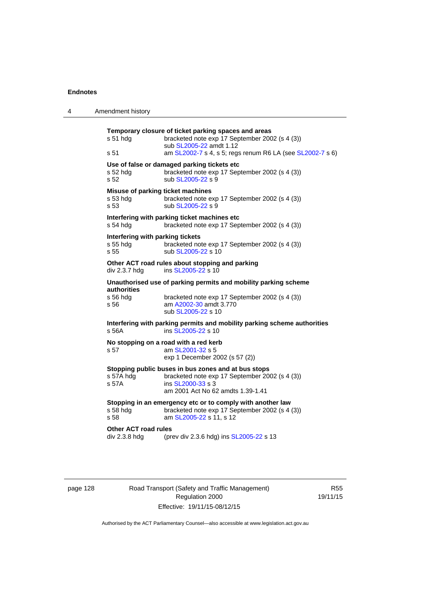| 4 | Amendment history                                      |                                                                                                                                                                                                |
|---|--------------------------------------------------------|------------------------------------------------------------------------------------------------------------------------------------------------------------------------------------------------|
|   | s 51 hdg<br>s 51                                       | Temporary closure of ticket parking spaces and areas<br>bracketed note exp 17 September 2002 (s 4 (3))<br>sub SL2005-22 amdt 1.12<br>am SL2002-7 s 4, s 5; regs renum R6 LA (see SL2002-7 s 6) |
|   | s 52 hdg<br>s 52                                       | Use of false or damaged parking tickets etc<br>bracketed note exp 17 September 2002 (s 4 (3))<br>sub SL2005-22 s 9                                                                             |
|   | Misuse of parking ticket machines<br>$s53$ hdg<br>s 53 | bracketed note exp 17 September 2002 (s 4 (3))<br>sub SL2005-22 s 9                                                                                                                            |
|   | $s54$ hdg                                              | Interfering with parking ticket machines etc<br>bracketed note exp 17 September 2002 (s 4 (3))                                                                                                 |
|   | Interfering with parking tickets<br>s 55 hdg<br>s 55   | bracketed note exp 17 September 2002 (s 4 (3))<br>sub SL2005-22 s 10                                                                                                                           |
|   | div 2.3.7 hdg                                          | Other ACT road rules about stopping and parking<br>ins SL2005-22 s 10                                                                                                                          |
|   | <b>authorities</b><br>s 56 hdg<br>s 56                 | Unauthorised use of parking permits and mobility parking scheme<br>bracketed note exp 17 September 2002 (s 4 (3))<br>am A2002-30 amdt 3.770<br>sub SL2005-22 s 10                              |
|   | s 56A                                                  | Interfering with parking permits and mobility parking scheme authorities<br>ins SL2005-22 s 10                                                                                                 |
|   | s 57                                                   | No stopping on a road with a red kerb<br>am SL2001-32 s 5<br>exp 1 December 2002 (s 57 (2))                                                                                                    |
|   | s 57A hdg<br>s 57A                                     | Stopping public buses in bus zones and at bus stops<br>bracketed note exp 17 September 2002 (s 4 (3))<br>ins SL2000-33 s 3<br>am 2001 Act No 62 amdts 1.39-1.41                                |
|   | s 58 hdg<br>s 58                                       | Stopping in an emergency etc or to comply with another law<br>bracketed note exp 17 September 2002 (s 4 (3))<br>am SL2005-22 s 11, s 12                                                        |
|   | <b>Other ACT road rules</b><br>div 2.3.8 hdg           | (prev div 2.3.6 hdg) ins SL2005-22 s 13                                                                                                                                                        |

page 128 Road Transport (Safety and Traffic Management) Regulation 2000 Effective: 19/11/15-08/12/15

R55 19/11/15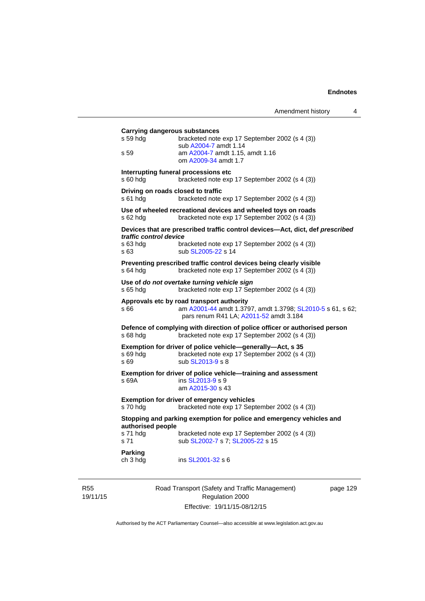| s 59 hdg               | <b>Carrying dangerous substances</b><br>bracketed note exp 17 September 2002 (s 4 (3))                                                            |
|------------------------|---------------------------------------------------------------------------------------------------------------------------------------------------|
| s 59                   | sub A2004-7 amdt 1.14<br>am A2004-7 amdt 1.15, amdt 1.16<br>om A2009-34 amdt 1.7                                                                  |
| s 60 hdg               | Interrupting funeral processions etc<br>bracketed note exp 17 September 2002 (s 4 (3))                                                            |
| s 61 hdg               | Driving on roads closed to traffic<br>bracketed note exp 17 September 2002 (s 4 (3))                                                              |
| s 62 hdg               | Use of wheeled recreational devices and wheeled toys on roads<br>bracketed note exp 17 September 2002 (s 4 (3))                                   |
| traffic control device | Devices that are prescribed traffic control devices-Act, dict, def prescribed                                                                     |
| s 63 hdg<br>s 63       | bracketed note exp 17 September 2002 (s 4 (3))<br>sub SL2005-22 s 14                                                                              |
| $s$ 64 hdg             | Preventing prescribed traffic control devices being clearly visible<br>bracketed note exp 17 September 2002 (s 4 (3))                             |
| s 65 hdg               | Use of do not overtake turning vehicle sign<br>bracketed note exp 17 September 2002 (s 4 (3))                                                     |
| s 66                   | Approvals etc by road transport authority<br>am A2001-44 amdt 1.3797, amdt 1.3798; SL2010-5 s 61, s 62;<br>pars renum R41 LA; A2011-52 amdt 3.184 |
| s 68 hdg               | Defence of complying with direction of police officer or authorised person<br>bracketed note exp 17 September 2002 (s 4 (3))                      |
| s 69 hdg<br>s 69       | Exemption for driver of police vehicle-generally-Act, s 35<br>bracketed note exp 17 September 2002 (s 4 (3))<br>sub SL2013-9 s 8                  |
| s 69A                  | Exemption for driver of police vehicle-training and assessment<br>ins SL2013-9 s 9<br>am A2015-30 s 43                                            |
| s 70 hdg               | <b>Exemption for driver of emergency vehicles</b><br>bracketed note exp 17 September 2002 (s 4 (3))                                               |
| authorised people      | Stopping and parking exemption for police and emergency vehicles and                                                                              |
| s 71 hda<br>s 71       | bracketed note exp 17 September 2002 (s 4 (3))<br>sub SL2002-7 s 7; SL2005-22 s 15                                                                |
| Parking<br>ch 3 hdg    | ins SL2001-32 s 6                                                                                                                                 |

R55 19/11/15

Road Transport (Safety and Traffic Management) Regulation 2000 Effective: 19/11/15-08/12/15

page 129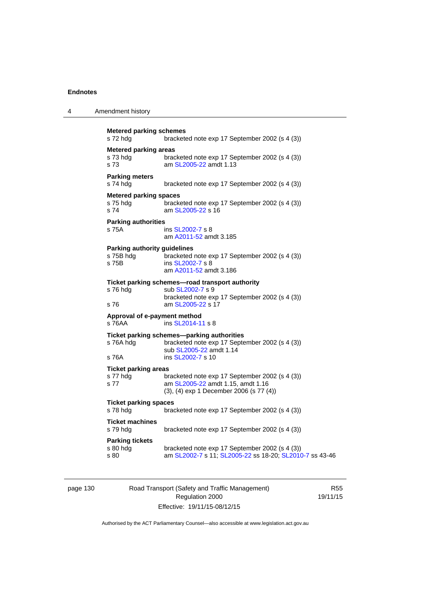| 4 | Amendment history                                         |                                                                                                                                            |
|---|-----------------------------------------------------------|--------------------------------------------------------------------------------------------------------------------------------------------|
|   | <b>Metered parking schemes</b><br>s 72 hdg                | bracketed note exp 17 September 2002 (s 4 (3))                                                                                             |
|   | <b>Metered parking areas</b><br>s 73 hdg<br>s 73          | bracketed note exp 17 September 2002 (s 4 (3))<br>am SL2005-22 amdt 1.13                                                                   |
|   | <b>Parking meters</b><br>s 74 hdg                         | bracketed note exp 17 September 2002 (s 4 (3))                                                                                             |
|   | <b>Metered parking spaces</b><br>s 75 hdg<br>s 74         | bracketed note exp 17 September 2002 (s 4 (3))<br>am SL2005-22 s 16                                                                        |
|   | <b>Parking authorities</b><br>s 75A                       | ins SL2002-7 s 8<br>am A2011-52 amdt 3.185                                                                                                 |
|   | <b>Parking authority guidelines</b><br>s 75B hdg<br>s 75B | bracketed note exp 17 September 2002 (s 4 (3))<br>ins SL2002-7 s 8<br>am A2011-52 amdt 3.186                                               |
|   | s 76 hdg<br>s 76                                          | Ticket parking schemes—road transport authority<br>sub SL2002-7 s 9<br>bracketed note exp 17 September 2002 (s 4 (3))<br>am SL2005-22 s 17 |
|   | Approval of e-payment method<br>s 76AA                    | ins SL2014-11 s 8                                                                                                                          |
|   | s 76A hdg                                                 | Ticket parking schemes-parking authorities<br>bracketed note exp 17 September 2002 (s 4 (3))<br>sub SL2005-22 amdt 1.14                    |
|   | s 76A                                                     | ins SL2002-7 s 10                                                                                                                          |
|   | <b>Ticket parking areas</b><br>s 77 hdg<br>s 77           | bracketed note exp 17 September 2002 (s 4 (3))<br>am SL2005-22 amdt 1.15, amdt 1.16<br>(3), (4) exp 1 December 2006 (s 77 (4))             |
|   | <b>Ticket parking spaces</b><br>s 78 hdg                  | bracketed note exp 17 September 2002 (s 4 (3))                                                                                             |
|   | <b>Ticket machines</b><br>s 79 hdg                        | bracketed note exp 17 September 2002 (s 4 (3))                                                                                             |
|   | <b>Parking tickets</b><br>s 80 hdg<br>s 80                | bracketed note exp 17 September 2002 (s 4 (3))<br>am SL2002-7 s 11; SL2005-22 ss 18-20; SL2010-7 ss 43-46                                  |

page 130 Road Transport (Safety and Traffic Management) Regulation 2000 Effective: 19/11/15-08/12/15

R55 19/11/15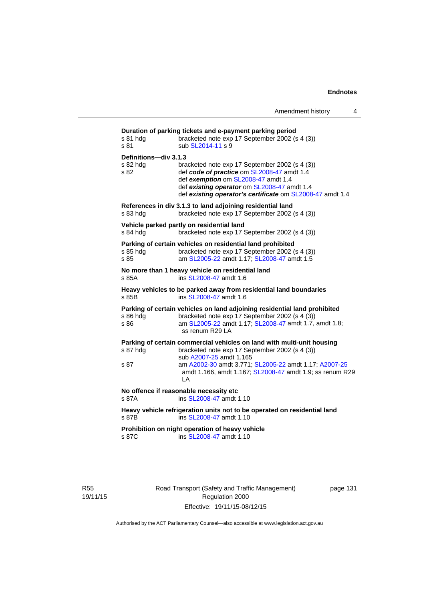| s 81 hdg<br>s 81                          | Duration of parking tickets and e-payment parking period<br>bracketed note exp 17 September 2002 (s 4 (3))<br>sub SL2014-11 s 9                                                                                                                 |
|-------------------------------------------|-------------------------------------------------------------------------------------------------------------------------------------------------------------------------------------------------------------------------------------------------|
| Definitions-div 3.1.3<br>s 82 hdg<br>s 82 | bracketed note exp 17 September 2002 (s 4 (3))<br>def code of practice om SL2008-47 amdt 1.4<br>def exemption om SL2008-47 amdt 1.4<br>def existing operator om SL2008-47 amdt 1.4<br>def existing operator's certificate om SL2008-47 amdt 1.4 |
| s 83 hdg                                  | References in div 3.1.3 to land adjoining residential land<br>bracketed note exp 17 September 2002 (s 4 (3))                                                                                                                                    |
| s 84 hdg                                  | Vehicle parked partly on residential land<br>bracketed note exp 17 September 2002 (s 4 (3))                                                                                                                                                     |
| s 85 hdg<br>s 85                          | Parking of certain vehicles on residential land prohibited<br>bracketed note exp 17 September 2002 (s 4 (3))<br>am SL2005-22 amdt 1.17; SL2008-47 amdt 1.5                                                                                      |
| s 85A                                     | No more than 1 heavy vehicle on residential land<br>ins SL2008-47 amdt 1.6                                                                                                                                                                      |
| s 85B                                     | Heavy vehicles to be parked away from residential land boundaries<br>ins SL2008-47 amdt 1.6                                                                                                                                                     |
| s 86 hdg<br>s 86                          | Parking of certain vehicles on land adjoining residential land prohibited<br>bracketed note exp 17 September 2002 (s 4 (3))<br>am SL2005-22 amdt 1.17; SL2008-47 amdt 1.7, amdt 1.8;<br>ss renum R29 LA                                         |
| s 87 hdg                                  | Parking of certain commercial vehicles on land with multi-unit housing<br>bracketed note exp 17 September 2002 (s 4 (3))                                                                                                                        |
| s 87                                      | sub A2007-25 amdt 1.165<br>am A2002-30 amdt 3.771; SL2005-22 amdt 1.17; A2007-25<br>amdt 1.166, amdt 1.167; SL2008-47 amdt 1.9; ss renum R29<br>LA                                                                                              |
| s 87A                                     | No offence if reasonable necessity etc<br>ins SL2008-47 amdt 1.10                                                                                                                                                                               |
| s 87B                                     | Heavy vehicle refrigeration units not to be operated on residential land<br>ins SL2008-47 amdt 1.10                                                                                                                                             |
| s 87C                                     | Prohibition on night operation of heavy vehicle<br>ins SL2008-47 amdt 1.10                                                                                                                                                                      |

R55 19/11/15 Road Transport (Safety and Traffic Management) Regulation 2000 Effective: 19/11/15-08/12/15

page 131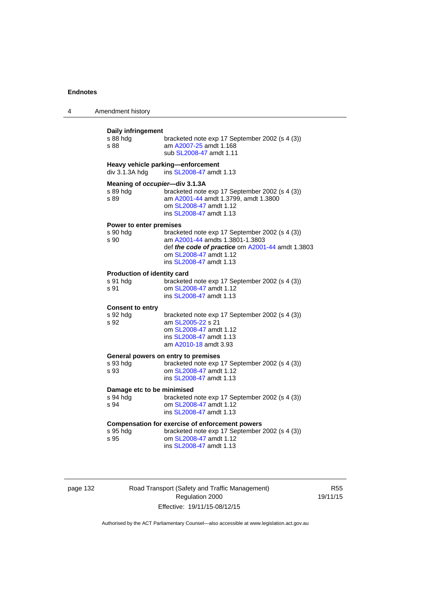| 4 | Amendment history                                  |                                                                                                                                                                                            |
|---|----------------------------------------------------|--------------------------------------------------------------------------------------------------------------------------------------------------------------------------------------------|
|   | Daily infringement<br>s 88 hdg<br>s 88             | bracketed note exp 17 September 2002 (s 4 (3))<br>am A2007-25 amdt 1.168<br>sub SL2008-47 amdt 1.11                                                                                        |
|   | div 3.1.3A hdg                                     | Heavy vehicle parking-enforcement<br>ins SL2008-47 amdt 1.13                                                                                                                               |
|   | Meaning of occupier-div 3.1.3A<br>s 89 hda<br>s 89 | bracketed note exp 17 September 2002 (s 4 (3))<br>am A2001-44 amdt 1.3799, amdt 1.3800<br>om SL2008-47 amdt 1.12<br>ins SL2008-47 amdt 1.13                                                |
|   | Power to enter premises<br>s 90 hdg<br>s 90        | bracketed note exp 17 September 2002 (s 4 (3))<br>am A2001-44 amdts 1.3801-1.3803<br>def the code of practice om A2001-44 amdt 1.3803<br>om SL2008-47 amdt 1.12<br>ins SL2008-47 amdt 1.13 |
|   | Production of identity card<br>s 91 hdg<br>s 91    | bracketed note exp 17 September 2002 (s 4 (3))<br>om SL2008-47 amdt 1.12<br>ins SL2008-47 amdt 1.13                                                                                        |
|   | <b>Consent to entry</b><br>s 92 hdg<br>s 92        | bracketed note exp 17 September 2002 (s 4 (3))<br>am SL2005-22 s 21<br>om SL2008-47 amdt 1.12<br>ins SL2008-47 amdt 1.13<br>am A2010-18 amdt 3.93                                          |
|   | s 93 hdg<br>s 93                                   | General powers on entry to premises<br>bracketed note exp 17 September 2002 (s 4 (3))<br>om SL2008-47 amdt 1.12<br>ins SL2008-47 amdt 1.13                                                 |
|   | Damage etc to be minimised<br>s 94 hdg<br>s 94     | bracketed note exp 17 September 2002 (s 4 (3))<br>om SL2008-47 amdt 1.12<br>ins SL2008-47 amdt 1.13                                                                                        |
|   | s 95 hdg<br>s 95                                   | <b>Compensation for exercise of enforcement powers</b><br>bracketed note exp 17 September 2002 (s 4 (3))<br>om SL2008-47 amdt 1.12<br>ins SL2008-47 amdt 1.13                              |

| page 132 |  |
|----------|--|
|----------|--|

Road Transport (Safety and Traffic Management) Regulation 2000 Effective: 19/11/15-08/12/15

R55 19/11/15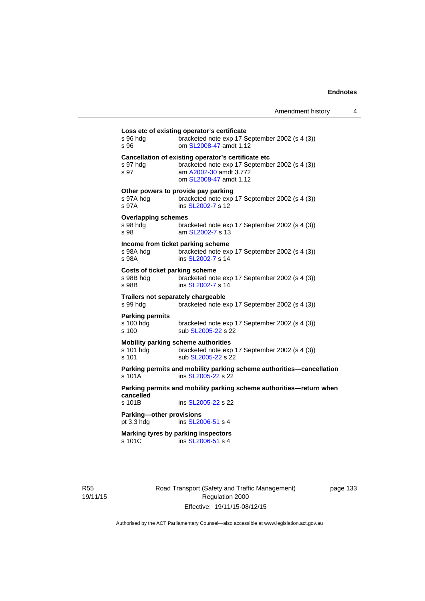| s 96 hda<br>s 96                                     | bracketed note exp 17 September 2002 (s 4 (3))<br>om SL2008-47 amdt 1.12                                                                                  |
|------------------------------------------------------|-----------------------------------------------------------------------------------------------------------------------------------------------------------|
| s 97 hda<br>s 97                                     | Cancellation of existing operator's certificate etc<br>bracketed note exp 17 September 2002 (s 4 (3))<br>am A2002-30 amdt 3.772<br>om SL2008-47 amdt 1.12 |
| s 97A hdg<br>s 97A                                   | Other powers to provide pay parking<br>bracketed note exp 17 September 2002 (s 4 (3))<br>ins SL2002-7 s 12                                                |
| <b>Overlapping schemes</b><br>s 98 hda<br>s 98       | bracketed note exp 17 September 2002 (s 4 (3))<br>am SL 2002-7 s 13                                                                                       |
| s 98A hdg<br>s 98A                                   | Income from ticket parking scheme<br>bracketed note exp 17 September 2002 (s 4 (3))<br>ins SL2002-7 s 14                                                  |
| Costs of ticket parking scheme<br>s 98B hdg<br>s 98B | bracketed note exp 17 September 2002 (s 4 (3))<br>ins SL2002-7 s 14                                                                                       |
| s 99 hdg                                             | Trailers not separately chargeable<br>bracketed note exp 17 September 2002 (s 4 (3))                                                                      |
| <b>Parking permits</b><br>s 100 hdg<br>s 100         | bracketed note exp 17 September 2002 (s 4 (3))<br>sub SL2005-22 s 22                                                                                      |
| s 101 hda<br>s 101                                   | Mobility parking scheme authorities<br>bracketed note exp 17 September 2002 (s 4 (3))<br>sub SL2005-22 s 22                                               |
| $s$ 101 $A$                                          | Parking permits and mobility parking scheme authorities-cancellation<br>ins SL2005-22 s 22                                                                |
| cancelled                                            | Parking permits and mobility parking scheme authorities—return when                                                                                       |
| s 101B                                               | ins SL2005-22 s 22                                                                                                                                        |
| Parking-other provisions<br>pt $3.3$ hdg             | ins SL2006-51 s 4                                                                                                                                         |
|                                                      | Marking tyres by parking inspectors                                                                                                                       |

R55 19/11/15 Road Transport (Safety and Traffic Management) Regulation 2000 Effective: 19/11/15-08/12/15

page 133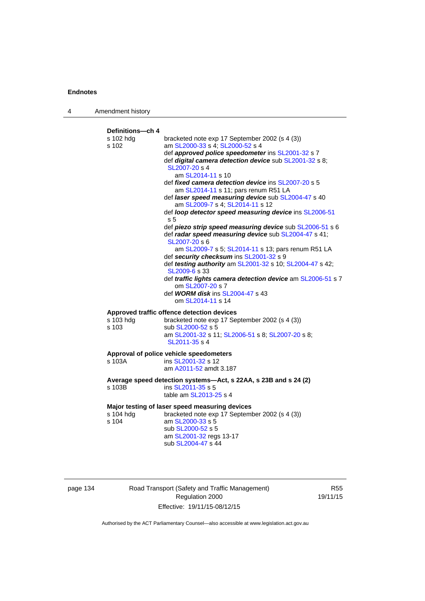| 4 | Amendment history                        |                                                                                                                                                                                                                                                                                                                                                                                                                                                                                                                                                                                                                                              |
|---|------------------------------------------|----------------------------------------------------------------------------------------------------------------------------------------------------------------------------------------------------------------------------------------------------------------------------------------------------------------------------------------------------------------------------------------------------------------------------------------------------------------------------------------------------------------------------------------------------------------------------------------------------------------------------------------------|
|   | Definitions---ch 4<br>s 102 hdg<br>s 102 | bracketed note exp 17 September 2002 (s 4 (3))<br>am SL2000-33 s 4; SL2000-52 s 4<br>def approved police speedometer ins SL2001-32 s 7<br>def digital camera detection device sub SL2001-32 s 8;<br>SL2007-20 s 4<br>am SL2014-11 s 10<br>def <i>fixed camera detection device</i> ins SL2007-20 s 5<br>am SL2014-11 s 11; pars renum R51 LA<br>def laser speed measuring device sub SL2004-47 s 40<br>am SL2009-7 s 4; SL2014-11 s 12<br>def loop detector speed measuring device ins SL2006-51<br>s 5<br>def piezo strip speed measuring device sub SL2006-51 s 6<br>def radar speed measuring device sub SL2004-47 s 41;<br>SL2007-20 s 6 |
|   |                                          | am SL2009-7 s 5; SL2014-11 s 13; pars renum R51 LA<br>def security checksum ins SL2001-32 s 9<br>def testing authority am SL2001-32 s 10; SL2004-47 s 42;<br>SL2009-6 s 33<br>def traffic lights camera detection device am SL2006-51 s 7<br>om SL2007-20 s 7<br>def <b>WORM disk</b> ins SL2004-47 s 43<br>om SL2014-11 s 14                                                                                                                                                                                                                                                                                                                |
|   | s 103 hdg<br>s 103                       | Approved traffic offence detection devices<br>bracketed note exp 17 September 2002 (s 4 (3))<br>sub SL2000-52 s 5<br>am SL2001-32 s 11; SL2006-51 s 8; SL2007-20 s 8;<br>SL2011-35 s 4                                                                                                                                                                                                                                                                                                                                                                                                                                                       |
|   | s 103A                                   | Approval of police vehicle speedometers<br>ins SL2001-32 s 12<br>am A2011-52 amdt 3.187                                                                                                                                                                                                                                                                                                                                                                                                                                                                                                                                                      |
|   | s 103B                                   | Average speed detection systems-Act, s 22AA, s 23B and s 24 (2)<br>ins SL2011-35 s 5<br>table am SL2013-25 s 4                                                                                                                                                                                                                                                                                                                                                                                                                                                                                                                               |
|   | s 104 hdg<br>s 104                       | Major testing of laser speed measuring devices<br>bracketed note exp 17 September 2002 (s 4 (3))<br>am SL2000-33 s 5<br>sub SL2000-52 s 5<br>am SL2001-32 regs 13-17<br>sub SL2004-47 s 44                                                                                                                                                                                                                                                                                                                                                                                                                                                   |

page 134 Road Transport (Safety and Traffic Management) Regulation 2000 Effective: 19/11/15-08/12/15

R55 19/11/15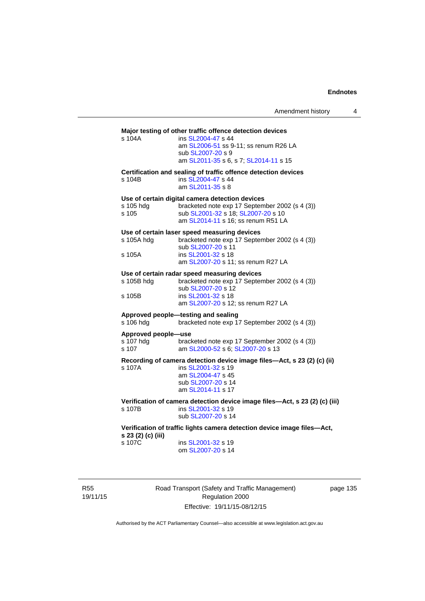# **Major testing of other traffic offence detection devices**  s 104A ins [SL2004-47](http://www.legislation.act.gov.au/sl/2004-47) s 44 am [SL2006-51](http://www.legislation.act.gov.au/sl/2006-51) ss 9-11; ss renum R26 LA sub [SL2007-20](http://www.legislation.act.gov.au/sl/2007-20) s 9 am [SL2011-35](http://www.legislation.act.gov.au/sl/2011-35) s 6, s 7; [SL2014-11](http://www.legislation.act.gov.au/sl/2014-11) s 15 **Certification and sealing of traffic offence detection devices**  s 104B ins [SL2004-47](http://www.legislation.act.gov.au/sl/2004-47) s 44 am [SL2011-35](http://www.legislation.act.gov.au/sl/2011-35) s 8 **Use of certain digital camera detection devices**  s 105 hdg bracketed note exp 17 September 2002 (s 4 (3)) s 105 sub [SL2001-32](http://www.legislation.act.gov.au/sl/2001-32) s 18; [SL2007-20](http://www.legislation.act.gov.au/sl/2007-20) s 10 am [SL2014-11](http://www.legislation.act.gov.au/sl/2014-11) s 16; ss renum R51 LA **Use of certain laser speed measuring devices**  s 105A hdg bracketed note exp 17 September 2002 (s 4 (3)) sub [SL2007-20](http://www.legislation.act.gov.au/sl/2007-20) s<sup>11</sup><br>s 105A ins SL2001-32 s 18 ins [SL2001-32](http://www.legislation.act.gov.au/sl/2001-32) s 18 am [SL2007-20](http://www.legislation.act.gov.au/sl/2007-20) s 11; ss renum R27 LA **Use of certain radar speed measuring devices**  s 105B hdg bracketed note exp 17 September 2002 (s 4 (3)) sub [SL2007-20](http://www.legislation.act.gov.au/sl/2007-20) s 12 s 105B ins [SL2001-32](http://www.legislation.act.gov.au/sl/2001-32) s 18 am [SL2007-20](http://www.legislation.act.gov.au/sl/2007-20) s 12; ss renum R27 LA **Approved people—testing and sealing**  s 106 hdg bracketed note exp 17 September 2002 (s 4 (3)) **Approved people—use**  s 107 hdg bracketed note exp 17 September 2002 (s 4 (3))<br>s 107 am SL2000-52 s 6: SL2007-20 s 13 am [SL2000-52](http://www.legislation.act.gov.au/sl/2000-52) s 6; [SL2007-20](http://www.legislation.act.gov.au/sl/2007-20) s 13 **Recording of camera detection device image files—Act, s 23 (2) (c) (ii)**  s 107A ins [SL2001-32](http://www.legislation.act.gov.au/sl/2001-32) s 19 am [SL2004-47](http://www.legislation.act.gov.au/sl/2004-47) s 45 sub [SL2007-20](http://www.legislation.act.gov.au/sl/2007-20) s 14 am [SL2014-11](http://www.legislation.act.gov.au/sl/2014-11) s 17 **Verification of camera detection device image files—Act, s 23 (2) (c) (iii)**  s 107B ins [SL2001-32](http://www.legislation.act.gov.au/sl/2001-32) s 19 sub [SL2007-20](http://www.legislation.act.gov.au/sl/2007-20) s 14 **Verification of traffic lights camera detection device image files—Act, s 23 (2) (c) (iii)**  ins [SL2001-32](http://www.legislation.act.gov.au/sl/2001-32) s 19 om [SL2007-20](http://www.legislation.act.gov.au/sl/2007-20) s 14

R55 19/11/15 Road Transport (Safety and Traffic Management) Regulation 2000 Effective: 19/11/15-08/12/15

page 135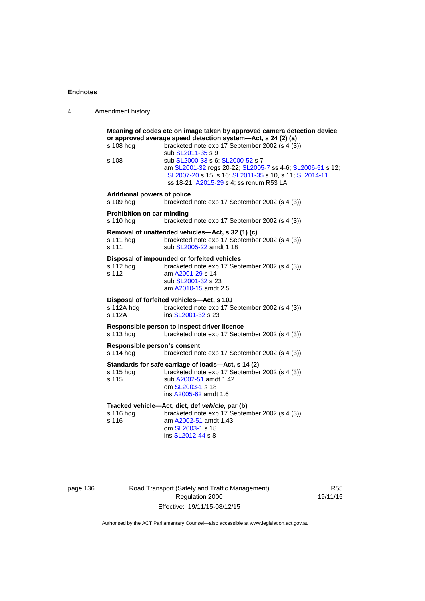| 4 | Amendment history                               |                                                                                                                                                                                                                                                                                                                                                                                                                     |
|---|-------------------------------------------------|---------------------------------------------------------------------------------------------------------------------------------------------------------------------------------------------------------------------------------------------------------------------------------------------------------------------------------------------------------------------------------------------------------------------|
|   | s 108 hdg<br>s 108                              | Meaning of codes etc on image taken by approved camera detection device<br>or approved average speed detection system-Act, s 24 (2) (a)<br>bracketed note exp 17 September 2002 (s 4 (3))<br>sub SL2011-35 s 9<br>sub SL2000-33 s 6; SL2000-52 s 7<br>am SL2001-32 regs 20-22; SL2005-7 ss 4-6; SL2006-51 s 12;<br>SL2007-20 s 15, s 16; SL2011-35 s 10, s 11; SL2014-11<br>ss 18-21; A2015-29 s 4; ss renum R53 LA |
|   | <b>Additional powers of police</b><br>s 109 hdg | bracketed note exp 17 September 2002 (s 4 (3))                                                                                                                                                                                                                                                                                                                                                                      |
|   | Prohibition on car minding<br>s 110 hdg         | bracketed note exp 17 September 2002 (s 4 (3))                                                                                                                                                                                                                                                                                                                                                                      |
|   | s 111 hdg<br>s 111                              | Removal of unattended vehicles—Act, s 32 (1) (c)<br>bracketed note exp 17 September 2002 (s 4 (3))<br>sub SL2005-22 amdt 1.18                                                                                                                                                                                                                                                                                       |
|   | s 112 hdg<br>s 112                              | Disposal of impounded or forfeited vehicles<br>bracketed note exp 17 September 2002 (s 4 (3))<br>am A2001-29 s 14<br>sub SL2001-32 s 23<br>am A2010-15 amdt 2.5                                                                                                                                                                                                                                                     |
|   | s 112A hdg<br>s 112A                            | Disposal of forfeited vehicles-Act, s 10J<br>bracketed note exp 17 September 2002 (s 4 (3))<br>ins SL2001-32 s 23                                                                                                                                                                                                                                                                                                   |
|   | s 113 hdg                                       | Responsible person to inspect driver licence<br>bracketed note exp 17 September 2002 (s 4 (3))                                                                                                                                                                                                                                                                                                                      |
|   | Responsible person's consent<br>s 114 hdg       | bracketed note exp 17 September 2002 (s 4 (3))                                                                                                                                                                                                                                                                                                                                                                      |
|   | s 115 hdg<br>s 115                              | Standards for safe carriage of loads-Act, s 14 (2)<br>bracketed note exp 17 September 2002 (s 4 (3))<br>sub A2002-51 amdt 1.42<br>om SL2003-1 s 18<br>ins A2005-62 amdt 1.6                                                                                                                                                                                                                                         |
|   | s 116 hdg<br>s 116                              | Tracked vehicle-Act, dict, def vehicle, par (b)<br>bracketed note exp 17 September 2002 (s 4 (3))<br>am A2002-51 amdt 1.43<br>om SL2003-1 s 18<br>ins SL2012-44 s 8                                                                                                                                                                                                                                                 |

# page 136 Road Transport (Safety and Traffic Management) Regulation 2000 Effective: 19/11/15-08/12/15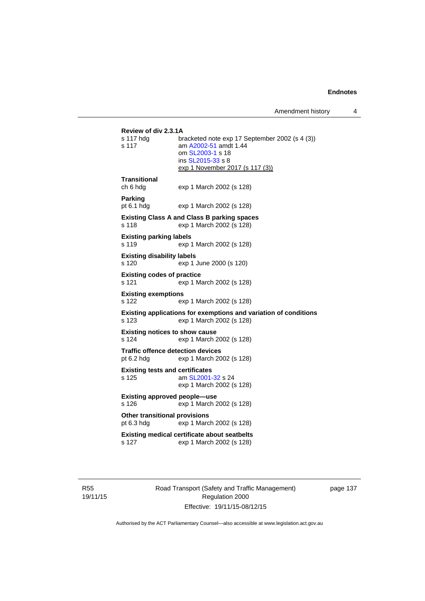Amendment history 4

```
Review of div 2.3.1A 
                bracketed note exp 17 September 2002 (s 4 (3))
s 117 am A2002-51 amdt 1.44
                 om SL2003-1 s 18 
                 ins SL2015-33 s 8 
                exp 1 November 2017 (s 117 (3))
Transitional 
ch 6 hdg exp 1 March 2002 (s 128) 
Parking 
pt 6.1 hdg exp 1 March 2002 (s 128) 
Existing Class A and Class B parking spaces 
s 118 exp 1 March 2002 (s 128) 
Existing parking labels 
s 119 exp 1 March 2002 (s 128) 
Existing disability labels 
s 120 exp 1 June 2000 (s 120) 
Existing codes of practice 
s 121 exp 1 March 2002 (s 128) 
Existing exemptions 
s 122 exp 1 March 2002 (s 128) 
Existing applications for exemptions and variation of conditions 
s 123 exp 1 March 2002 (s 128) 
Existing notices to show cause 
s 124 exp 1 March 2002 (s 128) 
Traffic offence detection devices 
pt 6.2 hdg exp 1 March 2002 (s 128) 
Existing tests and certificates 
s 125 am SL2001-32 s 24 
                exp 1 March 2002 (s 128) 
Existing approved people—use 
s 126 exp 1 March 2002 (s 128) 
Other transitional provisions 
pt 6.3 hdg exp 1 March 2002 (s 128) 
Existing medical certificate about seatbelts 
s 127 exp 1 March 2002 (s 128)
```
R55 19/11/15 Road Transport (Safety and Traffic Management) Regulation 2000 Effective: 19/11/15-08/12/15

page 137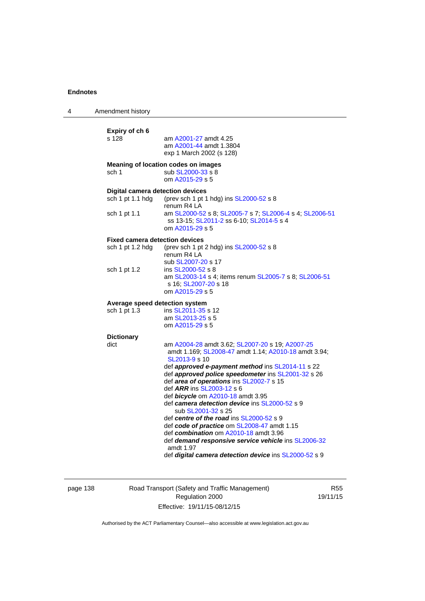| 4 | Amendment history                                                           |                                                                                                                                                                                                                                                                                                                                                                                                                                                                                                                                                                                                                                                                                                 |
|---|-----------------------------------------------------------------------------|-------------------------------------------------------------------------------------------------------------------------------------------------------------------------------------------------------------------------------------------------------------------------------------------------------------------------------------------------------------------------------------------------------------------------------------------------------------------------------------------------------------------------------------------------------------------------------------------------------------------------------------------------------------------------------------------------|
|   | Expiry of ch 6<br>s 128                                                     | am A2001-27 amdt 4.25<br>am A2001-44 amdt 1.3804<br>exp 1 March 2002 (s 128)                                                                                                                                                                                                                                                                                                                                                                                                                                                                                                                                                                                                                    |
|   | sch 1                                                                       | Meaning of location codes on images<br>sub SL2000-33 s 8<br>om A2015-29 s 5                                                                                                                                                                                                                                                                                                                                                                                                                                                                                                                                                                                                                     |
|   | <b>Digital camera detection devices</b><br>sch 1 pt 1.1 hdg<br>sch 1 pt 1.1 | (prev sch 1 pt 1 hdg) ins SL2000-52 s 8<br>renum R4 LA<br>am SL2000-52 s 8; SL2005-7 s 7; SL2006-4 s 4; SL2006-51<br>ss 13-15; SL2011-2 ss 6-10; SL2014-5 s 4                                                                                                                                                                                                                                                                                                                                                                                                                                                                                                                                   |
|   | <b>Fixed camera detection devices</b><br>sch 1 pt 1.2 hdg                   | om A2015-29 s 5<br>(prev sch 1 pt 2 hdg) ins SL2000-52 s 8<br>renum R4 LA<br>sub SL2007-20 s 17                                                                                                                                                                                                                                                                                                                                                                                                                                                                                                                                                                                                 |
|   | sch 1 pt 1.2                                                                | ins SL2000-52 s 8<br>am SL2003-14 s 4; items renum SL2005-7 s 8; SL2006-51<br>s 16; SL2007-20 s 18<br>om A2015-29 s 5                                                                                                                                                                                                                                                                                                                                                                                                                                                                                                                                                                           |
|   | Average speed detection system<br>sch 1 pt 1.3                              | ins SL2011-35 s 12<br>am SL2013-25 s 5<br>om A2015-29 s 5                                                                                                                                                                                                                                                                                                                                                                                                                                                                                                                                                                                                                                       |
|   | <b>Dictionary</b><br>dict                                                   | am A2004-28 amdt 3.62; SL2007-20 s 19; A2007-25<br>amdt 1.169; SL2008-47 amdt 1.14; A2010-18 amdt 3.94;<br>SL2013-9 s 10<br>def approved e-payment method ins SL2014-11 s 22<br>def approved police speedometer ins SL2001-32 s 26<br>def area of operations ins SL2002-7 s 15<br>def ARR ins SL2003-12 s 6<br>def bicycle om A2010-18 amdt 3.95<br>def camera detection device ins SL2000-52 s 9<br>sub SL2001-32 s 25<br>def centre of the road ins SL2000-52 s 9<br>def code of practice om SL2008-47 amdt 1.15<br>def combination om A2010-18 amdt 3.96<br>def demand responsive service vehicle ins SL2006-32<br>amdt 1.97<br>def <i>digital camera detection device</i> ins SL2000-52 s 9 |

page 138 Road Transport (Safety and Traffic Management) Regulation 2000 Effective: 19/11/15-08/12/15

R55 19/11/15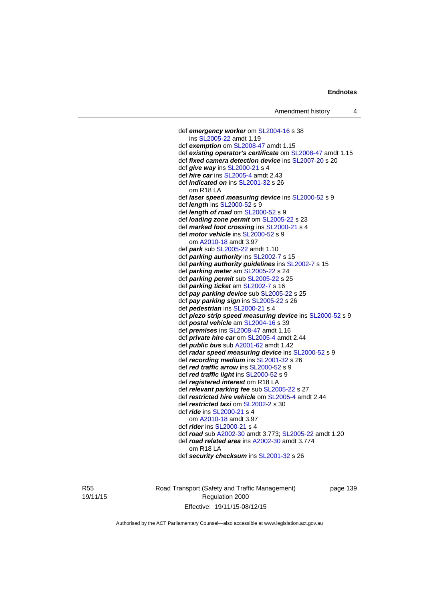def *emergency worker* om [SL2004-16](http://www.legislation.act.gov.au/sl/2004-16) s 38 ins [SL2005-22](http://www.legislation.act.gov.au/sl/2005-22) amdt 1.19 def *exemption* om [SL2008-47](http://www.legislation.act.gov.au/sl/2008-47) amdt 1.15 def *existing operator's certificate* om [SL2008-47](http://www.legislation.act.gov.au/sl/2008-47) amdt 1.15 def *fixed camera detection device* ins [SL2007-20](http://www.legislation.act.gov.au/sl/2007-20) s 20 def *give way* ins [SL2000-21](http://www.legislation.act.gov.au/sl/2000-21) s 4 def *hire car* ins [SL2005-4](http://www.legislation.act.gov.au/sl/2005-4) amdt 2.43 def *indicated on* ins [SL2001-32](http://www.legislation.act.gov.au/sl/2001-32) s 26 om R18 LA def *laser speed measuring device* ins [SL2000-52](http://www.legislation.act.gov.au/sl/2000-52) s 9 def *length* ins [SL2000-52](http://www.legislation.act.gov.au/sl/2000-52) s 9 def *length of road* om [SL2000-52](http://www.legislation.act.gov.au/sl/2000-52) s 9 def *loading zone permit* om [SL2005-22](http://www.legislation.act.gov.au/sl/2005-22) s 23 def *marked foot crossing* ins [SL2000-21](http://www.legislation.act.gov.au/sl/2000-21) s 4 def *motor vehicle* ins [SL2000-52](http://www.legislation.act.gov.au/sl/2000-52) s 9 om [A2010-18](http://www.legislation.act.gov.au/a/2010-18) amdt 3.97 def *park* sub [SL2005-22](http://www.legislation.act.gov.au/sl/2005-22) amdt 1.10 def *parking authority* ins [SL2002-7](http://www.legislation.act.gov.au/sl/2002-7) s 15 def *parking authority guidelines* ins [SL2002-7](http://www.legislation.act.gov.au/sl/2002-7) s 15 def *parking meter* am [SL2005-22](http://www.legislation.act.gov.au/sl/2005-22) s 24 def *parking permit* sub [SL2005-22](http://www.legislation.act.gov.au/sl/2005-22) s 25 def *parking ticket* am [SL2002-7](http://www.legislation.act.gov.au/sl/2002-7) s 16 def *pay parking device* sub [SL2005-22](http://www.legislation.act.gov.au/sl/2005-22) s 25 def *pay parking sign* ins [SL2005-22](http://www.legislation.act.gov.au/sl/2005-22) s 26 def *pedestrian* ins [SL2000-21](http://www.legislation.act.gov.au/sl/2000-21) s 4 def *piezo strip speed measuring device* ins [SL2000-52](http://www.legislation.act.gov.au/sl/2000-52) s 9 def *postal vehicle* am [SL2004-16](http://www.legislation.act.gov.au/sl/2004-16) s 39 def *premises* ins [SL2008-47](http://www.legislation.act.gov.au/sl/2008-47) amdt 1.16 def *private hire car* om [SL2005-4](http://www.legislation.act.gov.au/sl/2005-4) amdt 2.44 def *public bus* sub [A2001-62](http://www.legislation.act.gov.au/a/2001-62) amdt 1.42 def *radar speed measuring device* ins [SL2000-52](http://www.legislation.act.gov.au/sl/2000-52) s 9 def *recording medium* ins [SL2001-32](http://www.legislation.act.gov.au/sl/2001-32) s 26 def *red traffic arrow* ins [SL2000-52](http://www.legislation.act.gov.au/sl/2000-52) s 9 def *red traffic light* ins [SL2000-52](http://www.legislation.act.gov.au/sl/2000-52) s 9 def *registered interest* om R18 LA def *relevant parking fee* sub [SL2005-22](http://www.legislation.act.gov.au/sl/2005-22) s 27 def *restricted hire vehicle* om [SL2005-4](http://www.legislation.act.gov.au/sl/2005-4) amdt 2.44 def *restricted taxi* om [SL2002-2](http://www.legislation.act.gov.au/sl/2002-2) s 30 def *ride* ins [SL2000-21](http://www.legislation.act.gov.au/sl/2000-21) s 4 om [A2010-18](http://www.legislation.act.gov.au/a/2010-18) amdt 3.97 def *rider* ins [SL2000-21](http://www.legislation.act.gov.au/sl/2000-21) s 4 def *road* sub [A2002-30](http://www.legislation.act.gov.au/a/2002-30) amdt 3.773; [SL2005-22](http://www.legislation.act.gov.au/sl/2005-22) amdt 1.20 def *road related area* ins [A2002-30](http://www.legislation.act.gov.au/a/2002-30) amdt 3.774 om R18 LA def *security checksum* ins [SL2001-32](http://www.legislation.act.gov.au/sl/2001-32) s 26

R55 19/11/15 Road Transport (Safety and Traffic Management) Regulation 2000 Effective: 19/11/15-08/12/15

page 139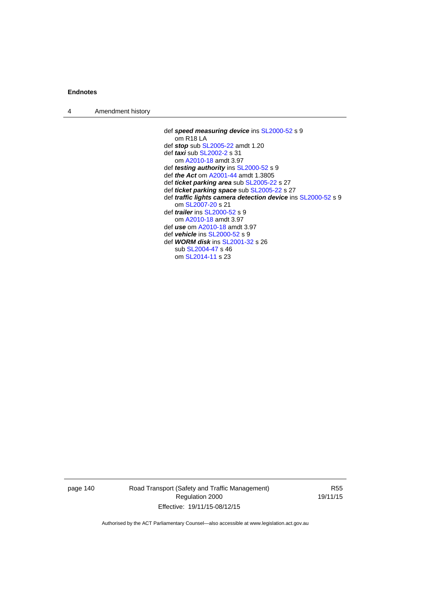| $\boldsymbol{\Lambda}$ | Amendment history |  |
|------------------------|-------------------|--|
|------------------------|-------------------|--|

 def *speed measuring device* ins [SL2000-52](http://www.legislation.act.gov.au/sl/2000-52) s 9 om R18 LA def *stop* sub [SL2005-22](http://www.legislation.act.gov.au/sl/2005-22) amdt 1.20 def *taxi* sub [SL2002-2](http://www.legislation.act.gov.au/sl/2002-2) s 31 om [A2010-18](http://www.legislation.act.gov.au/a/2010-18) amdt 3.97 def *testing authority* ins [SL2000-52](http://www.legislation.act.gov.au/sl/2000-52) s 9 def *the Act* om [A2001-44](http://www.legislation.act.gov.au/a/2001-44) amdt 1.3805 def *ticket parking area* sub [SL2005-22](http://www.legislation.act.gov.au/sl/2005-22) s 27 def *ticket parking space* sub [SL2005-22](http://www.legislation.act.gov.au/sl/2005-22) s 27 def *traffic lights camera detection device* ins [SL2000-52](http://www.legislation.act.gov.au/sl/2000-52) s 9 om [SL2007-20](http://www.legislation.act.gov.au/sl/2007-20) s 21 def *trailer* ins [SL2000-52](http://www.legislation.act.gov.au/sl/2000-52) s 9 om [A2010-18](http://www.legislation.act.gov.au/a/2010-18) amdt 3.97 def *use* om [A2010-18](http://www.legislation.act.gov.au/a/2010-18) amdt 3.97 def *vehicle* ins [SL2000-52](http://www.legislation.act.gov.au/sl/2000-52) s 9 def *WORM disk* ins [SL2001-32](http://www.legislation.act.gov.au/sl/2001-32) s 26 sub [SL2004-47](http://www.legislation.act.gov.au/sl/2004-47) s 46 om [SL2014-11](http://www.legislation.act.gov.au/sl/2014-11) s 23

page 140 Road Transport (Safety and Traffic Management) Regulation 2000 Effective: 19/11/15-08/12/15

R55 19/11/15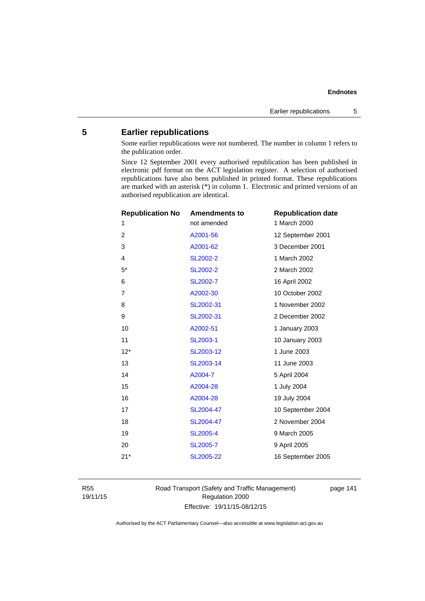# **5 Earlier republications**

Some earlier republications were not numbered. The number in column 1 refers to the publication order.

Since 12 September 2001 every authorised republication has been published in electronic pdf format on the ACT legislation register. A selection of authorised republications have also been published in printed format. These republications are marked with an asterisk (\*) in column 1. Electronic and printed versions of an authorised republication are identical.

| <b>Republication No</b> | <b>Amendments to</b> | <b>Republication date</b> |
|-------------------------|----------------------|---------------------------|
| 1                       | not amended          | 1 March 2000              |
| $\overline{2}$          | A2001-56             | 12 September 2001         |
| 3                       | A2001-62             | 3 December 2001           |
| $\overline{4}$          | <b>SL2002-2</b>      | 1 March 2002              |
| $5*$                    | SL2002-2             | 2 March 2002              |
| 6                       | SL2002-7             | 16 April 2002             |
| $\overline{7}$          | A2002-30             | 10 October 2002           |
| 8                       | SL2002-31            | 1 November 2002           |
| 9                       | SL2002-31            | 2 December 2002           |
| 10                      | A2002-51             | 1 January 2003            |
| 11                      | SL2003-1             | 10 January 2003           |
| $12*$                   | SL2003-12            | 1 June 2003               |
| 13                      | SL2003-14            | 11 June 2003              |
| 14                      | A2004-7              | 5 April 2004              |
| 15                      | A2004-28             | 1 July 2004               |
| 16                      | A2004-28             | 19 July 2004              |
| 17                      | SL2004-47            | 10 September 2004         |
| 18                      | SL2004-47            | 2 November 2004           |
| 19                      | <b>SL2005-4</b>      | 9 March 2005              |
| 20                      | <b>SL2005-7</b>      | 9 April 2005              |
| $21*$                   | SL2005-22            | 16 September 2005         |
|                         |                      |                           |

R55 19/11/15 Road Transport (Safety and Traffic Management) Regulation 2000 Effective: 19/11/15-08/12/15

page 141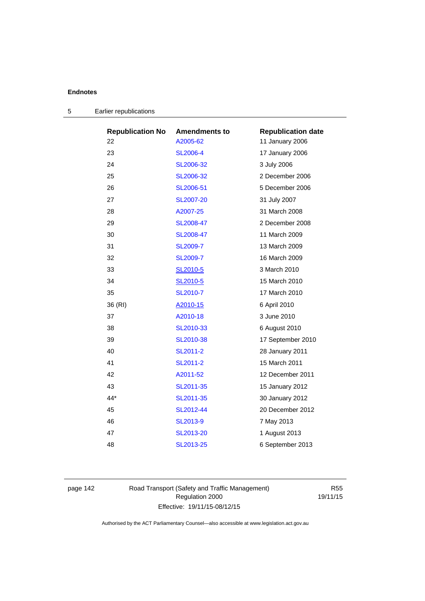| <b>Republication No</b> | <b>Amendments to</b> | <b>Republication date</b> |
|-------------------------|----------------------|---------------------------|
| 22                      | A2005-62             | 11 January 2006           |
| 23                      | <b>SL2006-4</b>      | 17 January 2006           |
| 24                      | SL2006-32            | 3 July 2006               |
| 25                      | SL2006-32            | 2 December 2006           |
| 26                      | SL2006-51            | 5 December 2006           |
| 27                      | <b>SL2007-20</b>     | 31 July 2007              |
| 28                      | A2007-25             | 31 March 2008             |
| 29                      | SL2008-47            | 2 December 2008           |
| 30                      | SL2008-47            | 11 March 2009             |
| 31                      | SL2009-7             | 13 March 2009             |
| 32                      | SL2009-7             | 16 March 2009             |
| 33                      | SL2010-5             | 3 March 2010              |
| 34                      | SL2010-5             | 15 March 2010             |
| 35                      | SL2010-7             | 17 March 2010             |
| 36 (RI)                 | A2010-15             | 6 April 2010              |
| 37                      | A2010-18             | 3 June 2010               |
| 38                      | SL2010-33            | 6 August 2010             |
| 39                      | SL2010-38            | 17 September 2010         |
| 40                      | SL2011-2             | 28 January 2011           |
| 41                      | SL2011-2             | 15 March 2011             |
| 42                      | A2011-52             | 12 December 2011          |
| 43                      | SL2011-35            | 15 January 2012           |
| $44*$                   | SL2011-35            | 30 January 2012           |
| 45                      | SL2012-44            | 20 December 2012          |
| 46                      | SL2013-9             | 7 May 2013                |
| 47                      | SL2013-20            | 1 August 2013             |
| 48                      | SL2013-25            | 6 September 2013          |

| 5 | Earlier republications |
|---|------------------------|
|---|------------------------|

page 142 Road Transport (Safety and Traffic Management) Regulation 2000 Effective: 19/11/15-08/12/15

R55 19/11/15